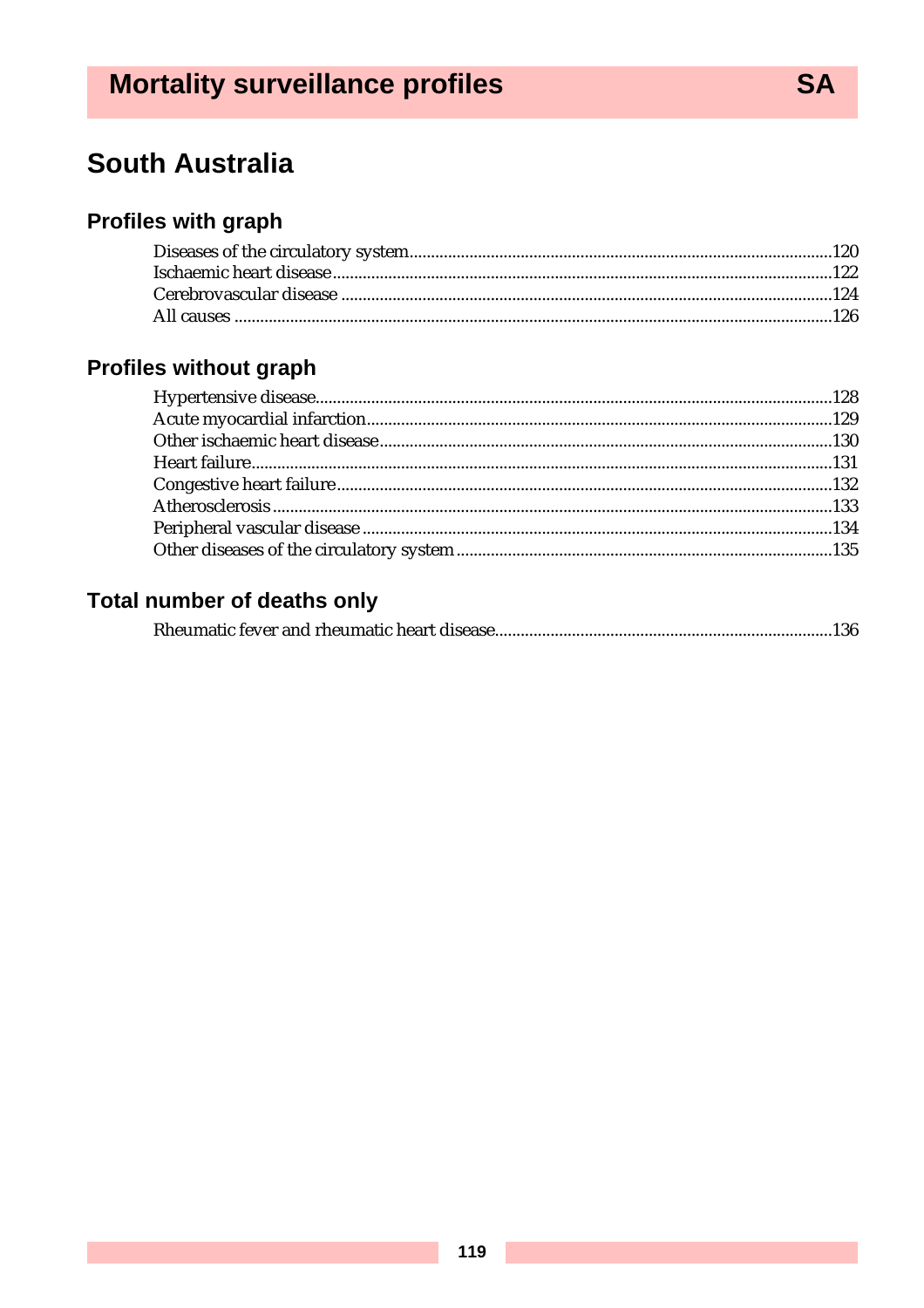# **Mortality surveillance profiles**

# **South Australia**

# **Profiles with graph**

# Profiles without graph

# **Total number of deaths only**

|--|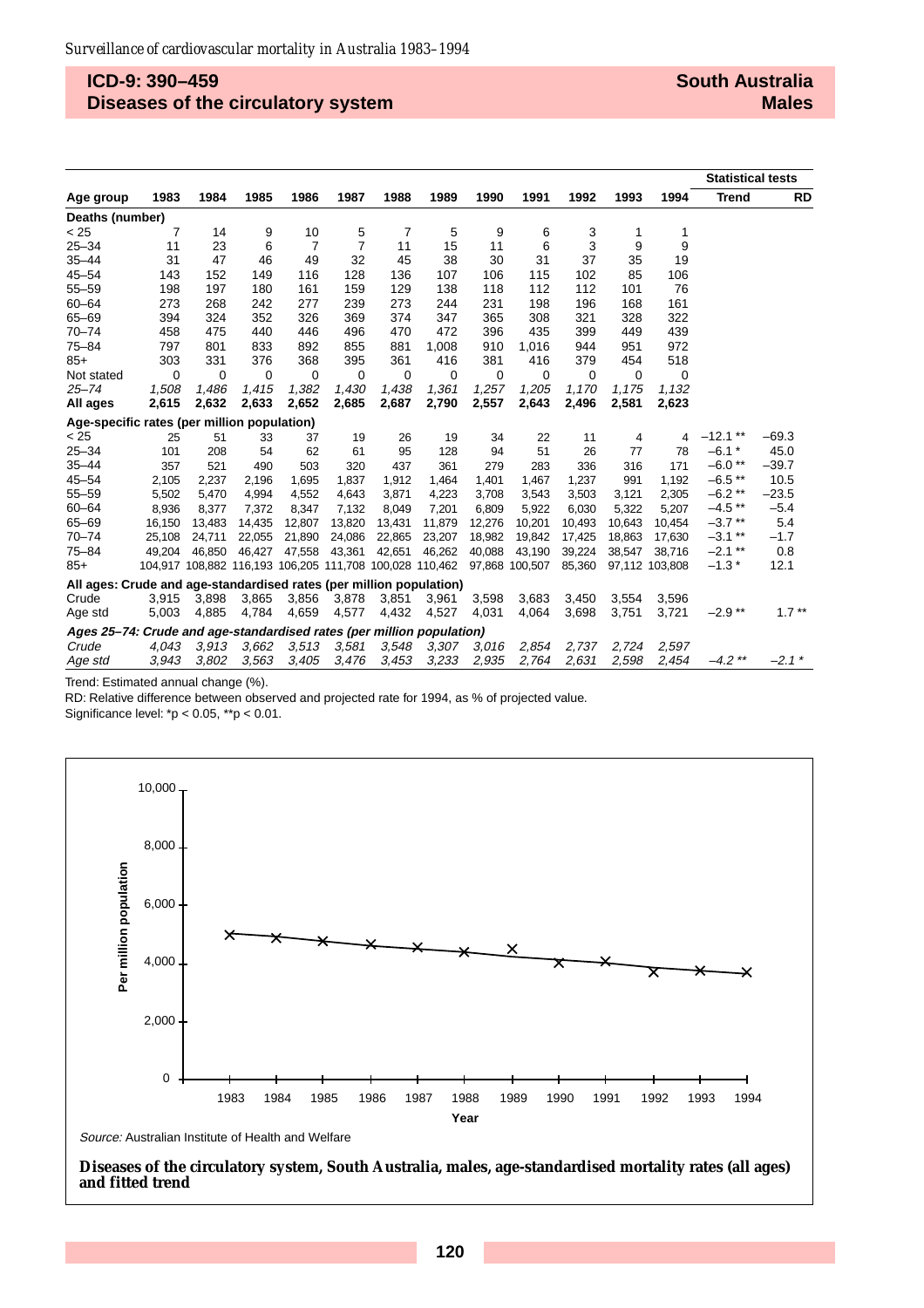# **ICD-9: 390–459 Diseases of the circulatory system**

|                                                                       |        |        |        |                |                |        |                                                         |        |                |        |        |                | <b>Statistical tests</b> |           |
|-----------------------------------------------------------------------|--------|--------|--------|----------------|----------------|--------|---------------------------------------------------------|--------|----------------|--------|--------|----------------|--------------------------|-----------|
| Age group                                                             | 1983   | 1984   | 1985   | 1986           | 1987           | 1988   | 1989                                                    | 1990   | 1991           | 1992   | 1993   | 1994           | <b>Trend</b>             | <b>RD</b> |
| Deaths (number)                                                       |        |        |        |                |                |        |                                                         |        |                |        |        |                |                          |           |
| < 25                                                                  | 7      | 14     | 9      | 10             | 5              | 7      | 5                                                       | 9      | 6              | 3      | 1      | 1              |                          |           |
| $25 - 34$                                                             | 11     | 23     | 6      | $\overline{7}$ | $\overline{7}$ | 11     | 15                                                      | 11     | 6              | 3      | 9      | 9              |                          |           |
| $35 - 44$                                                             | 31     | 47     | 46     | 49             | 32             | 45     | 38                                                      | 30     | 31             | 37     | 35     | 19             |                          |           |
| $45 - 54$                                                             | 143    | 152    | 149    | 116            | 128            | 136    | 107                                                     | 106    | 115            | 102    | 85     | 106            |                          |           |
| $55 - 59$                                                             | 198    | 197    | 180    | 161            | 159            | 129    | 138                                                     | 118    | 112            | 112    | 101    | 76             |                          |           |
| $60 - 64$                                                             | 273    | 268    | 242    | 277            | 239            | 273    | 244                                                     | 231    | 198            | 196    | 168    | 161            |                          |           |
| $65 - 69$                                                             | 394    | 324    | 352    | 326            | 369            | 374    | 347                                                     | 365    | 308            | 321    | 328    | 322            |                          |           |
| $70 - 74$                                                             | 458    | 475    | 440    | 446            | 496            | 470    | 472                                                     | 396    | 435            | 399    | 449    | 439            |                          |           |
| $75 - 84$                                                             | 797    | 801    | 833    | 892            | 855            | 881    | 1,008                                                   | 910    | 1,016          | 944    | 951    | 972            |                          |           |
| $85+$                                                                 | 303    | 331    | 376    | 368            | 395            | 361    | 416                                                     | 381    | 416            | 379    | 454    | 518            |                          |           |
| Not stated                                                            | 0      | 0      | 0      | 0              | 0              | 0      | 0                                                       | 0      | 0              | 0      | 0      | $\mathbf 0$    |                          |           |
| $25 - 74$                                                             | 1,508  | 1,486  | 1,415  | 1,382          | 1,430          | 1,438  | 1,361                                                   | 1,257  | 1,205          | 1,170  | 1,175  | 1,132          |                          |           |
| All ages                                                              | 2,615  | 2,632  | 2,633  | 2,652          | 2,685          | 2,687  | 2,790                                                   | 2,557  | 2,643          | 2,496  | 2,581  | 2,623          |                          |           |
| Age-specific rates (per million population)                           |        |        |        |                |                |        |                                                         |        |                |        |        |                |                          |           |
| < 25                                                                  | 25     | 51     | 33     | 37             | 19             | 26     | 19                                                      | 34     | 22             | 11     | 4      | 4              | $-12.1**$                | $-69.3$   |
| $25 - 34$                                                             | 101    | 208    | 54     | 62             | 61             | 95     | 128                                                     | 94     | 51             | 26     | 77     | 78             | $-6.1*$                  | 45.0      |
| $35 - 44$                                                             | 357    | 521    | 490    | 503            | 320            | 437    | 361                                                     | 279    | 283            | 336    | 316    | 171            | $-6.0**$                 | $-39.7$   |
| $45 - 54$                                                             | 2,105  | 2,237  | 2.196  | 1,695          | 1.837          | 1,912  | 1.464                                                   | 1,401  | 1,467          | 1,237  | 991    | 1,192          | $-6.5**$                 | 10.5      |
| $55 - 59$                                                             | 5,502  | 5,470  | 4,994  | 4,552          | 4,643          | 3,871  | 4,223                                                   | 3,708  | 3,543          | 3,503  | 3,121  | 2,305          | $-6.2**$                 | $-23.5$   |
| $60 - 64$                                                             | 8,936  | 8,377  | 7,372  | 8,347          | 7,132          | 8,049  | 7,201                                                   | 6,809  | 5,922          | 6,030  | 5.322  | 5,207          | $-4.5$ **                | $-5.4$    |
| $65 - 69$                                                             | 16,150 | 13,483 | 14,435 | 12,807         | 13,820         | 13,431 | 11,879                                                  | 12,276 | 10,201         | 10,493 | 10,643 | 10,454         | $-3.7**$                 | 5.4       |
| $70 - 74$                                                             | 25,108 | 24,711 | 22,055 | 21,890         | 24,086         | 22,865 | 23,207                                                  | 18,982 | 19,842         | 17,425 | 18,863 | 17,630         | $-3.1$ **                | $-1.7$    |
| $75 - 84$                                                             | 49.204 | 46.850 | 46.427 | 47,558         | 43,361         | 42,651 | 46,262                                                  | 40,088 | 43,190         | 39,224 | 38,547 | 38,716         | $-2.1$ **                | 0.8       |
| $85+$                                                                 |        |        |        |                |                |        | 104,917 108,882 116,193 106,205 111,708 100,028 110,462 |        | 97,868 100,507 | 85,360 |        | 97.112 103.808 | $-1.3*$                  | 12.1      |
| All ages: Crude and age-standardised rates (per million population)   |        |        |        |                |                |        |                                                         |        |                |        |        |                |                          |           |
| Crude                                                                 | 3,915  | 3,898  | 3,865  | 3,856          | 3,878          | 3,851  | 3,961                                                   | 3,598  | 3,683          | 3,450  | 3,554  | 3,596          |                          |           |
| Age std                                                               | 5,003  | 4,885  | 4,784  | 4,659          | 4,577          | 4,432  | 4,527                                                   | 4,031  | 4,064          | 3,698  | 3,751  | 3,721          | $-2.9**$                 | $1.7***$  |
| Ages 25–74: Crude and age-standardised rates (per million population) |        |        |        |                |                |        |                                                         |        |                |        |        |                |                          |           |
| Crude                                                                 | 4.043  | 3.913  | 3,662  | 3.513          | 3,581          | 3,548  | 3.307                                                   | 3,016  | 2,854          | 2,737  | 2.724  | 2,597          |                          |           |
| Age std                                                               | 3,943  | 3,802  | 3,563  | 3,405          | 3,476          | 3,453  | 3,233                                                   | 2,935  | 2,764          | 2.631  | 2,598  | 2,454          | $-4.2$ **                | $-2.1*$   |

Trend: Estimated annual change (%).

RD: Relative difference between observed and projected rate for 1994, as % of projected value.

Significance level: \*p < 0.05, \*\*p < 0.01.



Source: Australian Institute of Health and Welfare

**Diseases of the circulatory system, South Australia, males, age-standardised mortality rates (all ages) and fitted trend**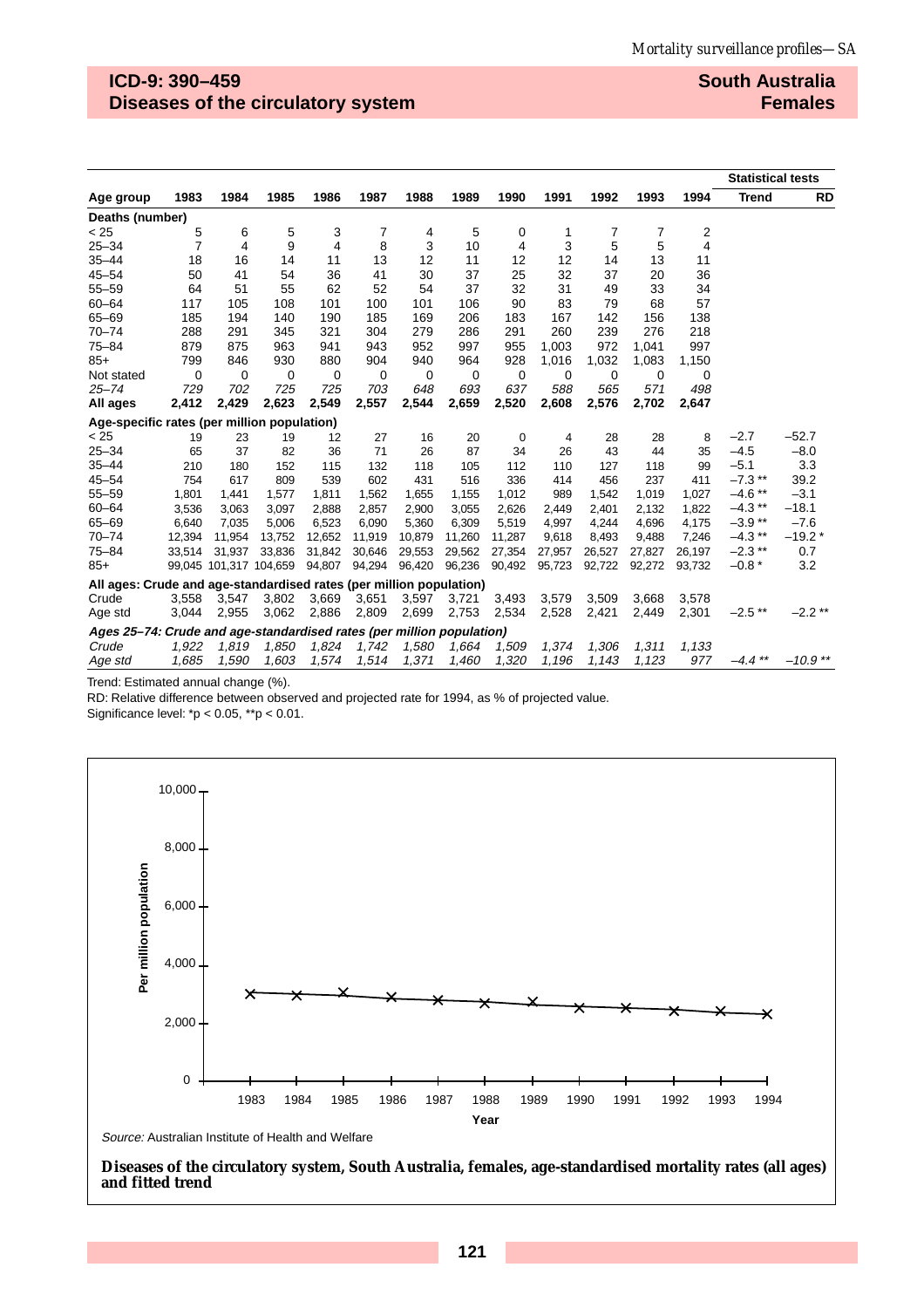# **ICD-9: 390–459 Diseases of the circulatory system**

#### **South Australia Females**

|                                                                       |        |          |                        |             |        |        |          |        |        |        |        |        | <b>Statistical tests</b> |           |
|-----------------------------------------------------------------------|--------|----------|------------------------|-------------|--------|--------|----------|--------|--------|--------|--------|--------|--------------------------|-----------|
| Age group                                                             | 1983   | 1984     | 1985                   | 1986        | 1987   | 1988   | 1989     | 1990   | 1991   | 1992   | 1993   | 1994   | <b>Trend</b>             | <b>RD</b> |
| Deaths (number)                                                       |        |          |                        |             |        |        |          |        |        |        |        |        |                          |           |
| < 25                                                                  | 5      | 6        | 5                      | 3           | 7      | 4      | 5        | 0      | 1      | 7      | 7      | 2      |                          |           |
| $25 - 34$                                                             | 7      | 4        | 9                      | 4           | 8      | 3      | 10       | 4      | 3      | 5      | 5      | 4      |                          |           |
| $35 - 44$                                                             | 18     | 16       | 14                     | 11          | 13     | 12     | 11       | 12     | 12     | 14     | 13     | 11     |                          |           |
| $45 - 54$                                                             | 50     | 41       | 54                     | 36          | 41     | 30     | 37       | 25     | 32     | 37     | 20     | 36     |                          |           |
| $55 - 59$                                                             | 64     | 51       | 55                     | 62          | 52     | 54     | 37       | 32     | 31     | 49     | 33     | 34     |                          |           |
| $60 - 64$                                                             | 117    | 105      | 108                    | 101         | 100    | 101    | 106      | 90     | 83     | 79     | 68     | 57     |                          |           |
| $65 - 69$                                                             | 185    | 194      | 140                    | 190         | 185    | 169    | 206      | 183    | 167    | 142    | 156    | 138    |                          |           |
| $70 - 74$                                                             | 288    | 291      | 345                    | 321         | 304    | 279    | 286      | 291    | 260    | 239    | 276    | 218    |                          |           |
| $75 - 84$                                                             | 879    | 875      | 963                    | 941         | 943    | 952    | 997      | 955    | 1.003  | 972    | 1.041  | 997    |                          |           |
| $85+$                                                                 | 799    | 846      | 930                    | 880         | 904    | 940    | 964      | 928    | 1,016  | 1,032  | 1,083  | 1,150  |                          |           |
| Not stated                                                            | 0      | $\Omega$ | 0                      | $\mathbf 0$ | 0      | 0      | $\Omega$ | 0      | 0      | 0      | 0      | 0      |                          |           |
| $25 - 74$                                                             | 729    | 702      | 725                    | 725         | 703    | 648    | 693      | 637    | 588    | 565    | 571    | 498    |                          |           |
| All ages                                                              | 2,412  | 2,429    | 2,623                  | 2,549       | 2,557  | 2,544  | 2,659    | 2,520  | 2,608  | 2,576  | 2,702  | 2,647  |                          |           |
| Age-specific rates (per million population)                           |        |          |                        |             |        |        |          |        |        |        |        |        |                          |           |
| < 25                                                                  | 19     | 23       | 19                     | 12          | 27     | 16     | 20       | 0      | 4      | 28     | 28     | 8      | $-2.7$                   | $-52.7$   |
| $25 - 34$                                                             | 65     | 37       | 82                     | 36          | 71     | 26     | 87       | 34     | 26     | 43     | 44     | 35     | $-4.5$                   | $-8.0$    |
| $35 - 44$                                                             | 210    | 180      | 152                    | 115         | 132    | 118    | 105      | 112    | 110    | 127    | 118    | 99     | $-5.1$                   | 3.3       |
| $45 - 54$                                                             | 754    | 617      | 809                    | 539         | 602    | 431    | 516      | 336    | 414    | 456    | 237    | 411    | $-7.3$ **                | 39.2      |
| $55 - 59$                                                             | 1,801  | 1,441    | 1,577                  | 1,811       | 1,562  | 1,655  | 1,155    | 1,012  | 989    | 1,542  | 1,019  | 1,027  | $-4.6$ **                | $-3.1$    |
| $60 - 64$                                                             | 3,536  | 3,063    | 3,097                  | 2,888       | 2,857  | 2,900  | 3,055    | 2,626  | 2,449  | 2,401  | 2,132  | 1,822  | $-4.3$ **                | $-18.1$   |
| $65 - 69$                                                             | 6,640  | 7,035    | 5,006                  | 6,523       | 6,090  | 5,360  | 6,309    | 5,519  | 4,997  | 4,244  | 4,696  | 4,175  | $-3.9**$                 | $-7.6$    |
| $70 - 74$                                                             | 12.394 | 11.954   | 13,752                 | 12,652      | 11,919 | 10,879 | 11,260   | 11,287 | 9,618  | 8,493  | 9,488  | 7,246  | $-4.3$ **                | $-19.2*$  |
| $75 - 84$                                                             | 33,514 | 31,937   | 33,836                 | 31,842      | 30,646 | 29,553 | 29,562   | 27,354 | 27,957 | 26,527 | 27,827 | 26,197 | $-2.3$ **                | 0.7       |
| $85+$                                                                 |        |          | 99,045 101,317 104,659 | 94,807      | 94,294 | 96,420 | 96,236   | 90,492 | 95,723 | 92,722 | 92,272 | 93,732 | $-0.8*$                  | 3.2       |
| All ages: Crude and age-standardised rates (per million population)   |        |          |                        |             |        |        |          |        |        |        |        |        |                          |           |
| Crude                                                                 | 3,558  | 3,547    | 3,802                  | 3,669       | 3,651  | 3,597  | 3,721    | 3,493  | 3,579  | 3,509  | 3,668  | 3,578  |                          |           |
| Age std                                                               | 3,044  | 2,955    | 3,062                  | 2,886       | 2,809  | 2,699  | 2,753    | 2,534  | 2,528  | 2,421  | 2,449  | 2,301  | $-2.5$ **                | $-2.2$ ** |
| Ages 25-74: Crude and age-standardised rates (per million population) |        |          |                        |             |        |        |          |        |        |        |        |        |                          |           |
| Crude                                                                 | 1,922  | 1,819    | 1,850                  | 1,824       | 1,742  | 1,580  | 1,664    | 1,509  | 1,374  | 1,306  | 1,311  | 1,133  |                          |           |
| Age std                                                               | 1,685  | 1,590    | 1,603                  | 1,574       | 1,514  | 1,371  | 1,460    | 1,320  | 1,196  | 1.143  | 1.123  | 977    | $-4.4$ **                | $-10.9**$ |

Trend: Estimated annual change (%).

RD: Relative difference between observed and projected rate for 1994, as % of projected value.

Significance level: \*p < 0.05, \*\*p < 0.01.



**Diseases of the circulatory system, South Australia, females, age-standardised mortality rates (all ages) and fitted trend**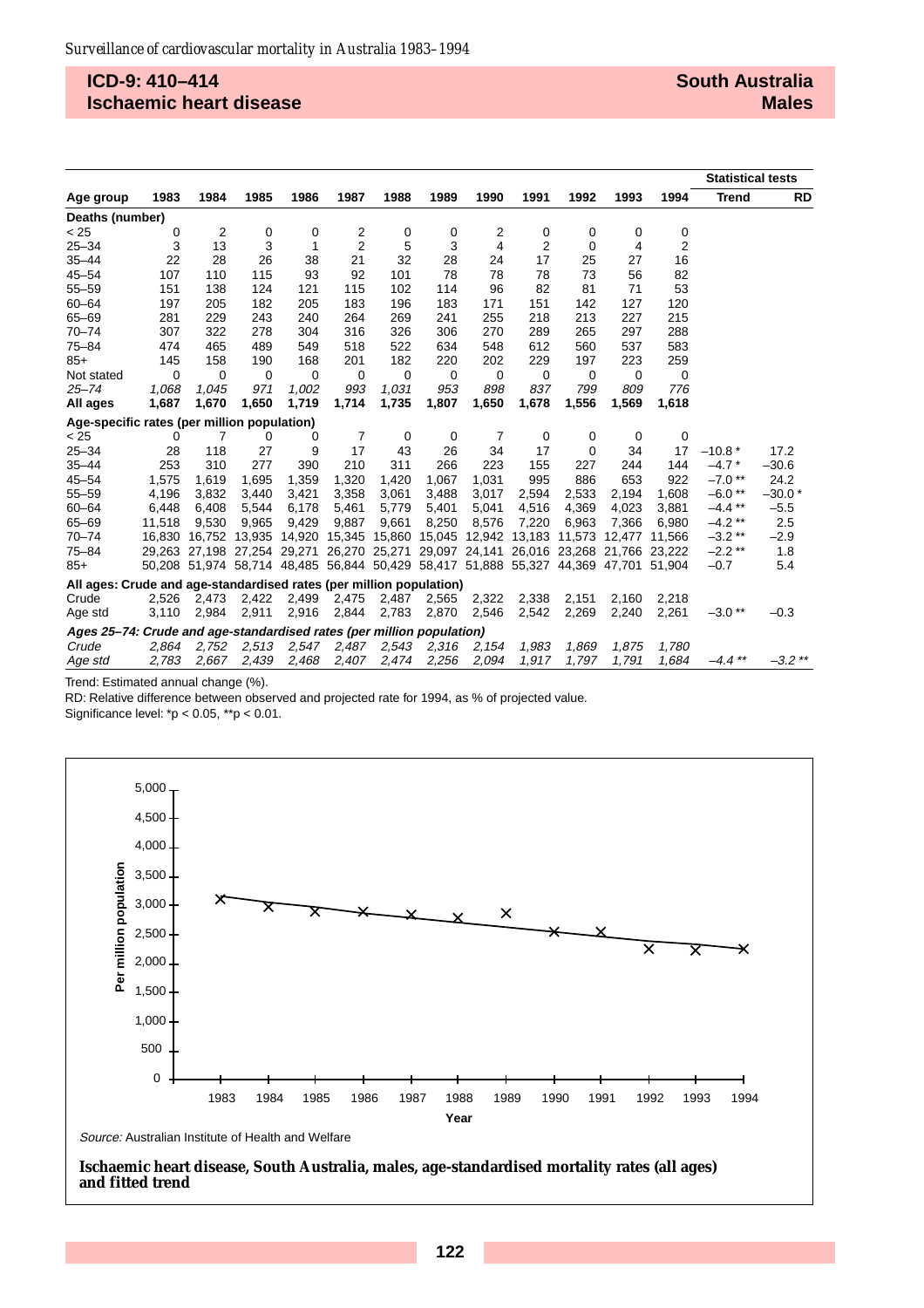### **ICD-9: 410–414 Ischaemic heart disease**

|                                                                       |        |                                                                                     |       |       |                |        |        |             |             |               |        |        | <b>Statistical tests</b> |           |
|-----------------------------------------------------------------------|--------|-------------------------------------------------------------------------------------|-------|-------|----------------|--------|--------|-------------|-------------|---------------|--------|--------|--------------------------|-----------|
| Age group                                                             | 1983   | 1984                                                                                | 1985  | 1986  | 1987           | 1988   | 1989   | 1990        | 1991        | 1992          | 1993   | 1994   | <b>Trend</b>             | <b>RD</b> |
| Deaths (number)                                                       |        |                                                                                     |       |       |                |        |        |             |             |               |        |        |                          |           |
| < 25                                                                  | 0      | 2                                                                                   | 0     | 0     | 2              | 0      | 0      | 2           | 0           | 0             | 0      | 0      |                          |           |
| $25 - 34$                                                             | 3      | 13                                                                                  | 3     | 1     | $\overline{2}$ | 5      | 3      | 4           | 2           | 0             | 4      | 2      |                          |           |
| $35 - 44$                                                             | 22     | 28                                                                                  | 26    | 38    | 21             | 32     | 28     | 24          | 17          | 25            | 27     | 16     |                          |           |
| $45 - 54$                                                             | 107    | 110                                                                                 | 115   | 93    | 92             | 101    | 78     | 78          | 78          | 73            | 56     | 82     |                          |           |
| $55 - 59$                                                             | 151    | 138                                                                                 | 124   | 121   | 115            | 102    | 114    | 96          | 82          | 81            | 71     | 53     |                          |           |
| $60 - 64$                                                             | 197    | 205                                                                                 | 182   | 205   | 183            | 196    | 183    | 171         | 151         | 142           | 127    | 120    |                          |           |
| $65 - 69$                                                             | 281    | 229                                                                                 | 243   | 240   | 264            | 269    | 241    | 255         | 218         | 213           | 227    | 215    |                          |           |
| $70 - 74$                                                             | 307    | 322                                                                                 | 278   | 304   | 316            | 326    | 306    | 270         | 289         | 265           | 297    | 288    |                          |           |
| $75 - 84$                                                             | 474    | 465                                                                                 | 489   | 549   | 518            | 522    | 634    | 548         | 612         | 560           | 537    | 583    |                          |           |
| $85+$                                                                 | 145    | 158                                                                                 | 190   | 168   | 201            | 182    | 220    | 202         | 229         | 197           | 223    | 259    |                          |           |
| Not stated                                                            | 0      | $\Omega$                                                                            | 0     | 0     | 0              | 0      | 0      | $\mathbf 0$ | $\mathbf 0$ | 0             | 0      | 0      |                          |           |
| $25 - 74$                                                             | 1,068  | 1.045                                                                               | 971   | 1,002 | 993            | 1,031  | 953    | 898         | 837         | 799           | 809    | 776    |                          |           |
| All ages                                                              | 1,687  | 1,670                                                                               | 1,650 | 1,719 | 1,714          | 1,735  | 1,807  | 1,650       | 1,678       | 1,556         | 1,569  | 1,618  |                          |           |
| Age-specific rates (per million population)                           |        |                                                                                     |       |       |                |        |        |             |             |               |        |        |                          |           |
| < 25                                                                  | 0      | 7                                                                                   | 0     | 0     | 7              | 0      | 0      | 7           | 0           | 0             | 0      | 0      |                          |           |
| $25 - 34$                                                             | 28     | 118                                                                                 | 27    | 9     | 17             | 43     | 26     | 34          | 17          | $\Omega$      | 34     | 17     | $-10.8*$                 | 17.2      |
| $35 - 44$                                                             | 253    | 310                                                                                 | 277   | 390   | 210            | 311    | 266    | 223         | 155         | 227           | 244    | 144    | $-4.7*$                  | $-30.6$   |
| $45 - 54$                                                             | 1,575  | 1,619                                                                               | 1,695 | 1,359 | 1,320          | 1,420  | 1,067  | 1,031       | 995         | 886           | 653    | 922    | $-7.0$ **                | 24.2      |
| $55 - 59$                                                             | 4,196  | 3.832                                                                               | 3,440 | 3,421 | 3,358          | 3,061  | 3,488  | 3,017       | 2,594       | 2,533         | 2.194  | 1.608  | $-6.0**$                 | $-30.0*$  |
| $60 - 64$                                                             | 6,448  | 6,408                                                                               | 5,544 | 6,178 | 5,461          | 5,779  | 5,401  | 5,041       | 4,516       | 4,369         | 4,023  | 3,881  | $-4.4$ **                | $-5.5$    |
| $65 - 69$                                                             | 11,518 | 9.530                                                                               | 9,965 | 9.429 | 9.887          | 9,661  | 8,250  | 8,576       | 7,220       | 6,963         | 7.366  | 6.980  | $-4.2$ **                | 2.5       |
| $70 - 74$                                                             |        | 16,830 16,752 13,935 14,920 15,345                                                  |       |       |                | 15,860 | 15,045 | 12,942      | 13,183      | 11.573        | 12.477 | 11.566 | $-3.2**$                 | $-2.9$    |
| $75 - 84$                                                             |        | 29,263 27,198 27,254 29,271 26,270 25,271 29,097 24,141                             |       |       |                |        |        |             |             | 26,016 23,268 | 21.766 | 23.222 | $-2.2$ **                | 1.8       |
| $85+$                                                                 |        | 50,208 51,974 58,714 48,485 56,844 50,429 58,417 51,888 55,327 44,369 47,701 51,904 |       |       |                |        |        |             |             |               |        |        | $-0.7$                   | 5.4       |
| All ages: Crude and age-standardised rates (per million population)   |        |                                                                                     |       |       |                |        |        |             |             |               |        |        |                          |           |
| Crude                                                                 | 2,526  | 2.473                                                                               | 2,422 | 2,499 | 2,475          | 2,487  | 2,565  | 2,322       | 2,338       | 2,151         | 2,160  | 2,218  |                          |           |
| Age std                                                               | 3,110  | 2,984                                                                               | 2,911 | 2,916 | 2,844          | 2,783  | 2,870  | 2,546       | 2,542       | 2,269         | 2,240  | 2,261  | $-3.0**$                 | $-0.3$    |
| Ages 25–74: Crude and age-standardised rates (per million population) |        |                                                                                     |       |       |                |        |        |             |             |               |        |        |                          |           |
| Crude                                                                 | 2,864  | 2,752                                                                               | 2,513 |       | 2,547 2,487    | 2,543  | 2,316  | 2,154       | 1,983       | 1,869         | 1,875  | 1,780  |                          |           |
| Age std                                                               | 2,783  | 2,667                                                                               | 2,439 | 2,468 | 2,407          | 2,474  | 2,256  | 2,094       | 1,917       | 1,797         | 1,791  | 1,684  | $-4.4$ **                | $-3.2$ ** |

Trend: Estimated annual change (%).

RD: Relative difference between observed and projected rate for 1994, as % of projected value.

Significance level: \*p < 0.05, \*\*p < 0.01.



**Ischaemic heart disease, South Australia, males, age-standardised mortality rates (all ages) and fitted trend**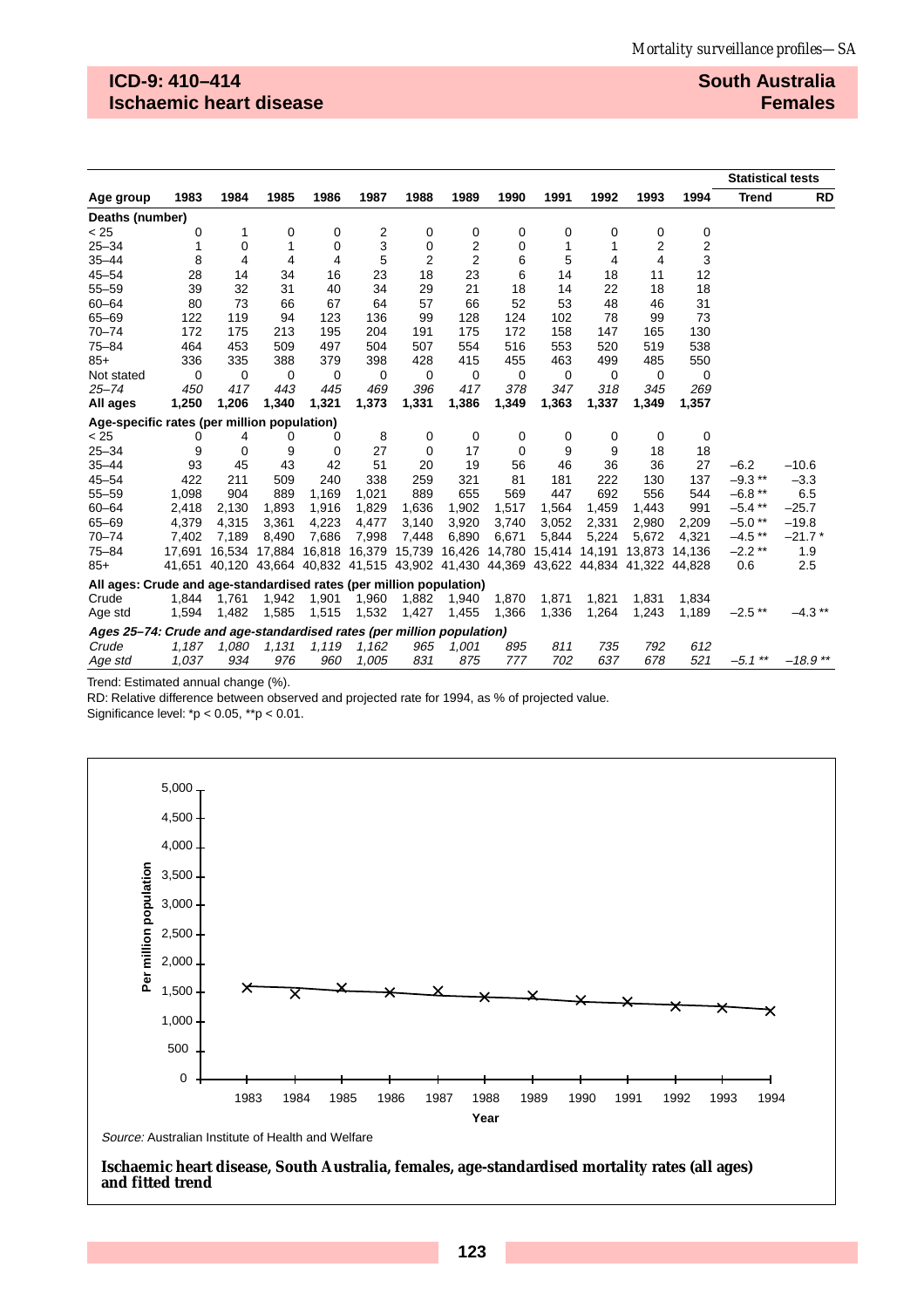## **ICD-9: 410–414 Ischaemic heart disease**

#### **South Australia Females**

|                                                                       |        |       |       |                             |                                                                       |                |        |        |       |               |                |             | <b>Statistical tests</b> |           |
|-----------------------------------------------------------------------|--------|-------|-------|-----------------------------|-----------------------------------------------------------------------|----------------|--------|--------|-------|---------------|----------------|-------------|--------------------------|-----------|
| Age group                                                             | 1983   | 1984  | 1985  | 1986                        | 1987                                                                  | 1988           | 1989   | 1990   | 1991  | 1992          | 1993           | 1994        | <b>Trend</b>             | <b>RD</b> |
| Deaths (number)                                                       |        |       |       |                             |                                                                       |                |        |        |       |               |                |             |                          |           |
| < 25                                                                  | 0      | 1     | 0     | 0                           | 2                                                                     | 0              | 0      | 0      | 0     | 0             | 0              | 0           |                          |           |
| $25 - 34$                                                             | 1      | 0     | 1     | $\mathbf 0$                 | 3                                                                     | 0              | 2      | 0      | 1     | 1             | $\overline{2}$ | 2           |                          |           |
| $35 - 44$                                                             | 8      | 4     | 4     | 4                           | 5                                                                     | $\overline{2}$ | 2      | 6      | 5     | 4             | 4              | 3           |                          |           |
| $45 - 54$                                                             | 28     | 14    | 34    | 16                          | 23                                                                    | 18             | 23     | 6      | 14    | 18            | 11             | 12          |                          |           |
| $55 - 59$                                                             | 39     | 32    | 31    | 40                          | 34                                                                    | 29             | 21     | 18     | 14    | 22            | 18             | 18          |                          |           |
| $60 - 64$                                                             | 80     | 73    | 66    | 67                          | 64                                                                    | 57             | 66     | 52     | 53    | 48            | 46             | 31          |                          |           |
| $65 - 69$                                                             | 122    | 119   | 94    | 123                         | 136                                                                   | 99             | 128    | 124    | 102   | 78            | 99             | 73          |                          |           |
| $70 - 74$                                                             | 172    | 175   | 213   | 195                         | 204                                                                   | 191            | 175    | 172    | 158   | 147           | 165            | 130         |                          |           |
| $75 - 84$                                                             | 464    | 453   | 509   | 497                         | 504                                                                   | 507            | 554    | 516    | 553   | 520           | 519            | 538         |                          |           |
| $85+$                                                                 | 336    | 335   | 388   | 379                         | 398                                                                   | 428            | 415    | 455    | 463   | 499           | 485            | 550         |                          |           |
| Not stated                                                            | 0      | 0     | 0     | 0                           | 0                                                                     | 0              | 0      | 0      | 0     | 0             | 0              | $\mathbf 0$ |                          |           |
| $25 - 74$                                                             | 450    | 417   | 443   | 445                         | 469                                                                   | 396            | 417    | 378    | 347   | 318           | 345            | 269         |                          |           |
| All ages                                                              | 1,250  | 1,206 | 1,340 | 1,321                       | 1,373                                                                 | 1,331          | 1,386  | 1,349  | 1,363 | 1,337         | 1,349          | 1,357       |                          |           |
| Age-specific rates (per million population)                           |        |       |       |                             |                                                                       |                |        |        |       |               |                |             |                          |           |
| < 25                                                                  | 0      | 4     | 0     | 0                           | 8                                                                     | 0              | 0      | 0      | 0     | 0             | 0              | 0           |                          |           |
| $25 - 34$                                                             | 9      | 0     | 9     | 0                           | 27                                                                    | 0              | 17     | 0      | 9     | 9             | 18             | 18          |                          |           |
| $35 - 44$                                                             | 93     | 45    | 43    | 42                          | 51                                                                    | 20             | 19     | 56     | 46    | 36            | 36             | 27          | $-6.2$                   | $-10.6$   |
| $45 - 54$                                                             | 422    | 211   | 509   | 240                         | 338                                                                   | 259            | 321    | 81     | 181   | 222           | 130            | 137         | $-9.3**$                 | $-3.3$    |
| $55 - 59$                                                             | 1,098  | 904   | 889   | 1,169                       | 1,021                                                                 | 889            | 655    | 569    | 447   | 692           | 556            | 544         | $-6.8**$                 | 6.5       |
| $60 - 64$                                                             | 2,418  | 2,130 | 1,893 | 1,916                       | 1,829                                                                 | 1,636          | 1,902  | 1,517  | 1,564 | 1,459         | 1,443          | 991         | $-5.4***$                | $-25.7$   |
| $65 - 69$                                                             | 4,379  | 4,315 | 3,361 | 4,223                       | 4,477                                                                 | 3,140          | 3,920  | 3,740  | 3,052 | 2,331         | 2,980          | 2,209       | $-5.0**$                 | $-19.8$   |
| $70 - 74$                                                             | 7,402  | 7,189 | 8,490 | 7,686                       | 7,998                                                                 | 7,448          | 6,890  | 6,671  | 5,844 | 5,224         | 5,672          | 4,321       | $-4.5$ **                | $-21.7*$  |
| $75 - 84$                                                             | 17.691 |       |       | 16,534 17,884 16,818 16,379 |                                                                       | 15,739         | 16,426 | 14,780 |       | 15,414 14,191 | 13,873         | 14,136      | $-2.2**$                 | 1.9       |
| $85+$                                                                 | 41,651 |       |       |                             | 40,120 43,664 40,832 41,515 43,902 41,430 44,369 43,622 44,834 41,322 |                |        |        |       |               |                | 44.828      | 0.6                      | 2.5       |
| All ages: Crude and age-standardised rates (per million population)   |        |       |       |                             |                                                                       |                |        |        |       |               |                |             |                          |           |
| Crude                                                                 | 1,844  | 1,761 | 1,942 | 1,901                       | 1,960                                                                 | 1,882          | 1,940  | 1,870  | 1,871 | 1,821         | 1,831          | 1,834       |                          |           |
| Age std                                                               | 1,594  | 1,482 | 1,585 | 1,515                       | 1,532                                                                 | 1,427          | 1,455  | 1,366  | 1,336 | 1,264         | 1,243          | 1,189       | $-2.5$ **                | $-4.3$ ** |
| Ages 25–74: Crude and age-standardised rates (per million population) |        |       |       |                             |                                                                       |                |        |        |       |               |                |             |                          |           |
| Crude                                                                 | 1,187  | 1,080 | 1,131 | 1,119                       | 1,162                                                                 | 965            | 1,001  | 895    | 811   | 735           | 792            | 612         |                          |           |
| Age std                                                               | 1,037  | 934   | 976   | 960                         | 1.005                                                                 | 831            | 875    | 777    | 702   | 637           | 678            | 521         | $-5.1$ **                | $-18.9**$ |

Trend: Estimated annual change (%).

RD: Relative difference between observed and projected rate for 1994, as % of projected value.

Significance level: \*p < 0.05, \*\*p < 0.01.



**Ischaemic heart disease, South Australia, females, age-standardised mortality rates (all ages) and fitted trend**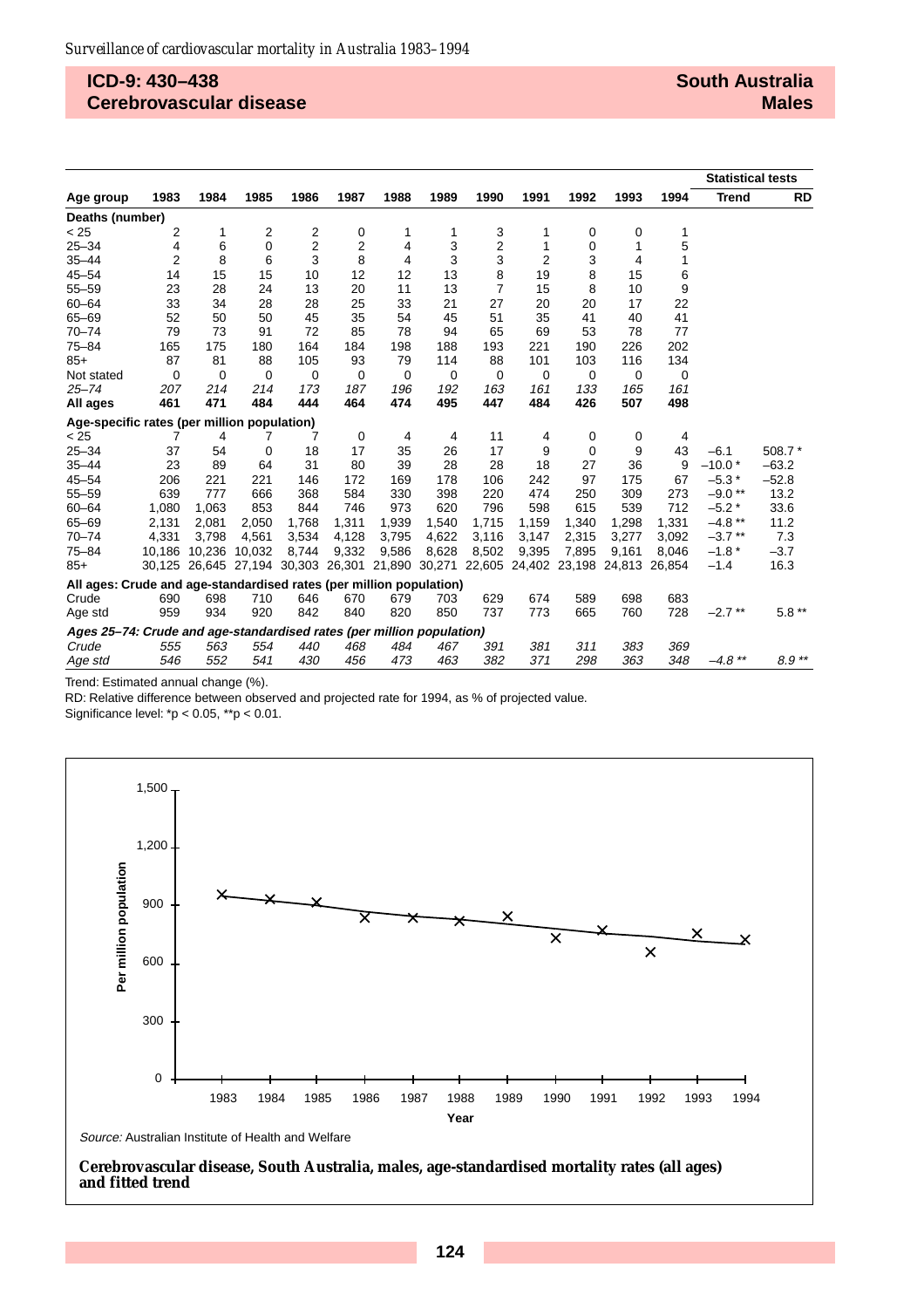#### **ICD-9: 430–438 Cerebrovascular disease**

|                                                                       |        |                                    |             |             |       |       |       |                                    |             |       |        |        | <b>Statistical tests</b> |           |
|-----------------------------------------------------------------------|--------|------------------------------------|-------------|-------------|-------|-------|-------|------------------------------------|-------------|-------|--------|--------|--------------------------|-----------|
| Age group                                                             | 1983   | 1984                               | 1985        | 1986        | 1987  | 1988  | 1989  | 1990                               | 1991        | 1992  | 1993   | 1994   | <b>Trend</b>             | <b>RD</b> |
| Deaths (number)                                                       |        |                                    |             |             |       |       |       |                                    |             |       |        |        |                          |           |
| < 25                                                                  | 2      | 1                                  | 2           | 2           | 0     | 1     | 1     | 3                                  | 1           | 0     | 0      | 1      |                          |           |
| $25 - 34$                                                             | 4      | 6                                  | 0           | 2           | 2     | 4     | 3     | 2                                  | 1           | 0     | 1      | 5      |                          |           |
| $35 - 44$                                                             | 2      | 8                                  | 6           | 3           | 8     | 4     | 3     | 3                                  | 2           | 3     | 4      |        |                          |           |
| $45 - 54$                                                             | 14     | 15                                 | 15          | 10          | 12    | 12    | 13    | 8                                  | 19          | 8     | 15     | 6      |                          |           |
| $55 - 59$                                                             | 23     | 28                                 | 24          | 13          | 20    | 11    | 13    | $\overline{7}$                     | 15          | 8     | 10     | 9      |                          |           |
| $60 - 64$                                                             | 33     | 34                                 | 28          | 28          | 25    | 33    | 21    | 27                                 | 20          | 20    | 17     | 22     |                          |           |
| $65 - 69$                                                             | 52     | 50                                 | 50          | 45          | 35    | 54    | 45    | 51                                 | 35          | 41    | 40     | 41     |                          |           |
| $70 - 74$                                                             | 79     | 73                                 | 91          | 72          | 85    | 78    | 94    | 65                                 | 69          | 53    | 78     | 77     |                          |           |
| $75 - 84$                                                             | 165    | 175                                | 180         | 164         | 184   | 198   | 188   | 193                                | 221         | 190   | 226    | 202    |                          |           |
| $85+$                                                                 | 87     | 81                                 | 88          | 105         | 93    | 79    | 114   | 88                                 | 101         | 103   | 116    | 134    |                          |           |
| Not stated                                                            | 0      | 0                                  | $\mathbf 0$ | $\mathbf 0$ | 0     | 0     | 0     | 0                                  | $\mathbf 0$ | 0     | 0      | 0      |                          |           |
| $25 - 74$                                                             | 207    | 214                                | 214         | 173         | 187   | 196   | 192   | 163                                | 161         | 133   | 165    | 161    |                          |           |
| All ages                                                              | 461    | 471                                | 484         | 444         | 464   | 474   | 495   | 447                                | 484         | 426   | 507    | 498    |                          |           |
| Age-specific rates (per million population)                           |        |                                    |             |             |       |       |       |                                    |             |       |        |        |                          |           |
| < 25                                                                  | 7      | 4                                  | 7           | 7           | 0     | 4     | 4     | 11                                 | 4           | 0     | 0      | 4      |                          |           |
| $25 - 34$                                                             | 37     | 54                                 | 0           | 18          | 17    | 35    | 26    | 17                                 | 9           | 0     | 9      | 43     | $-6.1$                   | 508.7*    |
| $35 - 44$                                                             | 23     | 89                                 | 64          | 31          | 80    | 39    | 28    | 28                                 | 18          | 27    | 36     | 9      | $-10.0*$                 | $-63.2$   |
| $45 - 54$                                                             | 206    | 221                                | 221         | 146         | 172   | 169   | 178   | 106                                | 242         | 97    | 175    | 67     | $-5.3*$                  | $-52.8$   |
| $55 - 59$                                                             | 639    | 777                                | 666         | 368         | 584   | 330   | 398   | 220                                | 474         | 250   | 309    | 273    | $-9.0**$                 | 13.2      |
| $60 - 64$                                                             | 1,080  | 1,063                              | 853         | 844         | 746   | 973   | 620   | 796                                | 598         | 615   | 539    | 712    | $-5.2*$                  | 33.6      |
| $65 - 69$                                                             | 2,131  | 2,081                              | 2,050       | 1,768       | 1,311 | 1,939 | 1,540 | 1,715                              | 1,159       | 1,340 | 1,298  | 1,331  | $-4.8$ **                | 11.2      |
| $70 - 74$                                                             | 4,331  | 3,798                              | 4,561       | 3,534       | 4,128 | 3,795 | 4,622 | 3,116                              | 3,147       | 2,315 | 3,277  | 3,092  | $-3.7$ **                | 7.3       |
| $75 - 84$                                                             | 10.186 | 10.236                             | 10,032      | 8,744       | 9,332 | 9,586 | 8,628 | 8,502                              | 9,395       | 7,895 | 9,161  | 8.046  | $-1.8*$                  | $-3.7$    |
| $85+$                                                                 |        | 30,125 26,645 27,194 30,303 26,301 |             |             |       |       |       | 21,890 30,271 22,605 24,402 23,198 |             |       | 24,813 | 26,854 | $-1.4$                   | 16.3      |
| All ages: Crude and age-standardised rates (per million population)   |        |                                    |             |             |       |       |       |                                    |             |       |        |        |                          |           |
| Crude                                                                 | 690    | 698                                | 710         | 646         | 670   | 679   | 703   | 629                                | 674         | 589   | 698    | 683    |                          |           |
| Age std                                                               | 959    | 934                                | 920         | 842         | 840   | 820   | 850   | 737                                | 773         | 665   | 760    | 728    | $-2.7$ **                | $5.8**$   |
| Ages 25-74: Crude and age-standardised rates (per million population) |        |                                    |             |             |       |       |       |                                    |             |       |        |        |                          |           |
| Crude                                                                 | 555    | 563                                | 554         | 440         | 468   | 484   | 467   | 391                                | 381         | 311   | 383    | 369    |                          |           |
| Age std                                                               | 546    | 552                                | 541         | 430         | 456   | 473   | 463   | 382                                | 371         | 298   | 363    | 348    | $-4.8$ **                | $8.9**$   |

Trend: Estimated annual change (%).

RD: Relative difference between observed and projected rate for 1994, as % of projected value.

Significance level: \*p < 0.05, \*\*p < 0.01.



#### **Cerebrovascular disease, South Australia, males, age-standardised mortality rates (all ages) and fitted trend**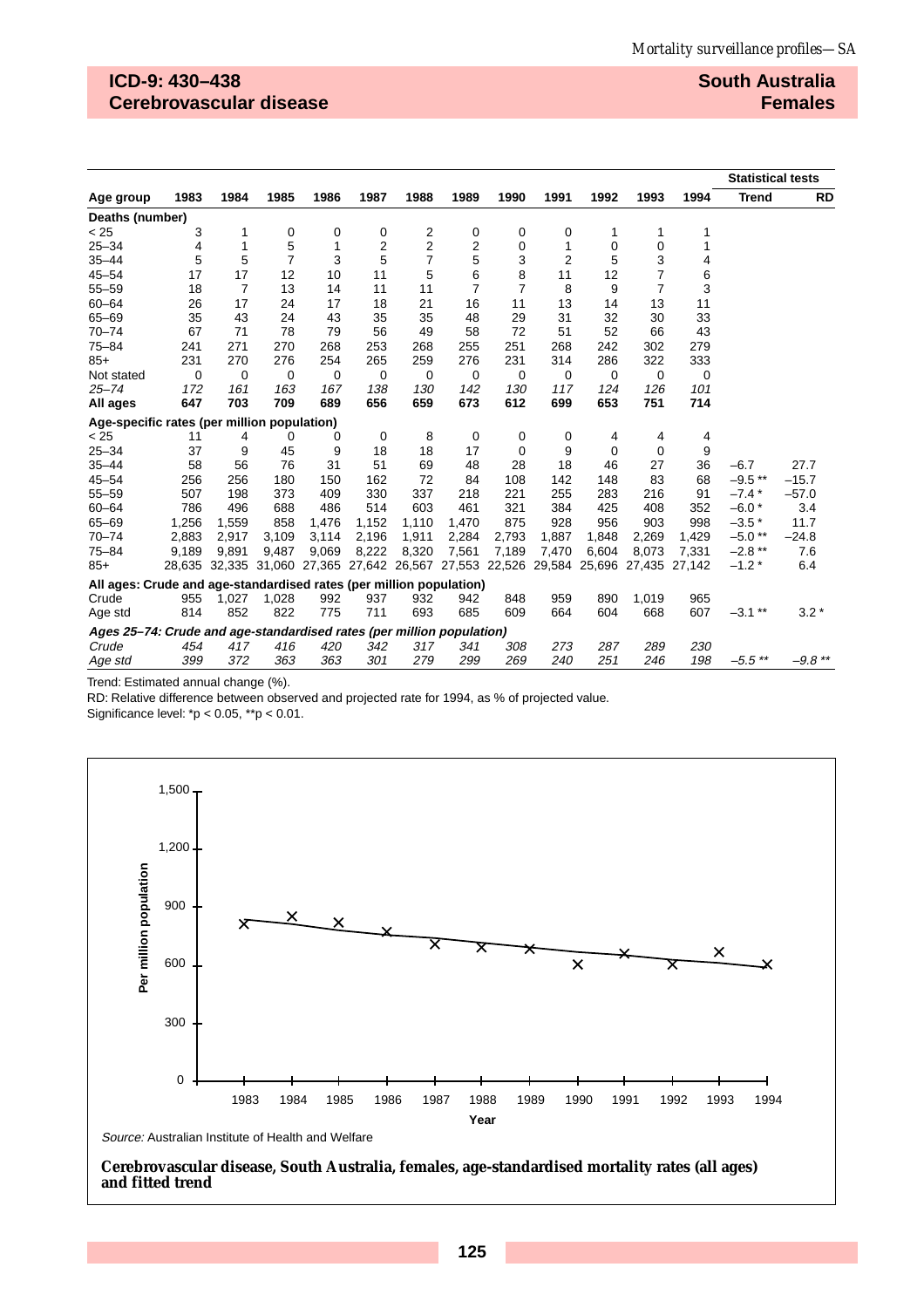## **ICD-9: 430–438 Cerebrovascular disease**

#### **South Australia Females**

|                                                                       |       |                |                |                                                                              |             |                |                |                |       |       |                |        | <b>Statistical tests</b> |           |
|-----------------------------------------------------------------------|-------|----------------|----------------|------------------------------------------------------------------------------|-------------|----------------|----------------|----------------|-------|-------|----------------|--------|--------------------------|-----------|
| Age group                                                             | 1983  | 1984           | 1985           | 1986                                                                         | 1987        | 1988           | 1989           | 1990           | 1991  | 1992  | 1993           | 1994   | <b>Trend</b>             | <b>RD</b> |
| Deaths (number)                                                       |       |                |                |                                                                              |             |                |                |                |       |       |                |        |                          |           |
| < 25                                                                  | 3     | 1              | 0              | 0                                                                            | 0           | 2              | 0              | 0              | 0     | 1     | 1              | 1      |                          |           |
| $25 - 34$                                                             | 4     | 1              | 5              | 1                                                                            | 2           | $\overline{2}$ | 2              | 0              | 1     | 0     | $\mathbf 0$    | 1      |                          |           |
| $35 - 44$                                                             | 5     | 5              | $\overline{7}$ | 3                                                                            | 5           | $\overline{7}$ | 5              | 3              | 2     | 5     | 3              | 4      |                          |           |
| $45 - 54$                                                             | 17    | 17             | 12             | 10                                                                           | 11          | 5              | 6              | 8              | 11    | 12    | $\overline{7}$ | 6      |                          |           |
| $55 - 59$                                                             | 18    | $\overline{7}$ | 13             | 14                                                                           | 11          | 11             | $\overline{7}$ | $\overline{7}$ | 8     | 9     | $\overline{7}$ | 3      |                          |           |
| $60 - 64$                                                             | 26    | 17             | 24             | 17                                                                           | 18          | 21             | 16             | 11             | 13    | 14    | 13             | 11     |                          |           |
| $65 - 69$                                                             | 35    | 43             | 24             | 43                                                                           | 35          | 35             | 48             | 29             | 31    | 32    | 30             | 33     |                          |           |
| $70 - 74$                                                             | 67    | 71             | 78             | 79                                                                           | 56          | 49             | 58             | 72             | 51    | 52    | 66             | 43     |                          |           |
| $75 - 84$                                                             | 241   | 271            | 270            | 268                                                                          | 253         | 268            | 255            | 251            | 268   | 242   | 302            | 279    |                          |           |
| $85+$                                                                 | 231   | 270            | 276            | 254                                                                          | 265         | 259            | 276            | 231            | 314   | 286   | 322            | 333    |                          |           |
| Not stated                                                            | 0     | $\mathbf 0$    | $\mathbf 0$    | 0                                                                            | $\mathbf 0$ | $\mathbf 0$    | 0              | 0              | 0     | 0     | $\mathbf 0$    | 0      |                          |           |
| $25 - 74$                                                             | 172   | 161            | 163            | 167                                                                          | 138         | 130            | 142            | 130            | 117   | 124   | 126            | 101    |                          |           |
| All ages                                                              | 647   | 703            | 709            | 689                                                                          | 656         | 659            | 673            | 612            | 699   | 653   | 751            | 714    |                          |           |
| Age-specific rates (per million population)                           |       |                |                |                                                                              |             |                |                |                |       |       |                |        |                          |           |
| < 25                                                                  | 11    | 4              | 0              | 0                                                                            | 0           | 8              | 0              | 0              | 0     | 4     | 4              | 4      |                          |           |
| $25 - 34$                                                             | 37    | 9              | 45             | 9                                                                            | 18          | 18             | 17             | 0              | 9     | 0     | 0              | 9      |                          |           |
| $35 - 44$                                                             | 58    | 56             | 76             | 31                                                                           | 51          | 69             | 48             | 28             | 18    | 46    | 27             | 36     | $-6.7$                   | 27.7      |
| $45 - 54$                                                             | 256   | 256            | 180            | 150                                                                          | 162         | 72             | 84             | 108            | 142   | 148   | 83             | 68     | $-9.5$ **                | $-15.7$   |
| $55 - 59$                                                             | 507   | 198            | 373            | 409                                                                          | 330         | 337            | 218            | 221            | 255   | 283   | 216            | 91     | $-7.4*$                  | $-57.0$   |
| $60 - 64$                                                             | 786   | 496            | 688            | 486                                                                          | 514         | 603            | 461            | 321            | 384   | 425   | 408            | 352    | $-6.0*$                  | 3.4       |
| $65 - 69$                                                             | 1,256 | 1,559          | 858            | 1,476                                                                        | 1,152       | 1,110          | 1,470          | 875            | 928   | 956   | 903            | 998    | $-3.5*$                  | 11.7      |
| $70 - 74$                                                             | 2,883 | 2,917          | 3,109          | 3,114                                                                        | 2,196       | 1,911          | 2,284          | 2,793          | 1,887 | 1,848 | 2,269          | 1,429  | $-5.0**$                 | $-24.8$   |
| $75 - 84$                                                             | 9,189 | 9.891          | 9.487          | 9,069                                                                        | 8,222       | 8,320          | 7,561          | 7.189          | 7,470 | 6,604 | 8.073          | 7,331  | $-2.8$ **                | 7.6       |
| $85+$                                                                 |       |                |                | 28,635 32,335 31,060 27,365 27,642 26,567 27,553 22,526 29,584 25,696 27,435 |             |                |                |                |       |       |                | 27,142 | $-1.2*$                  | 6.4       |
| All ages: Crude and age-standardised rates (per million population)   |       |                |                |                                                                              |             |                |                |                |       |       |                |        |                          |           |
| Crude                                                                 | 955   | 1,027          | 1,028          | 992                                                                          | 937         | 932            | 942            | 848            | 959   | 890   | 1.019          | 965    |                          |           |
| Age std                                                               | 814   | 852            | 822            | 775                                                                          | 711         | 693            | 685            | 609            | 664   | 604   | 668            | 607    | $-3.1***$                | $3.2*$    |
| Ages 25-74: Crude and age-standardised rates (per million population) |       |                |                |                                                                              |             |                |                |                |       |       |                |        |                          |           |
| Crude                                                                 | 454   | 417            | 416            | 420                                                                          | 342         | 317            | 341            | 308            | 273   | 287   | 289            | 230    |                          |           |
| Age std                                                               | 399   | 372            | 363            | 363                                                                          | 301         | 279            | 299            | 269            | 240   | 251   | 246            | 198    | $-5.5$ **                | $-9.8$ ** |

Trend: Estimated annual change (%).

RD: Relative difference between observed and projected rate for 1994, as % of projected value.

Significance level: \*p < 0.05, \*\*p < 0.01.



**Cerebrovascular disease, South Australia, females, age-standardised mortality rates (all ages) and fitted trend**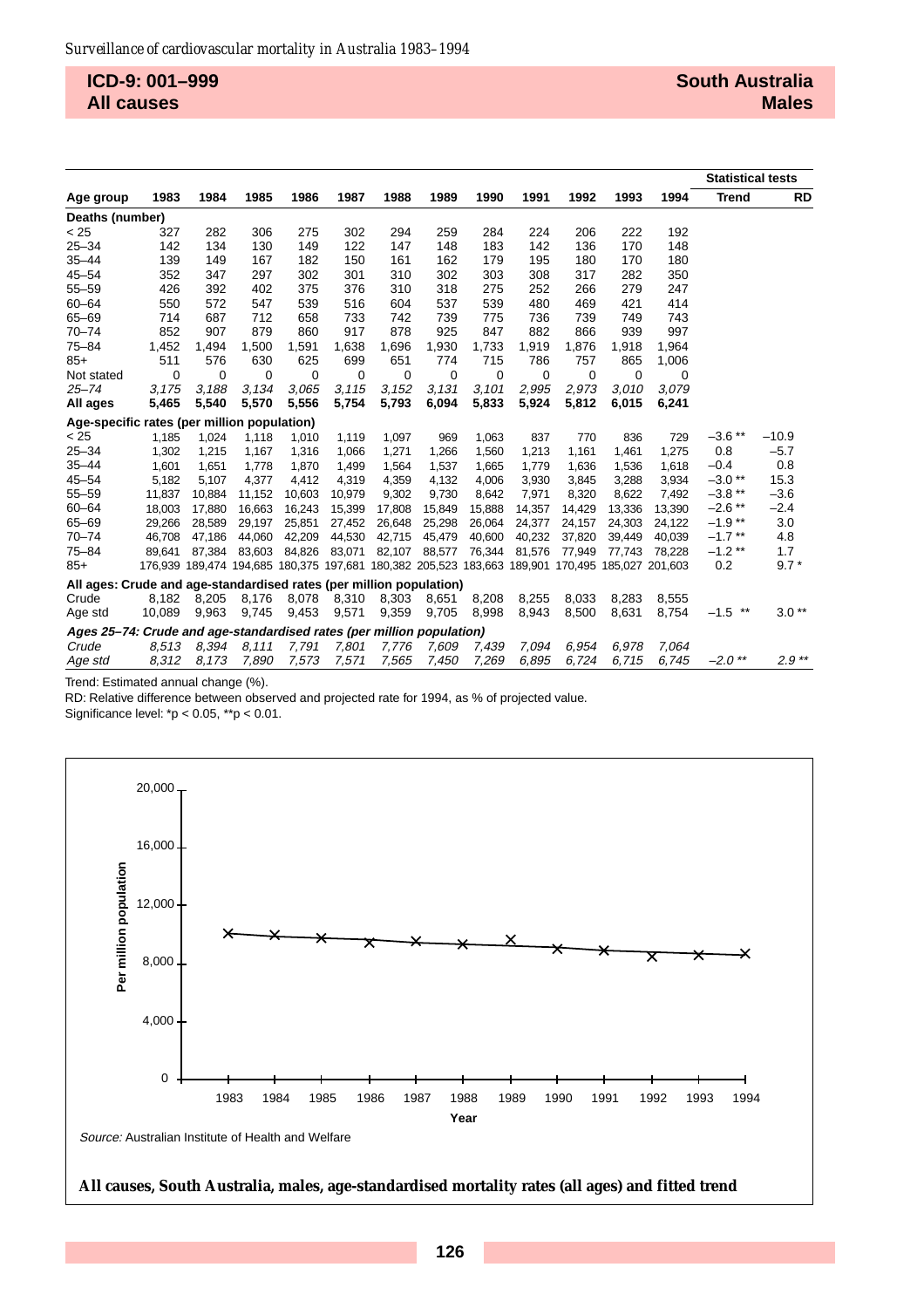**ICD-9: 001–999 All causes**

|                                                                       |        |        |        |        |        |        |        |        |        |                                                                                                 |        |        | <b>Statistical tests</b> |           |
|-----------------------------------------------------------------------|--------|--------|--------|--------|--------|--------|--------|--------|--------|-------------------------------------------------------------------------------------------------|--------|--------|--------------------------|-----------|
| Age group                                                             | 1983   | 1984   | 1985   | 1986   | 1987   | 1988   | 1989   | 1990   | 1991   | 1992                                                                                            | 1993   | 1994   | <b>Trend</b>             | <b>RD</b> |
| Deaths (number)                                                       |        |        |        |        |        |        |        |        |        |                                                                                                 |        |        |                          |           |
| < 25                                                                  | 327    | 282    | 306    | 275    | 302    | 294    | 259    | 284    | 224    | 206                                                                                             | 222    | 192    |                          |           |
| $25 - 34$                                                             | 142    | 134    | 130    | 149    | 122    | 147    | 148    | 183    | 142    | 136                                                                                             | 170    | 148    |                          |           |
| $35 - 44$                                                             | 139    | 149    | 167    | 182    | 150    | 161    | 162    | 179    | 195    | 180                                                                                             | 170    | 180    |                          |           |
| $45 - 54$                                                             | 352    | 347    | 297    | 302    | 301    | 310    | 302    | 303    | 308    | 317                                                                                             | 282    | 350    |                          |           |
| $55 - 59$                                                             | 426    | 392    | 402    | 375    | 376    | 310    | 318    | 275    | 252    | 266                                                                                             | 279    | 247    |                          |           |
| $60 - 64$                                                             | 550    | 572    | 547    | 539    | 516    | 604    | 537    | 539    | 480    | 469                                                                                             | 421    | 414    |                          |           |
| $65 - 69$                                                             | 714    | 687    | 712    | 658    | 733    | 742    | 739    | 775    | 736    | 739                                                                                             | 749    | 743    |                          |           |
| $70 - 74$                                                             | 852    | 907    | 879    | 860    | 917    | 878    | 925    | 847    | 882    | 866                                                                                             | 939    | 997    |                          |           |
| $75 - 84$                                                             | 1,452  | 1,494  | 1,500  | 1,591  | 1,638  | 1,696  | 1,930  | 1,733  | 1,919  | 1,876                                                                                           | 1,918  | 1,964  |                          |           |
| $85+$                                                                 | 511    | 576    | 630    | 625    | 699    | 651    | 774    | 715    | 786    | 757                                                                                             | 865    | 1,006  |                          |           |
| Not stated                                                            | 0      | 0      | 0      | 0      | 0      | 0      | 0      | 0      | 0      | 0                                                                                               | 0      | 0      |                          |           |
| $25 - 74$                                                             | 3.175  | 3.188  | 3,134  | 3,065  | 3.115  | 3,152  | 3.131  | 3.101  | 2,995  | 2,973                                                                                           | 3.010  | 3.079  |                          |           |
| All ages                                                              | 5,465  | 5,540  | 5,570  | 5,556  | 5,754  | 5,793  | 6,094  | 5,833  | 5,924  | 5,812                                                                                           | 6,015  | 6,241  |                          |           |
| Age-specific rates (per million population)                           |        |        |        |        |        |        |        |        |        |                                                                                                 |        |        |                          |           |
| < 25                                                                  | 1,185  | 1,024  | 1,118  | 1,010  | 1,119  | 1,097  | 969    | 1,063  | 837    | 770                                                                                             | 836    | 729    | $-3.6$ **                | $-10.9$   |
| $25 - 34$                                                             | 1,302  | 1,215  | 1,167  | 1,316  | 1,066  | 1,271  | 1,266  | 1,560  | 1,213  | 1,161                                                                                           | 1,461  | 1,275  | 0.8                      | $-5.7$    |
| $35 - 44$                                                             | 1,601  | 1,651  | 1,778  | 1,870  | 1,499  | 1,564  | 1,537  | 1,665  | 1,779  | 1,636                                                                                           | 1,536  | 1,618  | $-0.4$                   | 0.8       |
| $45 - 54$                                                             | 5,182  | 5,107  | 4,377  | 4,412  | 4,319  | 4,359  | 4,132  | 4,006  | 3,930  | 3,845                                                                                           | 3,288  | 3,934  | $-3.0**$                 | 15.3      |
| $55 - 59$                                                             | 11,837 | 10,884 | 11,152 | 10,603 | 10,979 | 9,302  | 9,730  | 8,642  | 7,971  | 8,320                                                                                           | 8,622  | 7,492  | $-3.8**$                 | $-3.6$    |
| $60 - 64$                                                             | 18,003 | 17.880 | 16,663 | 16,243 | 15,399 | 17,808 | 15,849 | 15,888 | 14,357 | 14,429                                                                                          | 13,336 | 13,390 | $-2.6$ **                | $-2.4$    |
| $65 - 69$                                                             | 29,266 | 28.589 | 29,197 | 25,851 | 27,452 | 26,648 | 25,298 | 26,064 | 24,377 | 24,157                                                                                          | 24.303 | 24,122 | $-1.9**$                 | 3.0       |
| $70 - 74$                                                             | 46.708 | 47,186 | 44,060 | 42,209 | 44,530 | 42,715 | 45,479 | 40.600 | 40,232 | 37,820                                                                                          | 39.449 | 40,039 | $-1.7$ **                | 4.8       |
| $75 - 84$                                                             | 89.641 | 87.384 | 83,603 | 84,826 | 83,071 | 82,107 | 88,577 | 76,344 | 81,576 | 77,949                                                                                          | 77.743 | 78,228 | $-1.2$ **                | 1.7       |
| $85+$                                                                 |        |        |        |        |        |        |        |        |        | 176,939 189,474 194,685 180,375 197,681 180,382 205,523 183,663 189,901 170,495 185,027 201,603 |        |        | 0.2                      | $9.7*$    |
| All ages: Crude and age-standardised rates (per million population)   |        |        |        |        |        |        |        |        |        |                                                                                                 |        |        |                          |           |
| Crude                                                                 | 8.182  | 8.205  | 8,176  | 8,078  | 8,310  | 8,303  | 8,651  | 8,208  | 8,255  | 8.033                                                                                           | 8.283  | 8.555  |                          |           |
| Age std                                                               | 10,089 | 9,963  | 9,745  | 9,453  | 9,571  | 9,359  | 9,705  | 8,998  | 8,943  | 8,500                                                                                           | 8,631  | 8,754  | $-1.5$ **                | $3.0**$   |
| Ages 25–74: Crude and age-standardised rates (per million population) |        |        |        |        |        |        |        |        |        |                                                                                                 |        |        |                          |           |
| Crude                                                                 | 8.513  | 8.394  | 8.111  | 7,791  | 7.801  | 7,776  | 7,609  | 7.439  | 7.094  | 6.954                                                                                           | 6.978  | 7,064  |                          |           |
| Age std                                                               | 8,312  | 8,173  | 7,890  | 7,573  | 7,571  | 7,565  | 7,450  | 7,269  | 6,895  | 6,724                                                                                           | 6.715  | 6.745  | $-2.0$ **                | $2.9**$   |

Trend: Estimated annual change (%).

RD: Relative difference between observed and projected rate for 1994, as % of projected value.

Significance level: \*p < 0.05, \*\*p < 0.01.

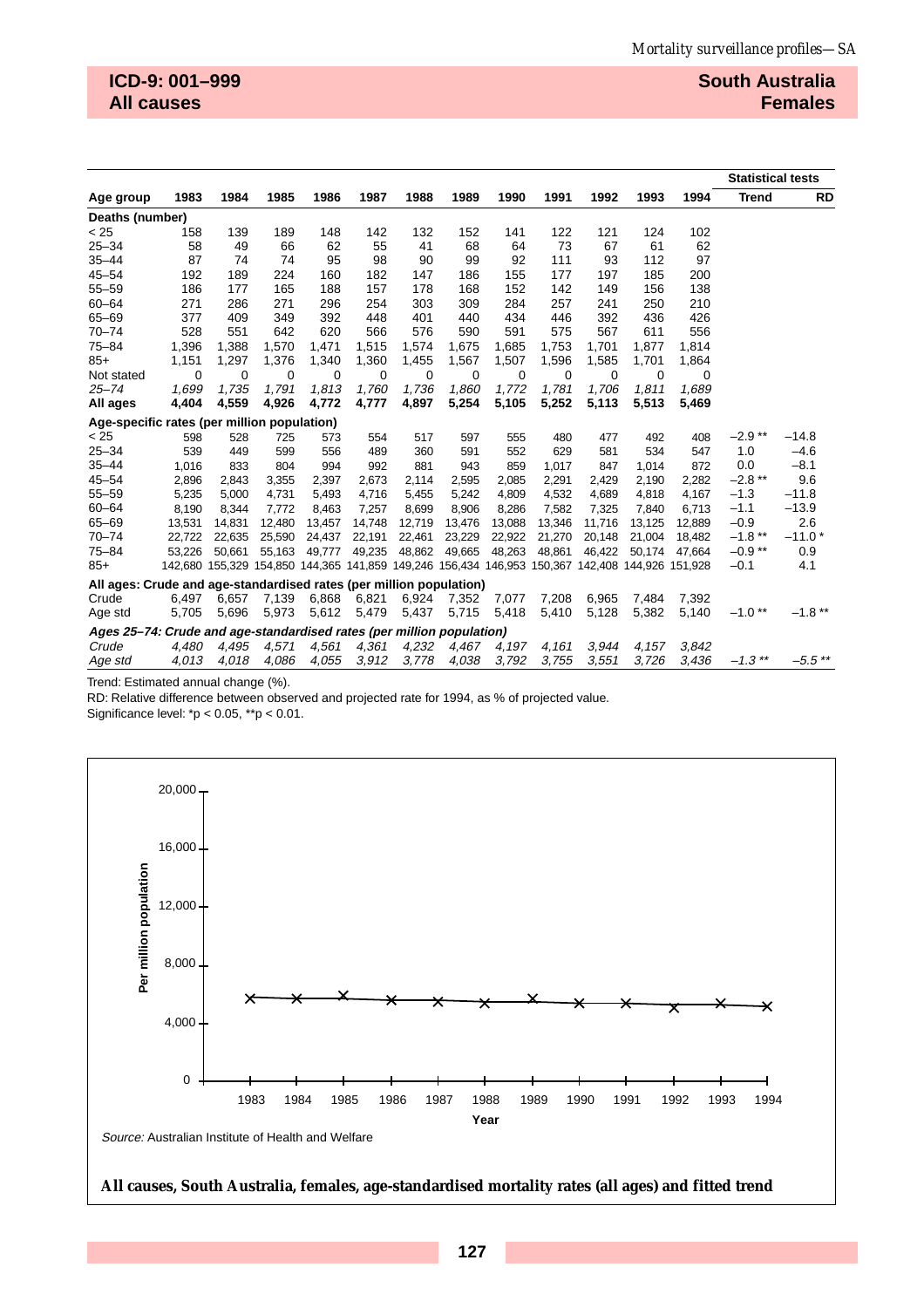|                                                                       |        |          |                                                                                                 |        |             |        |             |             |             |        |        |        | <b>Statistical tests</b> |           |
|-----------------------------------------------------------------------|--------|----------|-------------------------------------------------------------------------------------------------|--------|-------------|--------|-------------|-------------|-------------|--------|--------|--------|--------------------------|-----------|
| Age group                                                             | 1983   | 1984     | 1985                                                                                            | 1986   | 1987        | 1988   | 1989        | 1990        | 1991        | 1992   | 1993   | 1994   | <b>Trend</b>             | <b>RD</b> |
| Deaths (number)                                                       |        |          |                                                                                                 |        |             |        |             |             |             |        |        |        |                          |           |
| < 25                                                                  | 158    | 139      | 189                                                                                             | 148    | 142         | 132    | 152         | 141         | 122         | 121    | 124    | 102    |                          |           |
| $25 - 34$                                                             | 58     | 49       | 66                                                                                              | 62     | 55          | 41     | 68          | 64          | 73          | 67     | 61     | 62     |                          |           |
| $35 - 44$                                                             | 87     | 74       | 74                                                                                              | 95     | 98          | 90     | 99          | 92          | 111         | 93     | 112    | 97     |                          |           |
| $45 - 54$                                                             | 192    | 189      | 224                                                                                             | 160    | 182         | 147    | 186         | 155         | 177         | 197    | 185    | 200    |                          |           |
| $55 - 59$                                                             | 186    | 177      | 165                                                                                             | 188    | 157         | 178    | 168         | 152         | 142         | 149    | 156    | 138    |                          |           |
| $60 - 64$                                                             | 271    | 286      | 271                                                                                             | 296    | 254         | 303    | 309         | 284         | 257         | 241    | 250    | 210    |                          |           |
| $65 - 69$                                                             | 377    | 409      | 349                                                                                             | 392    | 448         | 401    | 440         | 434         | 446         | 392    | 436    | 426    |                          |           |
| $70 - 74$                                                             | 528    | 551      | 642                                                                                             | 620    | 566         | 576    | 590         | 591         | 575         | 567    | 611    | 556    |                          |           |
| $75 - 84$                                                             | 1,396  | 1,388    | 1,570                                                                                           | 1,471  | 1,515       | 1,574  | 1,675       | 1,685       | 1,753       | 1,701  | 1,877  | 1,814  |                          |           |
| $85+$                                                                 | 1,151  | 1,297    | 1,376                                                                                           | 1,340  | 1,360       | 1,455  | 1,567       | 1,507       | 1,596       | 1,585  | 1,701  | 1,864  |                          |           |
| Not stated                                                            | 0      | $\Omega$ | 0                                                                                               | 0      | $\mathbf 0$ | 0      | $\mathbf 0$ | $\mathbf 0$ | $\mathbf 0$ | 0      | 0      | 0      |                          |           |
| $25 - 74$                                                             | 1,699  | 1,735    | 1,791                                                                                           | 1,813  | 1,760       | 1,736  | 1,860       | 1,772       | 1,781       | 1,706  | 1.811  | 1,689  |                          |           |
| All ages                                                              | 4,404  | 4,559    | 4,926                                                                                           | 4,772  | 4,777       | 4,897  | 5,254       | 5,105       | 5,252       | 5,113  | 5,513  | 5,469  |                          |           |
| Age-specific rates (per million population)                           |        |          |                                                                                                 |        |             |        |             |             |             |        |        |        |                          |           |
| < 25                                                                  | 598    | 528      | 725                                                                                             | 573    | 554         | 517    | 597         | 555         | 480         | 477    | 492    | 408    | $-2.9**$                 | $-14.8$   |
| $25 - 34$                                                             | 539    | 449      | 599                                                                                             | 556    | 489         | 360    | 591         | 552         | 629         | 581    | 534    | 547    | 1.0                      | $-4.6$    |
| $35 - 44$                                                             | 1,016  | 833      | 804                                                                                             | 994    | 992         | 881    | 943         | 859         | 1,017       | 847    | 1,014  | 872    | 0.0                      | $-8.1$    |
| $45 - 54$                                                             | 2,896  | 2,843    | 3,355                                                                                           | 2,397  | 2,673       | 2,114  | 2,595       | 2,085       | 2,291       | 2,429  | 2,190  | 2,282  | $-2.8$ **                | 9.6       |
| $55 - 59$                                                             | 5,235  | 5,000    | 4,731                                                                                           | 5,493  | 4,716       | 5,455  | 5,242       | 4,809       | 4,532       | 4,689  | 4,818  | 4,167  | $-1.3$                   | $-11.8$   |
| $60 - 64$                                                             | 8,190  | 8,344    | 7,772                                                                                           | 8,463  | 7,257       | 8,699  | 8,906       | 8,286       | 7,582       | 7,325  | 7.840  | 6,713  | $-1.1$                   | $-13.9$   |
| $65 - 69$                                                             | 13,531 | 14,831   | 12,480                                                                                          | 13,457 | 14,748      | 12,719 | 13,476      | 13,088      | 13,346      | 11,716 | 13,125 | 12,889 | $-0.9$                   | 2.6       |
| $70 - 74$                                                             | 22,722 | 22,635   | 25,590                                                                                          | 24,437 | 22,191      | 22,461 | 23,229      | 22,922      | 21,270      | 20,148 | 21,004 | 18,482 | $-1.8$ **                | $-11.0*$  |
| $75 - 84$                                                             | 53,226 | 50,661   | 55,163                                                                                          | 49,777 | 49,235      | 48,862 | 49,665      | 48,263      | 48,861      | 46,422 | 50,174 | 47,664 | $-0.9**$                 | 0.9       |
| $85+$                                                                 |        |          | 142,680 155,329 154,850 144,365 141,859 149,246 156,434 146,953 150,367 142,408 144,926 151,928 |        |             |        |             |             |             |        |        |        | $-0.1$                   | 4.1       |
| All ages: Crude and age-standardised rates (per million population)   |        |          |                                                                                                 |        |             |        |             |             |             |        |        |        |                          |           |
| Crude                                                                 | 6,497  | 6.657    | 7,139                                                                                           | 6,868  | 6,821       | 6,924  | 7,352       | 7,077       | 7,208       | 6,965  | 7.484  | 7,392  |                          |           |
| Age std                                                               | 5,705  | 5,696    | 5,973                                                                                           | 5,612  | 5,479       | 5,437  | 5,715       | 5,418       | 5,410       | 5,128  | 5,382  | 5,140  | $-1.0**$                 | $-1.8$ ** |
| Ages 25–74: Crude and age-standardised rates (per million population) |        |          |                                                                                                 |        |             |        |             |             |             |        |        |        |                          |           |
| Crude                                                                 | 4,480  | 4,495    | 4,571                                                                                           | 4,561  | 4,361       | 4,232  | 4,467       | 4,197       | 4,161       | 3,944  | 4,157  | 3.842  |                          |           |
| Age std                                                               | 4,013  | 4,018    | 4,086                                                                                           | 4,055  | 3,912       | 3,778  | 4,038       | 3,792       | 3,755       | 3,551  | 3.726  | 3.436  | $-1.3$ **                | $-5.5$ ** |

Trend: Estimated annual change (%).

RD: Relative difference between observed and projected rate for 1994, as % of projected value.

Significance level: \*p < 0.05, \*\*p < 0.01.



**All causes, South Australia, females, age-standardised mortality rates (all ages) and fitted trend**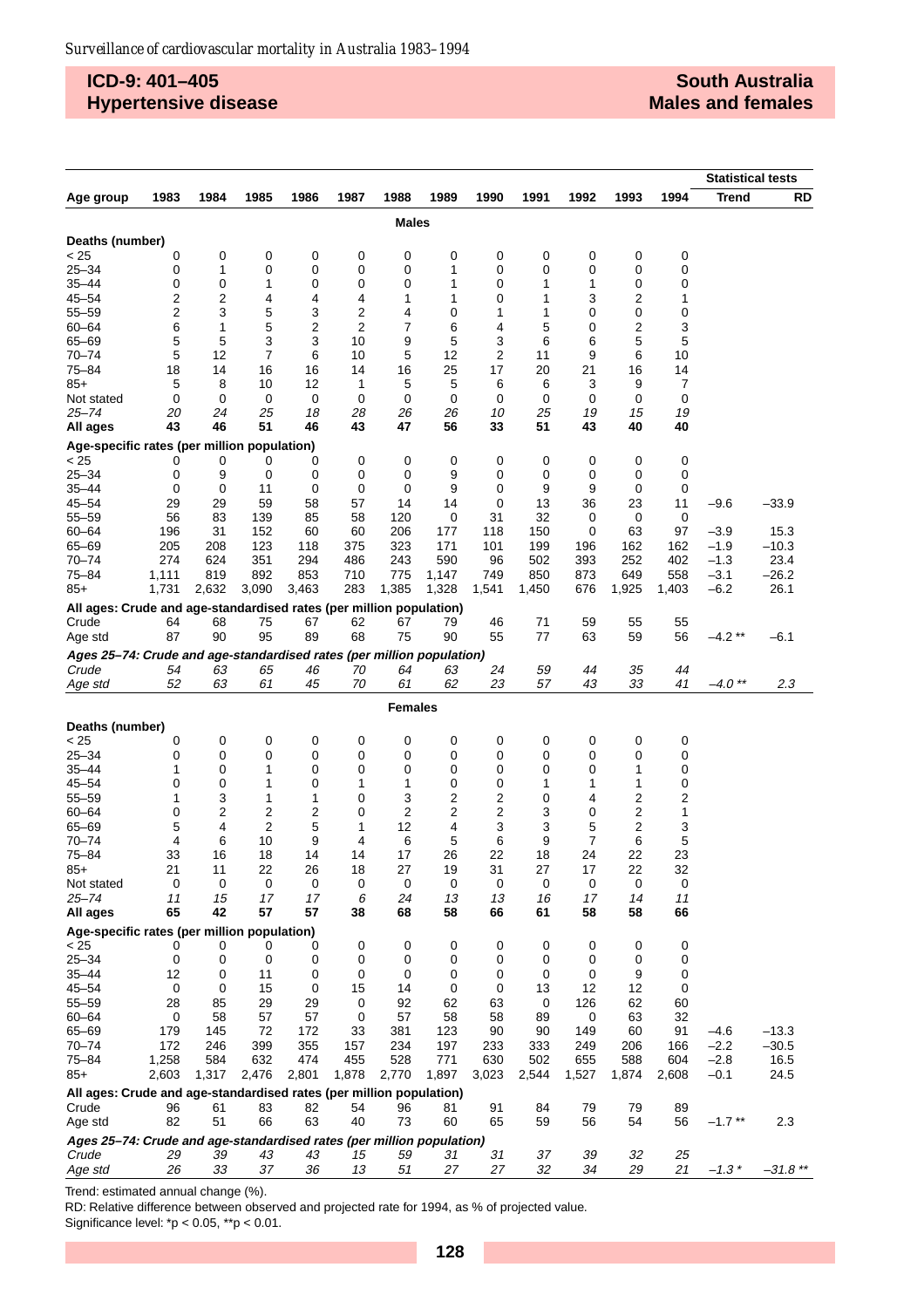# **ICD-9: 401–405 Hypertensive disease**

### **South Australia Males and females**

|                                                                       | <b>Statistical tests</b> |          |          |          |                |                |          |          |          |          |          |          |           |            |
|-----------------------------------------------------------------------|--------------------------|----------|----------|----------|----------------|----------------|----------|----------|----------|----------|----------|----------|-----------|------------|
| Age group                                                             | 1983                     | 1984     | 1985     | 1986     | 1987           | 1988           | 1989     | 1990     | 1991     | 1992     | 1993     | 1994     | Trend     | RD         |
|                                                                       |                          |          |          |          |                | <b>Males</b>   |          |          |          |          |          |          |           |            |
|                                                                       |                          |          |          |          |                |                |          |          |          |          |          |          |           |            |
| Deaths (number)<br>< 25                                               | 0                        | 0        | 0        | 0        | 0              | 0              | 0        | 0        | 0        | 0        | 0        | 0        |           |            |
| $25 - 34$                                                             | 0                        | 1        | 0        | 0        | 0              | 0              | 1        | 0        | 0        | 0        | 0        | 0        |           |            |
| 35–44                                                                 | 0                        | 0        | 1        | 0        | 0              | 0              | 1        | 0        | 1        | 1        | 0        | 0        |           |            |
| $45 - 54$                                                             | 2                        | 2        | 4        | 4        | 4              | 1              | 1        | 0        | 1        | 3        | 2        | 1        |           |            |
| $55 - 59$                                                             | 2                        | 3        | 5        | 3        | 2              | 4              | 0        | 1        | 1        | 0        | 0        | 0        |           |            |
| 60-64                                                                 | 6                        | 1        | 5        | 2        | $\overline{2}$ | 7              | 6        | 4        | 5        | 0        | 2        | 3        |           |            |
| 65-69                                                                 | 5                        | 5        | 3        | 3        | 10             | 9              | 5        | 3        | 6        | 6        | 5        | 5        |           |            |
| $70 - 74$                                                             | 5                        | 12       | 7        | 6        | 10             | 5              | 12       | 2        | 11       | 9        | 6        | 10       |           |            |
| $75 - 84$                                                             | 18                       | 14       | 16       | 16       | 14             | 16             | 25       | 17       | 20       | 21       | 16       | 14       |           |            |
| $85+$                                                                 | 5                        | 8        | 10       | 12       | 1              | 5              | 5        | 6        | 6        | 3        | 9        | 7        |           |            |
| Not stated                                                            | 0                        | 0        | 0        | 0        | 0              | 0              | 0        | 0        | 0        | 0        | 0        | 0        |           |            |
| 25–74                                                                 | 20                       | 24       | 25       | 18       | 28             | 26             | 26       | 10       | 25       | 19       | 15       | 19       |           |            |
| All ages                                                              | 43                       | 46       | 51       | 46       | 43             | 47             | 56       | 33       | 51       | 43       | 40       | 40       |           |            |
| Age-specific rates (per million population)                           |                          |          |          |          |                |                |          |          |          |          |          |          |           |            |
| < 25                                                                  | 0                        | 0        | 0        | 0        | 0              | 0              | 0        | 0        | 0        | 0        | 0        | 0        |           |            |
| $25 - 34$                                                             | 0                        | 9        | 0        | 0<br>0   | 0              | 0              | 9<br>9   | 0        | 0        | 0        | 0        | 0        |           |            |
| 35–44<br>$45 - 54$                                                    | 0                        | 0        | 11<br>59 | 58       | 0              | 0              |          | 0        | 9        | 9        | 0<br>23  | 0        |           | $-33.9$    |
| $55 - 59$                                                             | 29<br>56                 | 29<br>83 | 139      | 85       | 57<br>58       | 14<br>120      | 14<br>0  | 0<br>31  | 13<br>32 | 36<br>0  | 0        | 11<br>0  | -9.6      |            |
| $60 - 64$                                                             | 196                      | 31       | 152      | 60       | 60             | 206            | 177      | 118      | 150      | 0        | 63       | 97       | -3.9      | 15.3       |
| 65-69                                                                 | 205                      | 208      | 123      | 118      | 375            | 323            | 171      | 101      | 199      | 196      | 162      | 162      | $-1.9$    | $-10.3$    |
| $70 - 74$                                                             | 274                      | 624      | 351      | 294      | 486            | 243            | 590      | 96       | 502      | 393      | 252      | 402      | $-1.3$    | 23.4       |
| 75-84                                                                 | 1,111                    | 819      | 892      | 853      | 710            | 775            | 1,147    | 749      | 850      | 873      | 649      | 558      | $-3.1$    | $-26.2$    |
| $85+$                                                                 | 1,731                    | 2,632    | 3,090    | 3,463    | 283            | 1,385          | 1,328    | 1,541    | 1,450    | 676      | 1,925    | 1,403    | $-6.2$    | 26.1       |
| All ages: Crude and age-standardised rates (per million population)   |                          |          |          |          |                |                |          |          |          |          |          |          |           |            |
| Crude                                                                 | 64                       | 68       | 75       | 67       | 62             | 67             | 79       | 46       | 71       | 59       | 55       | 55       |           |            |
| Age std                                                               | 87                       | 90       | 95       | 89       | 68             | 75             | 90       | 55       | 77       | 63       | 59       | 56       | $-4.2**$  | $-6.1$     |
| Ages 25-74: Crude and age-standardised rates (per million population) |                          |          |          |          |                |                |          |          |          |          |          |          |           |            |
| Crude                                                                 | 54                       | 63       | 65       | 46       | 70             | 64             | 63       | 24       | 59       | 44       | 35       | 44       |           |            |
| Age std                                                               | 52                       | 63       | 61       | 45       | 70             | 61             | 62       | 23       | 57       | 43       | 33       | 41       | $-4.0$ ** | 2.3        |
|                                                                       |                          |          |          |          |                | <b>Females</b> |          |          |          |          |          |          |           |            |
| Deaths (number)                                                       |                          |          |          |          |                |                |          |          |          |          |          |          |           |            |
| < 25                                                                  | 0                        | 0        | 0        | 0        | 0              | 0              | 0        | 0        | 0        | 0        | 0        | 0        |           |            |
| $25 - 34$                                                             | 0                        | 0        | 0        | 0        | 0              | 0              | 0        | 0        | 0        | 0        | 0        | 0        |           |            |
| 35–44                                                                 | 1                        | 0        | 1        | 0        | 0              | 0              | 0        | 0        | 0        | 0        | 1        | 0        |           |            |
| $45 - 54$                                                             | 0                        | 0        | 1        | 0        | 1              | 1              | 0        | 0        | 1        | 1        | 1        | 0        |           |            |
| $55 - 59$                                                             | 1                        | 3        | 1        | 1        | 0              | 3              | 2        | 2        | 0        | 4        | 2        | 2        |           |            |
| $60 - 64$                                                             | 0                        | 2        | 2        | 2        | 0              | 2              | 2        | 2        | 3        | 0        | 2        | 1        |           |            |
| $65 - 69$                                                             | 5                        | 4        | 2        | 5        | 1              | 12             | 4        | 3        | 3        | 5        | 2        | 3        |           |            |
| $70 - 74$                                                             | 4                        | 6        | 10       | 9        | 4              | 6              | 5        | 6        | 9        | 7        | 6        | 5        |           |            |
| $75 - 84$                                                             | 33                       | 16       | 18       | 14       | 14             | 17             | 26       | 22       | 18       | 24       | 22       | 23       |           |            |
| $85+$                                                                 | 21                       | 11       | 22       | 26       | 18             | 27             | 19       | 31       | 27       | 17       | 22       | 32       |           |            |
| Not stated                                                            | 0                        | 0        | 0        | 0        | 0              | 0              | 0        | 0        | 0        | 0        | 0        | 0        |           |            |
| $25 - 74$<br>All ages                                                 | 11<br>65                 | 15<br>42 | 17<br>57 | 17<br>57 | 6<br>38        | 24<br>68       | 13<br>58 | 13<br>66 | 16<br>61 | 17<br>58 | 14<br>58 | 11<br>66 |           |            |
|                                                                       |                          |          |          |          |                |                |          |          |          |          |          |          |           |            |
| Age-specific rates (per million population)<br>< 25                   | 0                        |          | 0        | 0        | 0              | 0              | 0        | 0        |          | 0        | 0        |          |           |            |
| $25 - 34$                                                             | 0                        | 0<br>0   | 0        | 0        | 0              | 0              | 0        | 0        | 0<br>0   | 0        | 0        | 0<br>0   |           |            |
| $35 - 44$                                                             | 12                       | 0        | 11       | 0        | 0              | 0              | 0        | 0        | 0        | 0        | 9        | 0        |           |            |
| $45 - 54$                                                             | 0                        | 0        | 15       | 0        | 15             | 14             | 0        | 0        | 13       | 12       | 12       | 0        |           |            |
| $55 - 59$                                                             | 28                       | 85       | 29       | 29       | 0              | 92             | 62       | 63       | 0        | 126      | 62       | 60       |           |            |
| $60 - 64$                                                             | 0                        | 58       | 57       | 57       | 0              | 57             | 58       | 58       | 89       | 0        | 63       | 32       |           |            |
| 65-69                                                                 | 179                      | 145      | 72       | 172      | 33             | 381            | 123      | 90       | 90       | 149      | 60       | 91       | $-4.6$    | $-13.3$    |
| $70 - 74$                                                             | 172                      | 246      | 399      | 355      | 157            | 234            | 197      | 233      | 333      | 249      | 206      | 166      | $-2.2$    | $-30.5$    |
| $75 - 84$                                                             | 1,258                    | 584      | 632      | 474      | 455            | 528            | 771      | 630      | 502      | 655      | 588      | 604      | $-2.8$    | 16.5       |
| $85+$                                                                 | 2,603                    | 1,317    | 2,476    | 2,801    | 1,878          | 2,770          | 1,897    | 3,023    | 2,544    | 1,527    | 1,874    | 2,608    | $-0.1$    | 24.5       |
| All ages: Crude and age-standardised rates (per million population)   |                          |          |          |          |                |                |          |          |          |          |          |          |           |            |
| Crude                                                                 | 96                       | 61       | 83       | 82       | 54             | 96             | 81       | 91       | 84       | 79       | 79       | 89       |           |            |
| Age std                                                               | 82                       | 51       | 66       | 63       | 40             | 73             | 60       | 65       | 59       | 56       | 54       | 56       | $-1.7$ ** | 2.3        |
| Ages 25-74: Crude and age-standardised rates (per million population) |                          |          |          |          |                |                |          |          |          |          |          |          |           |            |
| Crude                                                                 | 29                       | 39       | 43       | 43       | 15             | 59             | 31       | 31       | 37       | 39       | 32       | 25       |           |            |
| Age std                                                               | 26                       | 33       | 37       | 36       | 13             | 51             | 27       | 27       | 32       | 34       | 29       | 21       | $-1.3*$   | $-31.8$ ** |

Trend: estimated annual change (%).

RD: Relative difference between observed and projected rate for 1994, as % of projected value. Significance level:  $^*p < 0.05$ ,  $^{**}p < 0.01$ .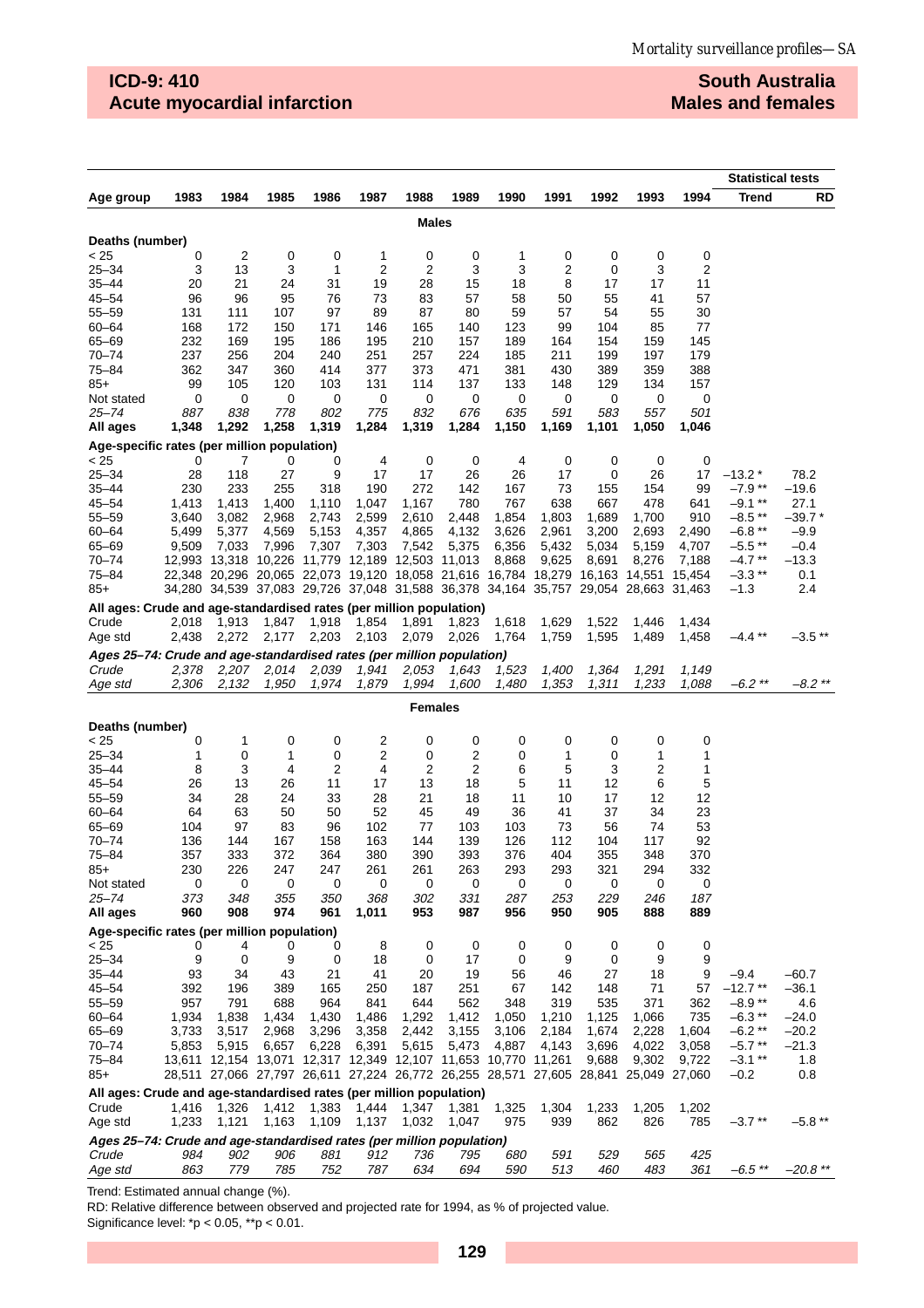**South Australia Males and females**

|                                                                              |                 |            |            |                                                                              |           |                         |             |           |          |            |                                                                                     |                 | <b>Statistical tests</b> |              |
|------------------------------------------------------------------------------|-----------------|------------|------------|------------------------------------------------------------------------------|-----------|-------------------------|-------------|-----------|----------|------------|-------------------------------------------------------------------------------------|-----------------|--------------------------|--------------|
| Age group                                                                    | 1983            | 1984       | 1985       | 1986                                                                         | 1987      | 1988                    | 1989        | 1990      | 1991     | 1992       | 1993                                                                                | 1994            | <b>Trend</b>             | RD           |
|                                                                              |                 |            |            |                                                                              |           | Males                   |             |           |          |            |                                                                                     |                 |                          |              |
| Deaths (number)                                                              |                 |            |            |                                                                              |           |                         |             |           |          |            |                                                                                     |                 |                          |              |
| < 25                                                                         | 0               | 2          | 0          | 0                                                                            | 1         | 0                       | 0           | 1         | 0        | 0          | 0                                                                                   | 0               |                          |              |
| $25 - 34$                                                                    | 3               | 13         | 3          | 1                                                                            | 2         | $\overline{\mathbf{c}}$ | 3           | 3         | 2        | 0          | 3                                                                                   | 2               |                          |              |
| 35–44                                                                        | 20              | 21         | 24         | 31                                                                           | 19        | 28                      | 15          | 18        | 8        | 17         | 17                                                                                  | 11              |                          |              |
| 45–54                                                                        | 96              | 96         | 95         | 76                                                                           | 73        | 83                      | 57          | 58        | 50       | 55         | 41                                                                                  | 57              |                          |              |
| $55 - 59$<br>60-64                                                           | 131<br>168      | 111<br>172 | 107<br>150 | 97<br>171                                                                    | 89<br>146 | 87<br>165               | 80<br>140   | 59<br>123 | 57<br>99 | 54<br>104  | 55<br>85                                                                            | 30<br>77        |                          |              |
| 65-69                                                                        | 232             | 169        | 195        | 186                                                                          | 195       | 210                     | 157         | 189       | 164      | 154        | 159                                                                                 | 145             |                          |              |
| $70 - 74$                                                                    | 237             | 256        | 204        | 240                                                                          | 251       | 257                     | 224         | 185       | 211      | 199        | 197                                                                                 | 179             |                          |              |
| 75-84                                                                        | 362             | 347        | 360        | 414                                                                          | 377       | 373                     | 471         | 381       | 430      | 389        | 359                                                                                 | 388             |                          |              |
| $85+$                                                                        | 99              | 105        | 120        | 103                                                                          | 131       | 114                     | 137         | 133       | 148      | 129        | 134                                                                                 | 157             |                          |              |
| Not stated                                                                   | 0               | 0          | 0          | 0                                                                            | 0         | 0                       | 0           | 0         | 0        | 0          | 0                                                                                   | 0               |                          |              |
| 25–74                                                                        | 887             | 838        | 778        | 802                                                                          | 775       | 832                     | 676         | 635       | 591      | 583        | 557                                                                                 | 501             |                          |              |
| All ages                                                                     | 1,348           | 1,292      | 1,258      | 1,319                                                                        | 1,284     | 1,319                   | 1,284       | 1,150     | 1,169    | 1,101      | 1,050                                                                               | 1,046           |                          |              |
| Age-specific rates (per million population)<br>< 25                          | 0               | 7          | 0          | 0                                                                            | 4         | 0                       | $\mathbf 0$ | 4         | 0        | 0          | 0                                                                                   | 0               |                          |              |
| $25 - 34$                                                                    | 28              | 118        | 27         | 9                                                                            | 17        | 17                      | 26          | 26        | 17       | 0          | 26                                                                                  | 17              | $-13.2*$                 | 78.2         |
| 35-44                                                                        | 230             | 233        | 255        | 318                                                                          | 190       | 272                     | 142         | 167       | 73       | 155        | 154                                                                                 | 99              | $-7.9**$                 | $-19.6$      |
| 45–54                                                                        | 1,413           | 1,413      | 1,400      | 1,110                                                                        | 1,047     | 1,167                   | 780         | 767       | 638      | 667        | 478                                                                                 | 641             | $-9.1**$                 | 27.1         |
| 55–59                                                                        | 3,640           | 3,082      | 2,968      | 2,743                                                                        | 2,599     | 2,610                   | 2,448       | 1,854     | 1,803    | 1,689      | 1,700                                                                               | 910             | $-8.5**$                 | –39.7 *      |
| 60-64                                                                        | 5,499           | 5,377      | 4,569      | 5,153                                                                        | 4,357     | 4,865                   | 4,132       | 3,626     | 2,961    | 3,200      | 2,693                                                                               | 2,490           | $-6.8**$                 | $-9.9$       |
| 65-69<br>$70 - 74$                                                           | 9,509<br>12.993 | 7,033      | 7,996      | 7,307<br>13,318 10,226 11,779 12,189                                         | 7,303     | 7,542                   | 5,375       | 6,356     | 5,432    | 5,034      | 5,159                                                                               | 4,707           | $-5.5$ **<br>$-4.7**$    | $-0.4$       |
| 75–84                                                                        |                 |            |            | 22,348 20,296 20,065 22,073 19,120 18,058 21,616 16,784 18,279 16,163        |           | 12,503 11,013           |             | 8,868     | 9,625    | 8,691      | 8,276<br>14,551                                                                     | 7,188<br>15,454 | $-3.3$ **                | –13.3<br>0.1 |
| $85+$                                                                        |                 |            |            | 34,280 34,539 37,083 29,726 37,048 31,588 36,378 34,164 35,757 29,054 28,663 |           |                         |             |           |          |            |                                                                                     | 31,463          | $-1.3$                   | 2.4          |
| All ages: Crude and age-standardised rates (per million population)          |                 |            |            |                                                                              |           |                         |             |           |          |            |                                                                                     |                 |                          |              |
| Crude                                                                        | 2,018           | 1,913      | 1,847      | 1,918                                                                        | 1,854     | 1,891                   | 1,823       | 1,618     | 1,629    | 1,522      | 1,446                                                                               | 1,434           |                          |              |
| Age std                                                                      | 2,438           | 2,272      | 2,177      | 2,203                                                                        | 2,103     | 2,079                   | 2,026       | 1,764     | 1,759    | 1,595      | 1,489                                                                               | 1,458           | $-4.4$ **                | $-3.5**$     |
| Ages 25-74: Crude and age-standardised rates (per million population)        |                 |            |            |                                                                              |           |                         |             |           |          |            |                                                                                     |                 |                          |              |
| Crude                                                                        | 2,378           | 2,207      | 2,014      | 2,039                                                                        | 1,941     | 2,053                   | 1,643       | 1,523     | 1,400    | 1,364      | 1,291                                                                               | 1,149           |                          |              |
| Age std                                                                      | 2,306           | 2,132      | 1,950      | 1,974                                                                        | 1,879     | 1,994                   | 1,600       | 1,480     | 1,353    | 1,311      | 1,233                                                                               | 1,088           | $-6.2$ **                | $-8.2$ **    |
| <b>Females</b>                                                               |                 |            |            |                                                                              |           |                         |             |           |          |            |                                                                                     |                 |                          |              |
| Deaths (number)                                                              |                 |            |            |                                                                              |           |                         |             |           |          |            |                                                                                     |                 |                          |              |
| < 25                                                                         | 0               | 1          | 0          | 0                                                                            | 2         | 0                       | 0           | 0         | 0        | 0          | 0                                                                                   | 0               |                          |              |
| $25 - 34$<br>35–44                                                           | 1<br>8          | 0<br>3     | 1<br>4     | 0<br>2                                                                       | 2<br>4    | 0<br>2                  | 2<br>2      | 0<br>6    | 1<br>5   | 0<br>3     | 1<br>2                                                                              | 1<br>1          |                          |              |
| 45–54                                                                        | 26              | 13         | 26         | 11                                                                           | 17        | 13                      | 18          | 5         | 11       | 12         | 6                                                                                   | 5               |                          |              |
| 55-59                                                                        | 34              | 28         | 24         | 33                                                                           | 28        | 21                      | 18          | 11        | 10       | 17         | 12                                                                                  | 12              |                          |              |
| $60 - 64$                                                                    | 64              | 63         | 50         | 50                                                                           | 52        | 45                      | 49          | 36        | 41       | 37         | 34                                                                                  | 23              |                          |              |
| 65-69                                                                        | 104             | 97         | 83         | 96                                                                           | 102       | 77                      | 103         | 103       | 73       | 56         | 74                                                                                  | 53              |                          |              |
| $70 - 74$                                                                    | 136             | 144        | 167        | 158                                                                          | 163       | 144                     | 139         | 126       | 112      | 104        | 117                                                                                 | 92              |                          |              |
| 75-84<br>$85+$                                                               | 357             | 333        | 372        | 364                                                                          | 380       | 390                     | 393         | 376       | 404      | 355<br>321 | 348<br>294                                                                          | 370<br>332      |                          |              |
| Not stated                                                                   | 230<br>0        | 226<br>0   | 247<br>0   | 247<br>0                                                                     | 261<br>0  | 261<br>0                | 263<br>0    | 293<br>0  | 293<br>0 | 0          | 0                                                                                   | 0               |                          |              |
| $25 - 74$                                                                    | 373             | 348        | 355        | 350                                                                          | 368       | 302                     | 331         | 287       | 253      | 229        | 246                                                                                 | 187             |                          |              |
| All ages                                                                     | 960             | 908        | 974        | 961                                                                          | 1,011     | 953                     | 987         | 956       | 950      | 905        | 888                                                                                 | 889             |                          |              |
| Age-specific rates (per million population)                                  |                 |            |            |                                                                              |           |                         |             |           |          |            |                                                                                     |                 |                          |              |
| < 25<br>$25 - 34$                                                            | 0<br>9          | 4<br>0     | 0<br>9     | 0<br>0                                                                       | 8         | 0<br>0                  | 0<br>17     | 0<br>0    | 0<br>9   | 0<br>0     | 0<br>9                                                                              | 0<br>9          |                          |              |
| $35 - 44$                                                                    | 93              | 34         | 43         | 21                                                                           | 18<br>41  | 20                      | 19          | 56        | 46       | 27         | 18                                                                                  | 9               | $-9.4$                   | –60.7        |
| 45–54                                                                        | 392             | 196        | 389        | 165                                                                          | 250       | 187                     | 251         | 67        | 142      | 148        | 71                                                                                  | 57              | $-12.7**$                | –36.1        |
| 55-59                                                                        | 957             | 791        | 688        | 964                                                                          | 841       | 644                     | 562         | 348       | 319      | 535        | 371                                                                                 | 362             | $-8.9**$                 | 4.6          |
| 60-64                                                                        | 1,934           | 1,838      | 1,434      | 1,430                                                                        | 1,486     | 1,292                   | 1,412       | 1,050     | 1,210    | 1,125      | 1,066                                                                               | 735             | $-6.3**$                 | –24.0        |
| 65-69                                                                        | 3,733           | 3,517      | 2,968      | 3,296                                                                        | 3,358     | 2,442                   | 3,155       | 3,106     | 2,184    | 1,674      | 2,228                                                                               | 1,604           | $-6.2**$                 | $-20.2$      |
| $70 - 74$                                                                    | 5,853           | 5,915      | 6,657      | 6,228                                                                        | 6,391     | 5,615                   | 5,473       | 4,887     | 4,143    | 3,696      | 4,022                                                                               | 3,058           | $-5.7**$                 | –21.3        |
| 75–84                                                                        |                 |            |            | 13,611 12,154 13,071 12,317 12,349 12,107 11,653 10,770 11,261               |           |                         |             |           |          | 9,688      | 9,302                                                                               | 9,722           | $-3.1$ **                | 1.8          |
| $85+$                                                                        |                 |            |            |                                                                              |           |                         |             |           |          |            | 28,511 27,066 27,797 26,611 27,224 26,772 26,255 28,571 27,605 28,841 25,049 27,060 |                 | $-0.2$                   | 0.8          |
| All ages: Crude and age-standardised rates (per million population)<br>Crude | 1,416           | 1,326      | 1,412      | 1,383                                                                        | 1,444     | 1,347                   | 1,381       | 1,325     | 1,304    | 1,233      | 1,205                                                                               | 1,202           |                          |              |
| Age std                                                                      | 1,233           | 1,121      | 1,163      | 1,109                                                                        | 1,137     | 1,032                   | 1,047       | 975       | 939      | 862        | 826                                                                                 | 785             | $-3.7**$                 | $-5.8**$     |
| Ages 25-74: Crude and age-standardised rates (per million population)        |                 |            |            |                                                                              |           |                         |             |           |          |            |                                                                                     |                 |                          |              |
| Crude                                                                        | 984             | 902        | 906        | 881                                                                          | 912       | 736                     | 795         | 680       | 591      | 529        | 565                                                                                 | 425             |                          |              |
| Age std                                                                      | 863             | 779        | 785        | 752                                                                          | 787       | 634                     | 694         | 590       | 513      | 460        | 483                                                                                 | 361             | $-6.5$ **                | $-20.8$ **   |

Trend: Estimated annual change (%).

RD: Relative difference between observed and projected rate for 1994, as % of projected value.

Significance level:  $p < 0.05$ ,  $p > 0.01$ .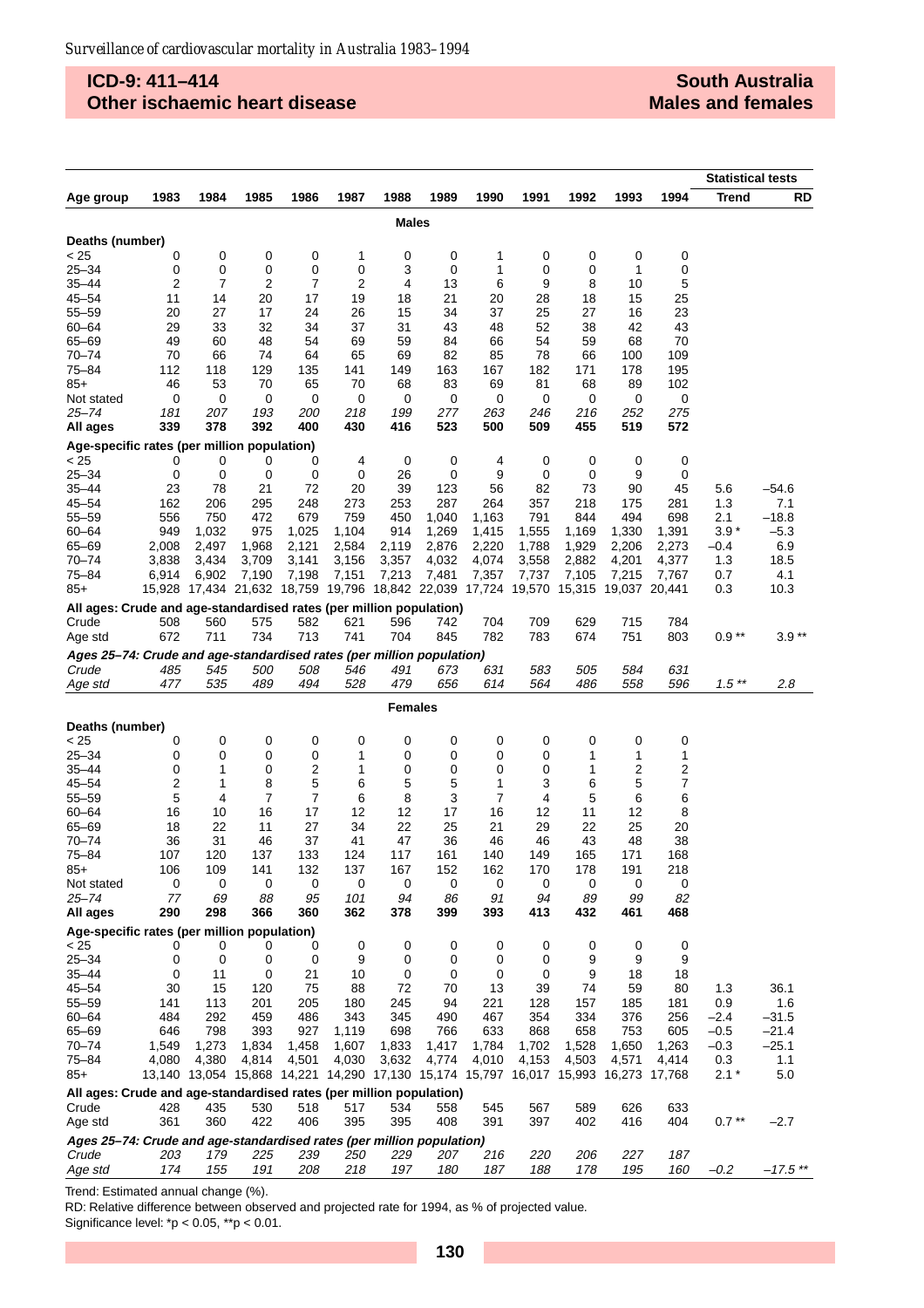### **ICD-9: 411–414 Other ischaemic heart disease**

|                                                                                |            |                |            |                                                  |            |              |            |               |            |               |                                                                                       |                 | <b>Statistical tests</b> |            |
|--------------------------------------------------------------------------------|------------|----------------|------------|--------------------------------------------------|------------|--------------|------------|---------------|------------|---------------|---------------------------------------------------------------------------------------|-----------------|--------------------------|------------|
| Age group                                                                      | 1983       | 1984           | 1985       | 1986                                             | 1987       | 1988         | 1989       | 1990          | 1991       | 1992          | 1993                                                                                  | 1994            | Trend                    | RD         |
|                                                                                |            |                |            |                                                  |            | <b>Males</b> |            |               |            |               |                                                                                       |                 |                          |            |
| Deaths (number)                                                                |            |                |            |                                                  |            |              |            |               |            |               |                                                                                       |                 |                          |            |
| < 25                                                                           | 0          | 0              | 0          | 0                                                | 1          | 0            | 0          | 1             | 0          | 0             | 0                                                                                     | 0               |                          |            |
| $25 - 34$                                                                      | 0          | 0              | 0          | 0                                                | 0          | 3            | 0          | 1             | 0          | 0             | 1                                                                                     | 0               |                          |            |
| $35 - 44$                                                                      | 2          | $\overline{7}$ | 2          | $\overline{7}$                                   | 2          | 4            | 13         | 6             | 9          | 8             | 10                                                                                    | 5               |                          |            |
| 45–54                                                                          | 11         | 14             | 20         | 17                                               | 19         | 18           | 21         | 20            | 28         | 18            | 15                                                                                    | 25              |                          |            |
| $55 - 59$                                                                      | 20         | 27             | 17         | 24                                               | 26         | 15           | 34         | 37            | 25         | 27            | 16                                                                                    | 23              |                          |            |
| $60 - 64$                                                                      | 29         | 33             | 32         | 34                                               | 37         | 31           | 43         | 48            | 52         | 38            | 42                                                                                    | 43              |                          |            |
| $65 - 69$<br>$70 - 74$                                                         | 49<br>70   | 60<br>66       | 48<br>74   | 54<br>64                                         | 69<br>65   | 59<br>69     | 84<br>82   | 66<br>85      | 54<br>78   | 59<br>66      | 68<br>100                                                                             | 70<br>109       |                          |            |
| 75-84                                                                          | 112        | 118            | 129        | 135                                              | 141        | 149          | 163        | 167           | 182        | 171           | 178                                                                                   | 195             |                          |            |
| 85+                                                                            | 46         | 53             | 70         | 65                                               | 70         | 68           | 83         | 69            | 81         | 68            | 89                                                                                    | 102             |                          |            |
| Not stated                                                                     | 0          | 0              | 0          | 0                                                | 0          | 0            | 0          | 0             | 0          | 0             | 0                                                                                     | 0               |                          |            |
| 25–74                                                                          | 181        | 207            | 193        | <i>200</i>                                       | 218        | 199          | 277        | 263           | 246        | 216           | 252                                                                                   | 275             |                          |            |
| All ages                                                                       | 339        | 378            | 392        | 400                                              | 430        | 416          | 523        | 500           | 509        | 455           | 519                                                                                   | 572             |                          |            |
| Age-specific rates (per million population)                                    |            |                |            |                                                  |            |              |            |               |            |               |                                                                                       |                 |                          |            |
| < 25                                                                           | 0<br>0     | 0              | 0<br>0     | 0                                                | 4          | 0<br>26      | 0          | 4<br>9        | 0<br>0     | 0             | 0                                                                                     | 0               |                          |            |
| $25 - 34$<br>35–44                                                             | 23         | 0<br>78        | 21         | 0<br>72                                          | 0<br>20    | 39           | 0<br>123   | 56            | 82         | 0<br>73       | 9<br>90                                                                               | 0<br>45         | 5.6                      | -54.6      |
| $45 - 54$                                                                      | 162        | 206            | 295        | 248                                              | 273        | 253          | 287        | 264           | 357        | 218           | 175                                                                                   | 281             | 1.3                      | 7.1        |
| 55–59                                                                          | 556        | 750            | 472        | 679                                              | 759        | 450          | 1,040      | 1,163         | 791        | 844           | 494                                                                                   | 698             | 2.1                      | $-18.8$    |
| $60 - 64$                                                                      | 949        | 1,032          | 975        | 1,025                                            | 1,104      | 914          | 1,269      | 1,415         | 1,555      | 1,169         | 1,330                                                                                 | 1,391           | $3.9*$                   | $-5.3$     |
| 65-69                                                                          | 2,008      | 2,497          | 1,968      | 2,121                                            | 2,584      | 2,119        | 2,876      | 2,220         | 1,788      | 1,929         | 2,206                                                                                 | 2,273           | $-0.4$                   | 6.9        |
| $70 - 74$                                                                      | 3,838      | 3,434          | 3,709      | 3,141                                            | 3,156      | 3,357        | 4,032      | 4,074         | 3,558      | 2,882         | 4,201                                                                                 | 4,377           | 1.3                      | 18.5       |
| 75–84                                                                          | 6,914      | 6,902          | 7,190      | 7,198                                            | 7,151      | 7,213        | 7,481      | 7,357         | 7,737      | 7,105         | 7,215                                                                                 | 7,767           | 0.7                      | 4.1        |
| $85+$                                                                          |            |                |            | 15,928 17,434 21,632 18,759 19,796 18,842 22,039 |            |              |            | 17,724 19,570 |            | 15,315 19,037 |                                                                                       | 20,441          | 0.3                      | 10.3       |
| All ages: Crude and age-standardised rates (per million population)            |            |                |            |                                                  |            |              |            |               |            |               |                                                                                       |                 |                          |            |
| Crude                                                                          | 508<br>672 | 560<br>711     | 575<br>734 | 582<br>713                                       | 621<br>741 | 596<br>704   | 742<br>845 | 704<br>782    | 709<br>783 | 629<br>674    | 715<br>751                                                                            | 784<br>803      | $0.9**$                  | $3.9**$    |
| Age std                                                                        |            |                |            |                                                  |            |              |            |               |            |               |                                                                                       |                 |                          |            |
| Ages 25-74: Crude and age-standardised rates (per million population)<br>Crude | 485        | 545            | <i>500</i> | 508                                              | 546        | 491          | 673        | 631           | 583        | 505           | 584                                                                                   | 631             |                          |            |
| Age std                                                                        | 477        | 535            | 489        | 494                                              | 528        | 479          | 656        | 614           | 564        | 486           | 558                                                                                   | 596             | $1.5**$                  | 2.8        |
|                                                                                |            |                |            |                                                  |            |              |            |               |            |               |                                                                                       |                 |                          |            |
| <b>Females</b><br>Deaths (number)                                              |            |                |            |                                                  |            |              |            |               |            |               |                                                                                       |                 |                          |            |
| < 25                                                                           | 0          | 0              | 0          | 0                                                | 0          | 0            | 0          | 0             | 0          | 0             | 0                                                                                     | 0               |                          |            |
| 25–34                                                                          | 0          | 0              | 0          | 0                                                | 1          | 0            | 0          | 0             | 0          | 1             | 1                                                                                     | 1               |                          |            |
| $35 - 44$                                                                      | 0          | 1              | 0          | $\overline{2}$                                   | 1          | 0            | 0          | 0             | 0          | 1             | 2                                                                                     | 2               |                          |            |
| $45 - 54$                                                                      | 2          | 1              | 8          | 5                                                | 6          | 5            | 5          | 1             | 3          | 6             | 5                                                                                     | 7               |                          |            |
| $55 - 59$                                                                      | 5          | 4              | 7          | 7                                                | 6          | 8            | 3          | 7             | 4          | 5             | 6                                                                                     | 6               |                          |            |
| $60 - 64$<br>65-69                                                             | 16<br>18   | 10<br>22       | 16<br>11   | 17<br>27                                         | 12<br>34   | 12<br>22     | 17<br>25   | 16<br>21      | 12<br>29   | 11<br>22      | 12<br>25                                                                              | 8<br>20         |                          |            |
| $70 - 74$                                                                      | 36         | 31             | 46         | 37                                               | 41         | 47           | 36         | 46            | 46         | 43            | 48                                                                                    | 38              |                          |            |
| 75–84                                                                          | 107        | 120            | 137        | 133                                              | 124        | 117          | 161        | 140           | 149        | 165           | 171                                                                                   | 168             |                          |            |
| $85+$                                                                          | 106        | 109            | 141        | 132                                              | 137        | 167          | 152        | 162           | 170        | 178           | 191                                                                                   | 218             |                          |            |
| Not stated                                                                     | 0          | 0              | 0          | 0                                                | 0          | 0            | 0          | 0             | 0          | 0             | 0                                                                                     | 0               |                          |            |
| 25–74                                                                          | 77         | 69             | 88         | 95                                               | 101        | 94           | 86         | 91            | 94         | 89            | 99                                                                                    | 82              |                          |            |
| All ages                                                                       | 290        | 298            | 366        | 360                                              | 362        | 378          | 399        | 393           | 413        | 432           | 461                                                                                   | 468             |                          |            |
| Age-specific rates (per million population)<br>< 25                            | 0          | 0              | 0          | 0                                                | 0          | 0            | 0          | 0             | 0          | 0             | 0                                                                                     | 0               |                          |            |
| $25 - 34$                                                                      | 0          | 0              | 0          | 0                                                | 9          | 0            | 0          | 0             | 0          | 9             | 9                                                                                     | 9               |                          |            |
| $35 - 44$                                                                      | 0          | 11             | 0          | 21                                               | 10         | 0            | 0          | 0             | 0          | 9             | 18                                                                                    | 18              |                          |            |
| $45 - 54$                                                                      | 30         | 15             | 120        | 75                                               | 88         | 72           | 70         | 13            | 39         | 74            | 59                                                                                    | 80              | 1.3                      | 36.1       |
| $55 - 59$                                                                      | 141        | 113            | 201        | 205                                              | 180        | 245          | 94         | 221           | 128        | 157           | 185                                                                                   | 181             | 0.9                      | 1.6        |
| $60 - 64$                                                                      | 484        | 292            | 459        | 486                                              | 343        | 345          | 490        | 467           | 354        | 334           | 376                                                                                   | 256             | $-2.4$                   | -31.5      |
| 65-69                                                                          | 646        | 798            | 393        | 927                                              | 1,119      | 698          | 766        | 633           | 868        | 658           | 753                                                                                   | 605             | $-0.5$                   | $-21.4$    |
| 70–74                                                                          | 1,549      | 1,273          | 1,834      | 1,458                                            | 1,607      | 1,833        | 1,417      | 1,784         | 1,702      | 1,528         | 1,650                                                                                 | 1,263           | $-0.3$                   | $-25.1$    |
| 75–84<br>85+                                                                   | 4,080      | 4,380          | 4,814      | 4,501                                            | 4,030      | 3,632        | 4,774      | 4,010         | 4,153      | 4,503         | 4,571<br>13,140 13,054 15,868 14,221 14,290 17,130 15,174 15,797 16,017 15,993 16,273 | 4,414<br>17,768 | 0.3<br>$2.1*$            | 1.1<br>5.0 |
| All ages: Crude and age-standardised rates (per million population)            |            |                |            |                                                  |            |              |            |               |            |               |                                                                                       |                 |                          |            |
| Crude                                                                          | 428        | 435            | 530        | 518                                              | 517        | 534          | 558        | 545           | 567        | 589           | 626                                                                                   | 633             |                          |            |
| Age std                                                                        | 361        | 360            | 422        | 406                                              | 395        | 395          | 408        | 391           | 397        | 402           | 416                                                                                   | 404             | $0.7**$                  | $-2.7$     |
| Ages 25-74: Crude and age-standardised rates (per million population)          |            |                |            |                                                  |            |              |            |               |            |               |                                                                                       |                 |                          |            |
| Crude                                                                          | 203        | 179            | 225        | 239                                              | <i>250</i> | 229          | 207        | 216           | 220        | 206           | 227                                                                                   | 187             |                          |            |
| Age std                                                                        | 174        | 155            | 191        | 208                                              | 218        | 197          | 180        | 187           | 188        | 178           | 195                                                                                   | 160             | $-0.2$                   | $-17.5$ ** |

Trend: Estimated annual change (%).

RD: Relative difference between observed and projected rate for 1994, as % of projected value. Significance level:  $p < 0.05$ ,  $p > 0.01$ .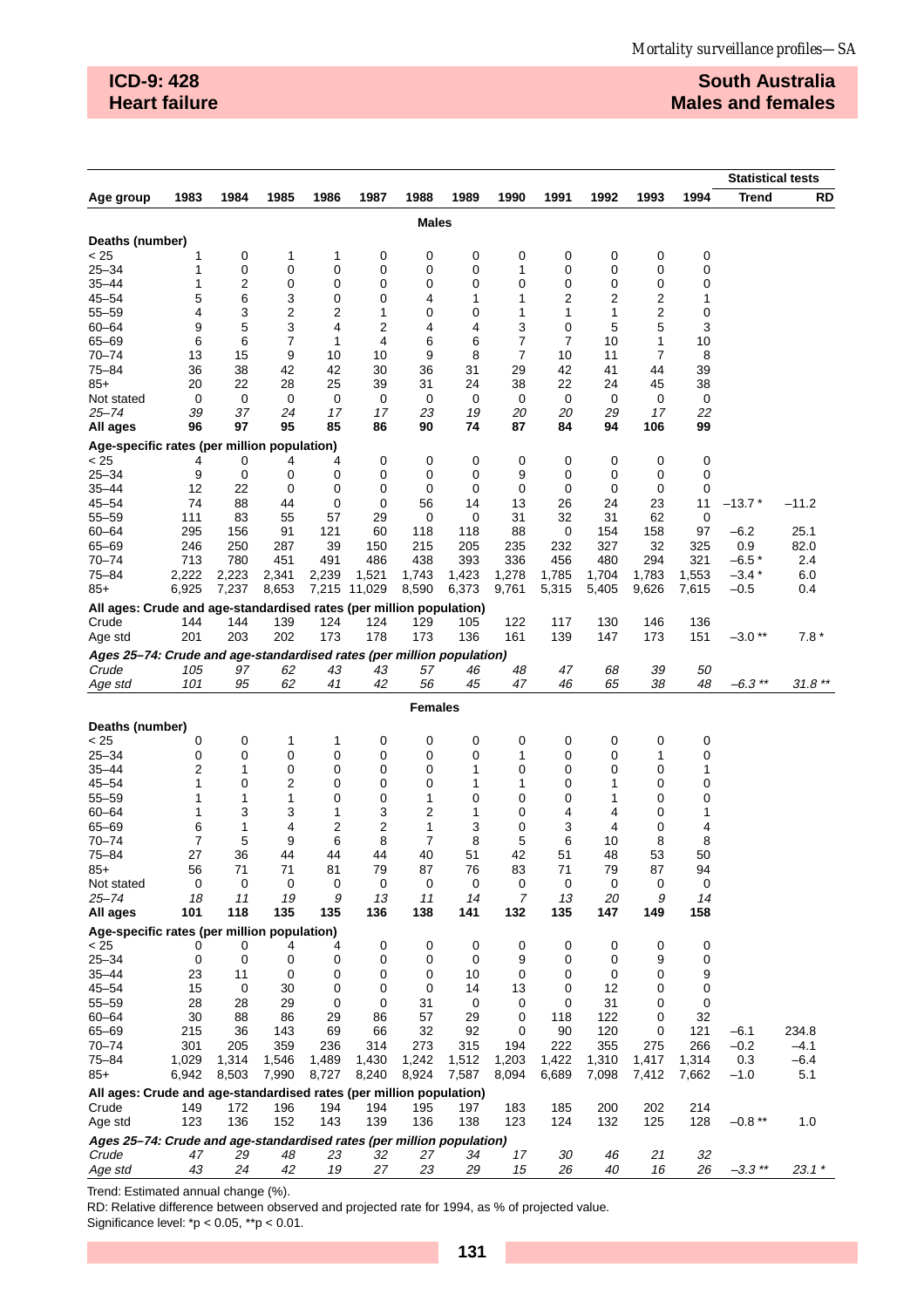# **ICD-9: 428 Heart failure**

# **South Australia Males and females**

|                                                                                |              |              |              |              |              |                |              |                     |              |              |              |              | <b>Statistical tests</b> |            |
|--------------------------------------------------------------------------------|--------------|--------------|--------------|--------------|--------------|----------------|--------------|---------------------|--------------|--------------|--------------|--------------|--------------------------|------------|
| Age group                                                                      | 1983         | 1984         | 1985         | 1986         | 1987         | 1988           | 1989         | 1990                | 1991         | 1992         | 1993         | 1994         | <b>Trend</b>             | RD         |
|                                                                                |              |              |              |              |              | <b>Males</b>   |              |                     |              |              |              |              |                          |            |
| Deaths (number)                                                                |              |              |              |              |              |                |              |                     |              |              |              |              |                          |            |
| < 25                                                                           |              | 0            | 1            | 1            | 0            | 0              | 0            | 0                   | 0            | 0            | 0            | 0            |                          |            |
| $25 - 34$                                                                      | 1            | 0            | 0            | 0            | 0            | 0              | 0            | 1                   | 0            | 0            | 0            | 0            |                          |            |
| 35–44                                                                          | 1            | 2            | 0            | 0            | 0            | 0              | 0            | 0                   | 0            | 0            | 0            | 0            |                          |            |
| $45 - 54$                                                                      | 5            | 6            | 3            | 0            | 0            | 4              | 1            | 1                   | 2            | 2            | 2            | 1            |                          |            |
| $55 - 59$<br>$60 - 64$                                                         | 4<br>9       | 3<br>5       | 2<br>3       | 2<br>4       | 1<br>2       | 0<br>4         | 0<br>4       | 1<br>3              | 1<br>0       | 1<br>5       | 2<br>5       | 0<br>3       |                          |            |
| 65-69                                                                          | 6            | 6            | 7            | 1            | 4            | 6              | 6            | 7                   | 7            | 10           | 1            | 10           |                          |            |
| $70 - 74$                                                                      | 13           | 15           | 9            | 10           | 10           | 9              | 8            | $\overline{7}$      | 10           | 11           | 7            | 8            |                          |            |
| $75 - 84$                                                                      | 36           | 38           | 42           | 42           | 30           | 36             | 31           | 29                  | 42           | 41           | 44           | 39           |                          |            |
| $85+$                                                                          | 20           | 22           | 28           | 25           | 39           | 31             | 24           | 38                  | 22           | 24           | 45           | 38           |                          |            |
| Not stated                                                                     | 0            | 0            | 0            | 0            | 0            | 0              | 0            | 0                   | 0            | 0            | 0            | 0            |                          |            |
| 25–74                                                                          | 39           | 37           | 24           | 17           | 17           | 23             | 19           | 20                  | 20           | 29           | 17           | 22           |                          |            |
| All ages                                                                       | 96           | 97           | 95           | 85           | 86           | 90             | 74           | 87                  | 84           | 94           | 106          | 99           |                          |            |
| Age-specific rates (per million population)<br>< 25                            | 4            | 0            | 4            | 4            | 0            | 0              | 0            | 0                   | 0            | 0            | 0            | 0            |                          |            |
| $25 - 34$                                                                      | 9            | $\mathbf 0$  | 0            | 0            | 0            | 0              | 0            | 9                   | 0            | 0            | 0            | 0            |                          |            |
| 35–44                                                                          | 12           | 22           | 0            | 0            | 0            | 0              | 0            | 0                   | 0            | 0            | 0            | 0            |                          |            |
| $45 - 54$                                                                      | 74           | 88           | 44           | 0            | $\mathbf 0$  | 56             | 14           | 13                  | 26           | 24           | 23           | 11           | $-13.7*$                 | $-11.2$    |
| $55 - 59$                                                                      | 111          | 83           | 55           | 57           | 29           | 0              | 0            | 31                  | 32           | 31           | 62           | 0            |                          |            |
| $60 - 64$                                                                      | 295          | 156          | 91           | 121          | 60           | 118            | 118          | 88                  | 0            | 154          | 158          | 97           | $-6.2$                   | 25.1       |
| 65-69                                                                          | 246          | 250          | 287          | 39           | 150          | 215            | 205          | 235                 | 232          | 327          | 32           | 325          | 0.9                      | 82.0       |
| $70 - 74$<br>$75 - 84$                                                         | 713<br>2,222 | 780<br>2,223 | 451<br>2,341 | 491<br>2,239 | 486<br>1,521 | 438<br>1,743   | 393<br>1,423 | 336<br>1,278        | 456<br>1,785 | 480<br>1,704 | 294<br>1,783 | 321<br>1,553 | $-6.5*$<br>$-3.4*$       | 2.4<br>6.0 |
| $85+$                                                                          | 6,925        | 7,237        | 8,653        | 7,215 11,029 |              | 8,590          | 6,373        | 9,761               | 5,315        | 5,405        | 9,626        | 7,615        | -0.5                     | 0.4        |
| All ages: Crude and age-standardised rates (per million population)            |              |              |              |              |              |                |              |                     |              |              |              |              |                          |            |
| Crude                                                                          | 144          | 144          | 139          | 124          | 124          | 129            | 105          | 122                 | 117          | 130          | 146          | 136          |                          |            |
| Age std                                                                        | 201          | 203          | 202          | 173          | 178          | 173            | 136          | 161                 | 139          | 147          | 173          | 151          | $-3.0**$                 | $7.8*$     |
| Ages 25-74: Crude and age-standardised rates (per million population)          |              |              |              |              |              |                |              |                     |              |              |              |              |                          |            |
| Crude                                                                          | 105          | 97           | 62           | 43           | 43           | 57             | 46           | 48                  | 47           | 68           | 39           | 50           |                          |            |
| Age std                                                                        | 101          | 95           | 62           | 41           | 42           | 56             | 45           | 47                  | 46           | 65           | 38           | 48           | $-6.3$ **                | $31.8**$   |
| <b>Females</b>                                                                 |              |              |              |              |              |                |              |                     |              |              |              |              |                          |            |
| Deaths (number)                                                                |              |              |              |              |              |                |              |                     |              |              |              |              |                          |            |
| < 25                                                                           | 0            | 0            | 1            | 1            | 0            | 0              | 0            | 0                   | 0            | 0            | 0            | 0            |                          |            |
| $25 - 34$<br>$35 - 44$                                                         | 0<br>2       | 0<br>1       | 0<br>0       | 0<br>0       | 0<br>0       | 0<br>0         | 0<br>1       | 1<br>0              | 0<br>0       | 0<br>0       | 1<br>0       | 0<br>1       |                          |            |
| $45 - 54$                                                                      | 1            | 0            | 2            | 0            | 0            | 0              | 1            | 1                   | 0            | 1            | 0            | 0            |                          |            |
| $55 - 59$                                                                      | 1            | 1            | 1            | 0            | 0            | 1              | 0            | 0                   | 0            | 1            | 0            | 0            |                          |            |
| $60 - 64$                                                                      | 1            | 3            | 3            | 1            | 3            | $\overline{2}$ | 1            | 0                   | 4            | 4            | 0            | 1            |                          |            |
| 65-69                                                                          | 6            | 1            | 4            | 2            | 2            | 1              | 3            | 0                   | 3            | 4            | 0            | 4            |                          |            |
| $70 - 74$                                                                      | 7            | 5            | 9            | 6            | 8            | 7              | 8            | 5                   | 6            | 10           | 8            | 8            |                          |            |
| $75 - 84$                                                                      | 27           | 36           | 44           | 44           | 44           | 40             | 51           | 42                  | 51           | 48           | 53           | 50           |                          |            |
| $85+$<br>Not stated                                                            | 56<br>0      | 71<br>0      | 71           | 81<br>0      | 79<br>0      | 87<br>0        | 76<br>0      | 83                  | 71           | 79<br>0      | 87           | 94<br>0      |                          |            |
| 25–74                                                                          | 18           | 11           | 0<br>19      | 9            | 13           | 11             | 14           | 0<br>$\overline{7}$ | 0<br>13      | 20           | 0<br>9       | 14           |                          |            |
| All ages                                                                       | 101          | 118          | 135          | 135          | 136          | 138            | 141          | 132                 | 135          | 147          | 149          | 158          |                          |            |
| Age-specific rates (per million population)                                    |              |              |              |              |              |                |              |                     |              |              |              |              |                          |            |
| < 25                                                                           | 0            | 0            | 4            | 4            | 0            | 0              | 0            | 0                   | 0            | 0            | 0            | 0            |                          |            |
| $25 - 34$                                                                      | 0            | 0            | 0            | 0            | 0            | 0              | 0            | 9                   | 0            | 0            | 9            | 0            |                          |            |
| $35 - 44$<br>$45 - 54$                                                         | 23           | 11           | 0            | 0            | 0            | 0              | 10           | 0                   | 0            | 0            | 0<br>0       | 9            |                          |            |
| 55-59                                                                          | 15<br>28     | 0<br>28      | 30<br>29     | 0<br>0       | 0<br>0       | 0<br>31        | 14<br>0      | 13<br>0             | 0<br>0       | 12<br>31     | 0            | 0<br>0       |                          |            |
| $60 - 64$                                                                      | 30           | 88           | 86           | 29           | 86           | 57             | 29           | 0                   | 118          | 122          | 0            | 32           |                          |            |
| 65-69                                                                          | 215          | 36           | 143          | 69           | 66           | 32             | 92           | 0                   | 90           | 120          | 0            | 121          | -6.1                     | 234.8      |
| 70-74                                                                          | 301          | 205          | 359          | 236          | 314          | 273            | 315          | 194                 | 222          | 355          | 275          | 266          | $-0.2$                   | $-4.1$     |
| $75 - 84$                                                                      | 1,029        | 1,314        | 1,546        | 1,489        | 1,430        | 1,242          | 1,512        | 1,203               | 1,422        | 1,310        | 1,417        | 1,314        | 0.3                      | $-6.4$     |
| $85+$                                                                          | 6,942        | 8,503        | 7,990        | 8,727        | 8,240        | 8,924          | 7,587        | 8,094               | 6,689        | 7,098        | 7,412        | 7,662        | $-1.0$                   | 5.1        |
| All ages: Crude and age-standardised rates (per million population)            |              |              |              |              |              |                |              |                     |              |              |              |              |                          |            |
| Crude                                                                          | 149          | 172          | 196          | 194          | 194          | 195            | 197          | 183                 | 185          | 200          | 202          | 214          |                          |            |
| Age std                                                                        | 123          | 136          | 152          | 143          | 139          | 136            | 138          | 123                 | 124          | 132          | 125          | 128          | $-0.8**$                 | 1.0        |
| Ages 25-74: Crude and age-standardised rates (per million population)<br>Crude | 47           | 29           | 48           | 23           | 32           | 27             | 34           | 17                  | 30           | 46           | 21           | 32           |                          |            |
| Age std                                                                        | 43           | 24           | 42           | 19           | 27           | 23             | 29           | 15                  | 26           | 40           | 16           | 26           | $-3.3$ **                | $23.1*$    |

Trend: Estimated annual change (%).

RD: Relative difference between observed and projected rate for 1994, as % of projected value.

Significance level:  $p < 0.05$ ,  $p > 0.01$ .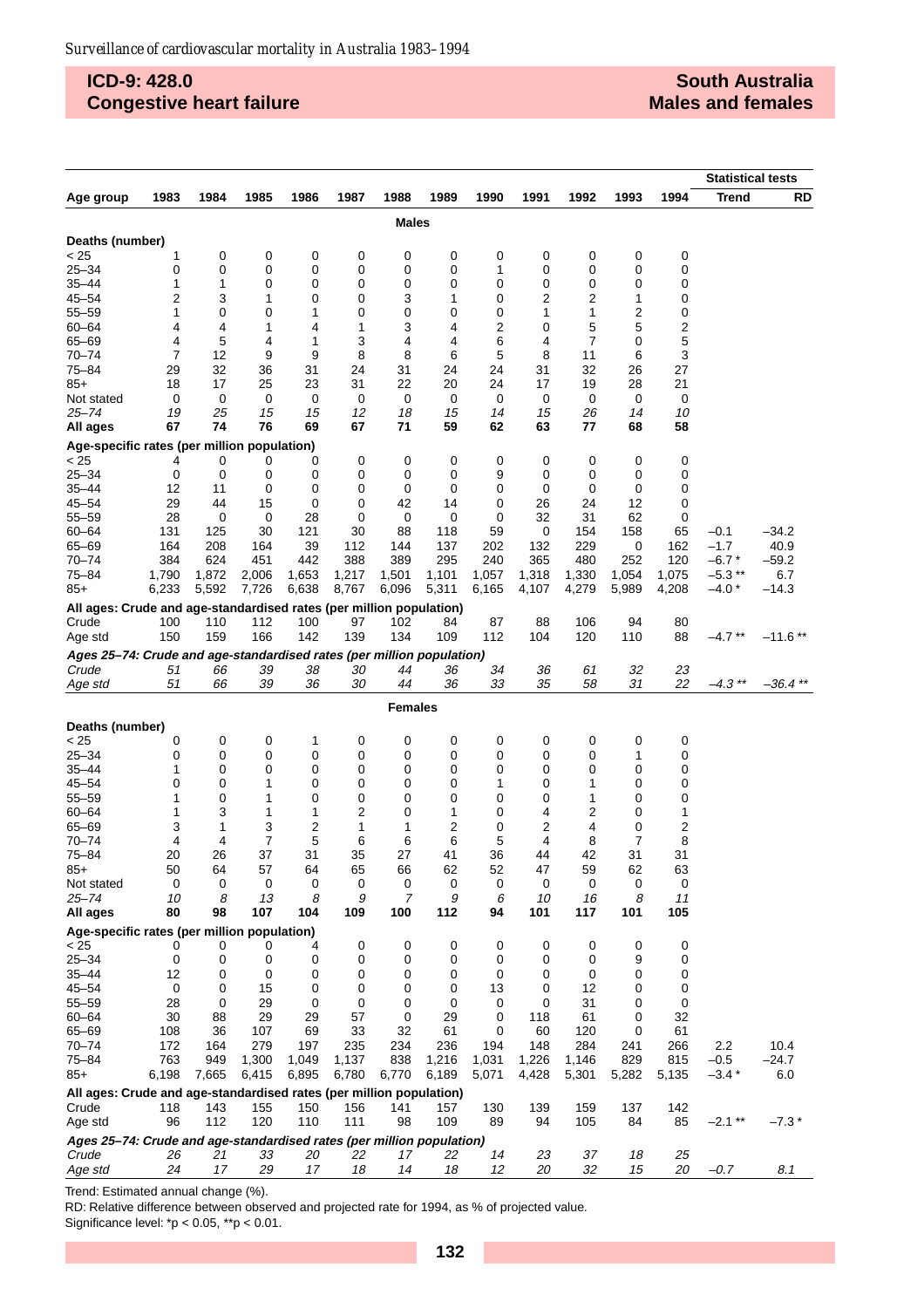# **ICD-9: 428.0 Congestive heart failure**

### **South Australia Males and females**

|                                                                       |          |          |          |          |          |                |          |          |          |                |          |          | <b>Statistical tests</b> |            |
|-----------------------------------------------------------------------|----------|----------|----------|----------|----------|----------------|----------|----------|----------|----------------|----------|----------|--------------------------|------------|
| Age group                                                             | 1983     | 1984     | 1985     | 1986     | 1987     | 1988           | 1989     | 1990     | 1991     | 1992           | 1993     | 1994     | <b>Trend</b>             | RD         |
|                                                                       |          |          |          |          |          | Males          |          |          |          |                |          |          |                          |            |
|                                                                       |          |          |          |          |          |                |          |          |          |                |          |          |                          |            |
| Deaths (number)                                                       |          |          |          |          |          | 0              | 0        |          |          |                |          |          |                          |            |
| < 25<br>$25 - 34$                                                     | 1<br>0   | 0<br>0   | 0<br>0   | 0<br>0   | 0<br>0   | 0              | 0        | 0<br>1   | 0<br>0   | 0<br>0         | 0<br>0   | 0<br>0   |                          |            |
| $35 - 44$                                                             | 1        | 1        | 0        | 0        | 0        | 0              | 0        | 0        | 0        | 0              | 0        | 0        |                          |            |
| 45-54                                                                 | 2        | 3        | 1        | 0        | 0        | 3              | 1        | 0        | 2        | 2              | 1        | 0        |                          |            |
| 55–59                                                                 | 1        | 0        | 0        | 1        | 0        | 0              | 0        | 0        | 1        | 1              | 2        | 0        |                          |            |
| $60 - 64$                                                             | 4        | 4        | 1        | 4        | 1        | 3              | 4        | 2        | 0        | 5              | 5        | 2        |                          |            |
| 65-69                                                                 | 4        | 5        | 4        | 1        | 3        | 4              | 4        | 6        | 4        | $\overline{7}$ | 0        | 5        |                          |            |
| $70 - 74$                                                             | 7        | 12       | 9        | 9        | 8        | 8              | 6        | 5        | 8        | 11             | 6        | 3        |                          |            |
| 75-84                                                                 | 29       | 32       | 36       | 31       | 24       | 31             | 24       | 24       | 31       | 32             | 26       | 27       |                          |            |
| $85+$                                                                 | 18       | 17       | 25       | 23       | 31       | 22             | 20       | 24       | 17       | 19             | 28       | 21       |                          |            |
| Not stated                                                            | 0        | 0        | 0        | 0        | 0        | 0              | 0        | 0        | 0        | 0              | 0        | 0        |                          |            |
| 25–74<br>All ages                                                     | 19<br>67 | 25<br>74 | 15<br>76 | 15<br>69 | 12<br>67 | 18<br>71       | 15<br>59 | 14<br>62 | 15<br>63 | 26<br>77       | 14<br>68 | 10<br>58 |                          |            |
|                                                                       |          |          |          |          |          |                |          |          |          |                |          |          |                          |            |
| Age-specific rates (per million population)<br>< 25                   | 4        | 0        | 0        | 0        | 0        | 0              | 0        | 0        | 0        | 0              | 0        | 0        |                          |            |
| $25 - 34$                                                             | 0        | 0        | 0        | 0        | 0        | 0              | 0        | 9        | 0        | 0              | 0        | 0        |                          |            |
| 35–44                                                                 | 12       | 11       | 0        | 0        | 0        | 0              | 0        | 0        | 0        | 0              | 0        | 0        |                          |            |
| $45 - 54$                                                             | 29       | 44       | 15       | 0        | 0        | 42             | 14       | 0        | 26       | 24             | 12       | 0        |                          |            |
| $55 - 59$                                                             | 28       | 0        | 0        | 28       | 0        | 0              | 0        | 0        | 32       | 31             | 62       | 0        |                          |            |
| $60 - 64$                                                             | 131      | 125      | 30       | 121      | 30       | 88             | 118      | 59       | 0        | 154            | 158      | 65       | $-0.1$                   | –34.2      |
| 65-69                                                                 | 164      | 208      | 164      | 39       | 112      | 144            | 137      | 202      | 132      | 229            | 0        | 162      | $-1.7$                   | 40.9       |
| $70 - 74$                                                             | 384      | 624      | 451      | 442      | 388      | 389            | 295      | 240      | 365      | 480            | 252      | 120      | $-6.7*$                  | $-59.2$    |
| 75–84                                                                 | 1,790    | 1,872    | 2,006    | 1,653    | 1,217    | 1,501          | 1,101    | 1,057    | 1,318    | 1,330          | 1,054    | 1,075    | $-5.3$ **                | 6.7        |
| $85+$                                                                 | 6,233    | 5,592    | 7,726    | 6,638    | 8,767    | 6,096          | 5,311    | 6,165    | 4,107    | 4,279          | 5,989    | 4,208    | $-4.0*$                  | –14.3      |
| All ages: Crude and age-standardised rates (per million population)   |          |          |          |          |          |                |          |          |          |                |          |          |                          |            |
| Crude                                                                 | 100      | 110      | 112      | 100      | 97       | 102            | 84       | 87       | 88       | 106            | 94       | 80       |                          |            |
| Age std                                                               | 150      | 159      | 166      | 142      | 139      | 134            | 109      | 112      | 104      | 120            | 110      | 88       | $-4.7$ **                | $-11.6**$  |
| Ages 25-74: Crude and age-standardised rates (per million population) |          |          |          |          |          |                |          |          |          |                |          |          |                          |            |
| Crude<br>Age std                                                      | 51<br>51 | 66<br>66 | 39<br>39 | 38<br>36 | 30<br>30 | 44<br>44       | 36<br>36 | 34<br>33 | 36<br>35 | 61<br>58       | 32<br>31 | 23<br>22 | $-4.3$ **                | $-36.4$ ** |
|                                                                       |          |          |          |          |          |                |          |          |          |                |          |          |                          |            |
| <b>Females</b>                                                        |          |          |          |          |          |                |          |          |          |                |          |          |                          |            |
| Deaths (number)                                                       |          |          |          |          |          |                |          |          |          |                |          |          |                          |            |
| < 25                                                                  | 0        | 0        | 0        | 1        | 0        | 0              | 0        | 0        | 0        | 0              | 0        | 0        |                          |            |
| $25 - 34$                                                             | 0        | 0        | 0        | 0        | 0        | 0              | 0        | 0        | 0        | 0              | 1        | 0        |                          |            |
| 35–44                                                                 | 1        | 0        | 0        | 0        | 0        | 0              | 0        | 0        | 0        | 0              | 0        | 0        |                          |            |
| $45 - 54$                                                             | 0        | 0        | 1        | 0        | 0        | 0              | 0        | 1        | 0        | 1              | 0        | 0        |                          |            |
| $55 - 59$<br>$60 - 64$                                                | 1<br>1   | 0<br>3   | 1<br>1   | 0<br>1   | 0<br>2   | 0<br>0         | 0<br>1   | 0<br>0   | 0<br>4   | 1<br>2         | 0<br>0   | 0<br>1   |                          |            |
| 65-69                                                                 | 3        | 1        | 3        | 2        | 1        | 1              | 2        | 0        | 2        | 4              | 0        | 2        |                          |            |
| $70 - 74$                                                             | 4        | 4        | 7        | 5        | 6        | 6              | 6        | 5        | 4        | 8              | 7        | 8        |                          |            |
| $75 - 84$                                                             | 20       | 26       | 37       | 31       | 35       | 27             | 41       | 36       | 44       | 42             | 31       | 31       |                          |            |
| $85+$                                                                 | 50       | 64       | 57       | 64       | 65       | 66             | 62       | 52       | 47       | 59             | 62       | 63       |                          |            |
| Not stated                                                            | 0        | 0        | 0        | 0        | 0        | 0              | 0        | 0        | 0        | 0              | 0        | 0        |                          |            |
| 25–74                                                                 | 10       | 8        | 13       | 8        | 9        | $\overline{7}$ | 9        | 6        | 10       | 16             | 8        | 11       |                          |            |
| All ages                                                              | 80       | 98       | 107      | 104      | 109      | 100            | 112      | 94       | 101      | 117            | 101      | 105      |                          |            |
| Age-specific rates (per million population)                           |          |          |          |          |          |                |          |          |          |                |          |          |                          |            |
| < 25                                                                  | 0        | 0        | 0        | 4        | 0        | 0              | 0        | 0        | 0        | 0              | 0        | 0        |                          |            |
| $25 - 34$<br>$35 - 44$                                                | 0<br>12  | 0<br>0   | 0<br>0   | 0<br>0   | 0<br>0   | 0<br>0         | 0<br>0   | 0<br>0   | 0<br>0   | 0<br>0         | 9<br>0   | 0<br>0   |                          |            |
| $45 - 54$                                                             | 0        | 0        | 15       | 0        | 0        | 0              | 0        | 13       | 0        | 12             | 0        | 0        |                          |            |
| $55 - 59$                                                             | 28       | 0        | 29       | 0        | 0        | 0              | 0        | 0        | 0        | 31             | 0        | 0        |                          |            |
| $60 - 64$                                                             | 30       | 88       | 29       | 29       | 57       | 0              | 29       | 0        | 118      | 61             | 0        | 32       |                          |            |
| 65-69                                                                 | 108      | 36       | 107      | 69       | 33       | 32             | 61       | 0        | 60       | 120            | 0        | 61       |                          |            |
| $70 - 74$                                                             | 172      | 164      | 279      | 197      | 235      | 234            | 236      | 194      | 148      | 284            | 241      | 266      | 2.2                      | 10.4       |
| 75-84                                                                 | 763      | 949      | 1,300    | 1,049    | 1,137    | 838            | 1,216    | 1,031    | 1,226    | 1,146          | 829      | 815      | $-0.5$                   | $-24.7$    |
| 85+                                                                   | 6,198    | 7,665    | 6,415    | 6,895    | 6,780    | 6,770          | 6,189    | 5,071    | 4,428    | 5,301          | 5,282    | 5,135    | $-3.4*$                  | 6.0        |
| All ages: Crude and age-standardised rates (per million population)   |          |          |          |          |          |                |          |          |          |                |          |          |                          |            |
| Crude                                                                 | 118      | 143      | 155      | 150      | 156      | 141            | 157      | 130      | 139      | 159            | 137      | 142      |                          |            |
| Age std                                                               | 96       | 112      | 120      | 110      | 111      | 98             | 109      | 89       | 94       | 105            | 84       | 85       | $-2.1$ **                | $-7.3*$    |
| Ages 25-74: Crude and age-standardised rates (per million population) |          |          |          |          |          |                |          |          |          |                |          |          |                          |            |
| Crude                                                                 | 26       | 21       | 33       | 20       | 22       | 17             | 22       | 14       | 23       | 37             | 18       | 25       |                          |            |
| Age std                                                               | 24       | 17       | 29       | 17       | 18       | 14             | 18       | 12       | 20       | 32             | 15       | 20       | $-0.7$                   | 8.1        |

Trend: Estimated annual change (%).

RD: Relative difference between observed and projected rate for 1994, as % of projected value. Significance level:  $p < 0.05$ ,  $p > 0.01$ .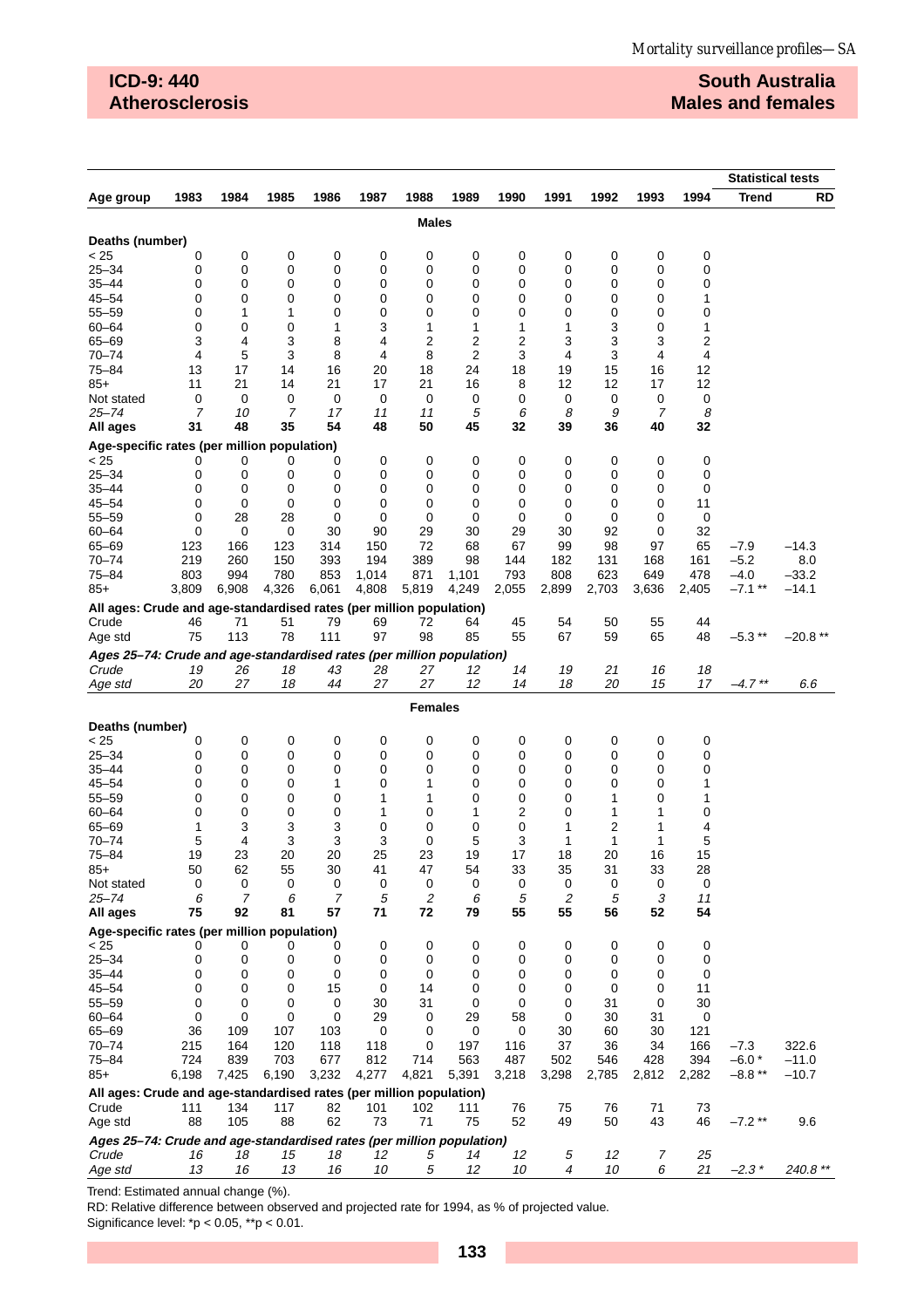# **ICD-9: 440 Atherosclerosis**

# **South Australia Males and females**

|                                                                       |            |                |            |             |              |                |                  |            |                |                  |                |            | <b>Statistical tests</b> |                |
|-----------------------------------------------------------------------|------------|----------------|------------|-------------|--------------|----------------|------------------|------------|----------------|------------------|----------------|------------|--------------------------|----------------|
| Age group                                                             | 1983       | 1984           | 1985       | 1986        | 1987         | 1988           | 1989             | 1990       | 1991           | 1992             | 1993           | 1994       | <b>Trend</b>             | RD             |
|                                                                       |            |                |            |             |              | <b>Males</b>   |                  |            |                |                  |                |            |                          |                |
| Deaths (number)                                                       |            |                |            |             |              |                |                  |            |                |                  |                |            |                          |                |
| < 25                                                                  | 0          | 0              | 0          | 0           | 0            | 0              | 0                | 0          | 0              | 0                | 0              | 0          |                          |                |
| $25 - 34$                                                             | 0          | 0              | 0          | 0           | 0            | 0              | 0                | 0          | 0              | 0                | 0              | 0          |                          |                |
| $35 - 44$                                                             | 0          | 0              | 0          | 0           | 0            | 0              | 0                | 0          | 0              | 0                | 0              | 0          |                          |                |
| $45 - 54$                                                             | 0          | 0              | 0          | 0           | 0            | 0              | 0                | 0          | 0              | 0                | 0              | 1          |                          |                |
| $55 - 59$                                                             | 0          | 1              | 1          | 0           | 0            | 0              | 0                | 0          | 0              | 0                | 0              | 0          |                          |                |
| $60 - 64$<br>65-69                                                    | 0<br>3     | 0<br>4         | 0<br>3     | 1<br>8      | 3<br>4       | 1<br>2         | 1<br>2           | 1<br>2     | 1<br>3         | 3<br>3           | 0<br>3         | 1<br>2     |                          |                |
| $70 - 74$                                                             | 4          | 5              | 3          | 8           | 4            | 8              | 2                | 3          | 4              | 3                | 4              | 4          |                          |                |
| $75 - 84$                                                             | 13         | 17             | 14         | 16          | 20           | 18             | 24               | 18         | 19             | 15               | 16             | 12         |                          |                |
| $85+$                                                                 | 11         | 21             | 14         | 21          | 17           | 21             | 16               | 8          | 12             | 12               | 17             | 12         |                          |                |
| Not stated                                                            | 0          | 0              | 0          | 0           | 0            | 0              | 0                | 0          | 0              | 0                | 0              | 0          |                          |                |
| $25 - 74$                                                             | 7          | 10             | 7          | 17          | 11           | 11             | 5                | 6          | 8              | 9                | 7              | 8          |                          |                |
| All ages                                                              | 31         | 48             | 35         | 54          | 48           | 50             | 45               | 32         | 39             | 36               | 40             | 32         |                          |                |
| Age-specific rates (per million population)<br>< 25                   | 0          | 0              | 0          | 0           | 0            | 0              | 0                | 0          | 0              | 0                | 0              | 0          |                          |                |
| $25 - 34$                                                             | 0          | 0              | 0          | 0           | 0            | 0              | 0                | 0          | 0              | 0                | 0              | 0          |                          |                |
| $35 - 44$                                                             | 0          | 0              | 0          | 0           | 0            | 0              | 0                | 0          | 0              | 0                | 0              | 0          |                          |                |
| $45 - 54$                                                             | 0          | 0              | 0          | 0           | 0            | 0              | 0                | 0          | 0              | 0                | 0              | 11         |                          |                |
| $55 - 59$                                                             | 0          | 28             | 28         | 0           | 0            | 0              | 0                | 0          | 0              | 0                | 0              | 0          |                          |                |
| $60 - 64$                                                             | 0          | 0              | 0          | 30          | 90           | 29             | 30               | 29         | 30             | 92               | 0              | 32         |                          |                |
| 65-69                                                                 | 123        | 166            | 123        | 314         | 150          | 72             | 68               | 67         | 99             | 98               | 97             | 65         | $-7.9$                   | $-14.3$        |
| $70 - 74$<br>$75 - 84$                                                | 219<br>803 | 260<br>994     | 150<br>780 | 393<br>853  | 194<br>1,014 | 389<br>871     | 98<br>1,101      | 144<br>793 | 182<br>808     | 131<br>623       | 168<br>649     | 161<br>478 | $-5.2$<br>$-4.0$         | 8.0<br>$-33.2$ |
| $85+$                                                                 | 3,809      | 6,908          | 4,326      | 6,061       | 4,808        | 5,819          | 4,249            | 2,055      | 2,899          | 2,703            | 3,636          | 2,405      | $-7.1$ **                | $-14.1$        |
| All ages: Crude and age-standardised rates (per million population)   |            |                |            |             |              |                |                  |            |                |                  |                |            |                          |                |
| Crude                                                                 | 46         | 71             | 51         | 79          | 69           | 72             | 64               | 45         | 54             | 50               | 55             | 44         |                          |                |
| Age std                                                               | 75         | 113            | 78         | 111         | 97           | 98             | 85               | 55         | 67             | 59               | 65             | 48         | $-5.3**$                 | $-20.8**$      |
| Ages 25-74: Crude and age-standardised rates (per million population) |            |                |            |             |              |                |                  |            |                |                  |                |            |                          |                |
| Crude                                                                 | 19         | 26             | 18         | 43          | 28           | 27             | 12               | 14         | 19             | 21               | 16             | 18         |                          |                |
| Age std                                                               | 20         | 27             | 18         | 44          | 27           | 27             | 12               | 14         | 18             | 20               | 15             | 17         | $-4.7**$                 | 6.6            |
|                                                                       |            |                |            |             |              | <b>Females</b> |                  |            |                |                  |                |            |                          |                |
| Deaths (number)                                                       |            |                |            |             |              |                |                  |            |                |                  |                |            |                          |                |
| < 25                                                                  | 0          | 0              | 0          | 0           | 0            | 0              | 0                | 0          | 0              | 0                | 0              | 0          |                          |                |
| $25 - 34$                                                             | 0          | 0              | 0          | $\mathbf 0$ | 0            | 0              | 0                | 0          | 0              | 0                | 0              | 0          |                          |                |
| $35 - 44$<br>$45 - 54$                                                | 0<br>0     | 0<br>0         | 0<br>0     | 0<br>1      | 0<br>0       | 0<br>1         | 0<br>0           | 0<br>0     | 0<br>0         | 0<br>0           | 0<br>0         | 0<br>1     |                          |                |
| $55 - 59$                                                             | 0          | 0              | 0          | 0           | 1            | 1              | 0                | 0          | 0              | 1                | 0              | 1          |                          |                |
| $60 - 64$                                                             | 0          | 0              | 0          | $\mathbf 0$ | 1            | 0              | 1                | 2          | 0              | 1                | 1              | 0          |                          |                |
| 65-69                                                                 | 1          | 3              | 3          | 3           | 0            | 0              | 0                | 0          | 1              | 2                | 1              | 4          |                          |                |
| $70 - 74$                                                             | 5          | 4              | 3          | 3           | 3            | 0              | 5                | 3          | 1              | 1                | 1              | 5          |                          |                |
| $75 - 84$                                                             | 19         | 23             | 20         | 20          | 25           | 23             | 19               | 17         | 18             | 20               | 16             | 15         |                          |                |
| 85+<br>Not stated                                                     | 50<br>0    | 62<br>0        | 55<br>0    | 30<br>0     | 41<br>0      | 47<br>0        | 54<br>0          | 33<br>0    | 35<br>0        | 31<br>0          | 33<br>0        | 28<br>0    |                          |                |
| $25 - 74$                                                             | 6          | $\overline{7}$ | 6          | 7           | 5            | $\overline{c}$ | 6                | 5          | $\overline{c}$ | 5                | 3              | 11         |                          |                |
| All ages                                                              | 75         | 92             | 81         | 57          | 71           | 72             | 79               | 55         | 55             | 56               | 52             | 54         |                          |                |
| Age-specific rates (per million population)                           |            |                |            |             |              |                |                  |            |                |                  |                |            |                          |                |
| < 25                                                                  | 0          | 0              | 0          | 0           | 0            | 0              | 0                | 0          | 0              | 0                | 0              | 0          |                          |                |
| $25 - 34$                                                             | 0          | 0              | 0          | 0           | 0            | 0              | 0                | 0          | 0              | 0                | 0              | 0          |                          |                |
| $35 - 44$<br>$45 - 54$                                                | 0<br>0     | 0<br>0         | 0<br>0     | 0<br>15     | 0<br>0       | 0<br>14        | 0<br>$\mathbf 0$ | 0<br>0     | 0<br>0         | 0<br>$\mathbf 0$ | 0<br>0         | 0<br>11    |                          |                |
| $55 - 59$                                                             | 0          | 0              | 0          | 0           | 30           | 31             | 0                | 0          | 0              | 31               | 0              | 30         |                          |                |
| $60 - 64$                                                             | 0          | 0              | 0          | 0           | 29           | 0              | 29               | 58         | $\mathbf 0$    | 30               | 31             | 0          |                          |                |
| $65 - 69$                                                             | 36         | 109            | 107        | 103         | 0            | 0              | 0                | 0          | 30             | 60               | 30             | 121        |                          |                |
| $70 - 74$                                                             | 215        | 164            | 120        | 118         | 118          | 0              | 197              | 116        | 37             | 36               | 34             | 166        | $-7.3$                   | 322.6          |
| $75 - 84$                                                             | 724        | 839            | 703        | 677         | 812          | 714            | 563              | 487        | 502            | 546              | 428            | 394        | $-6.0*$                  | $-11.0$        |
| $85+$                                                                 | 6,198      | 7,425          | 6,190      | 3,232       | 4,277        | 4,821          | 5,391            | 3,218      | 3,298          | 2,785            | 2,812          | 2,282      | $-8.8**$                 | $-10.7$        |
| All ages: Crude and age-standardised rates (per million population)   |            |                |            |             |              |                |                  |            |                |                  |                |            |                          |                |
| Crude<br>Age std                                                      | 111<br>88  | 134<br>105     | 117<br>88  | 82<br>62    | 101<br>73    | 102<br>71      | 111<br>75        | 76<br>52   | 75<br>49       | 76<br>50         | 71<br>43       | 73<br>46   | $-7.2**$                 | 9.6            |
| Ages 25-74: Crude and age-standardised rates (per million population) |            |                |            |             |              |                |                  |            |                |                  |                |            |                          |                |
| Crude                                                                 | 16         | 18             | 15         | 18          | 12           | 5              | 14               | 12         | 5              | 12               | $\overline{7}$ | 25         |                          |                |
| Age std                                                               | 13         | 16             | 13         | 16          | 10           | 5              | 12               | 10         | $\overline{4}$ | 10               | 6              | 21         | $-2.3*$                  | 240.8 **       |

Trend: Estimated annual change (%).

RD: Relative difference between observed and projected rate for 1994, as % of projected value.

Significance level:  $p < 0.05$ ,  $p > 0.01$ .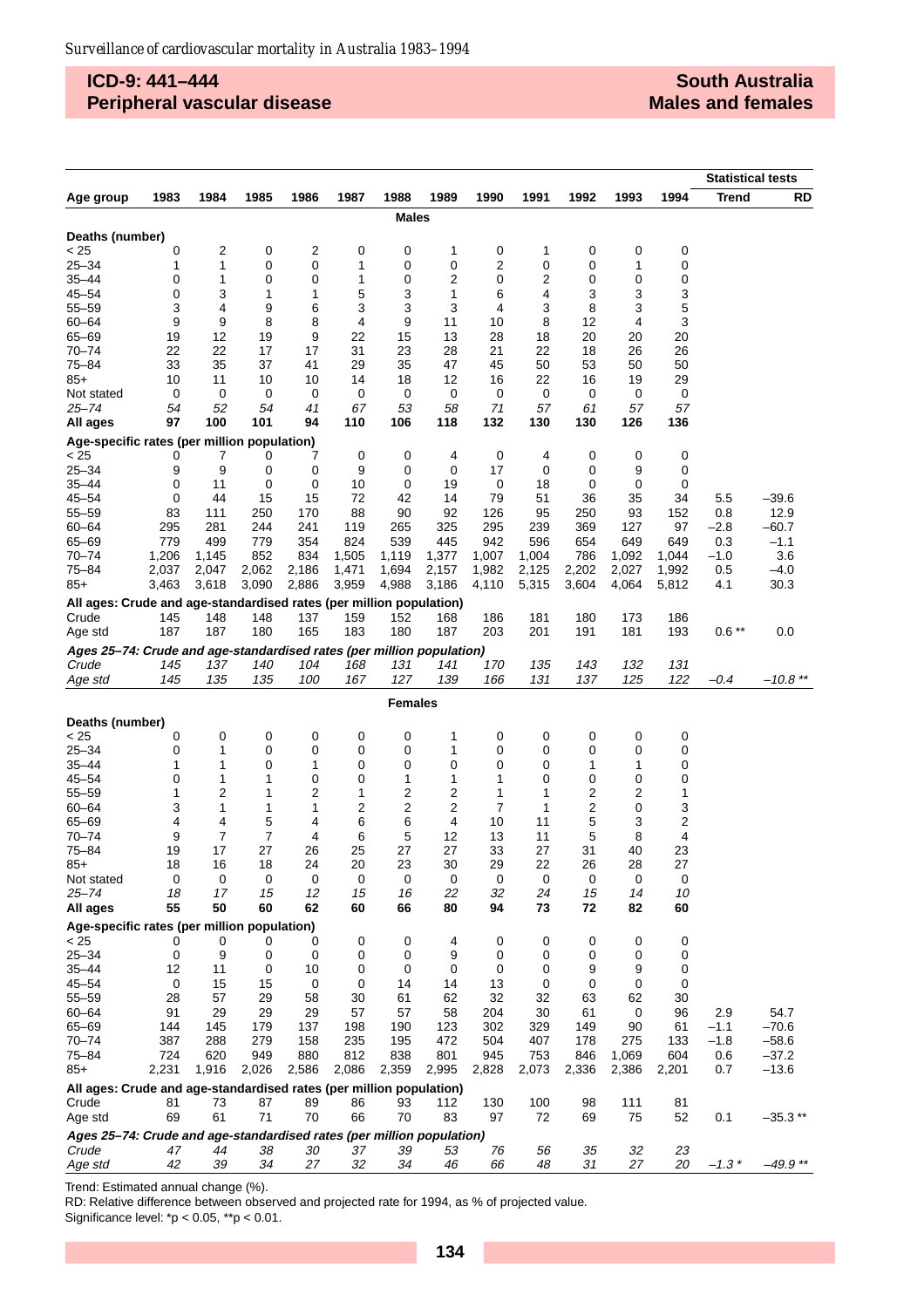# **ICD-9: 441–444 Peripheral vascular disease**

|                                                                       |                |            |            |            |            |              |                   |            |            |                |                   |           | <b>Statistical tests</b> |                   |  |
|-----------------------------------------------------------------------|----------------|------------|------------|------------|------------|--------------|-------------------|------------|------------|----------------|-------------------|-----------|--------------------------|-------------------|--|
| Age group                                                             | 1983           | 1984       | 1985       | 1986       | 1987       | 1988         | 1989              | 1990       | 1991       | 1992           | 1993              | 1994      | <b>Trend</b>             | RD                |  |
|                                                                       |                |            |            |            |            | <b>Males</b> |                   |            |            |                |                   |           |                          |                   |  |
| Deaths (number)                                                       |                |            |            |            |            |              |                   |            |            |                |                   |           |                          |                   |  |
| < 25                                                                  | 0              | 2          | 0          | 2          | 0          | 0            | 1                 | 0          | 1          | 0              | 0                 | 0         |                          |                   |  |
| $25 - 34$                                                             | 1              | 1          | 0          | 0          | 1          | 0            | 0                 | 2          | 0          | 0              | 1                 | 0         |                          |                   |  |
| 35–44                                                                 | 0              | 1          | 0          | 0          | 1          | 0            | 2                 | 0          | 2          | 0              | 0                 | 0         |                          |                   |  |
| $45 - 54$                                                             | 0              | 3          | 1          | 1          | 5          | 3            | 1                 | 6          | 4          | 3              | 3                 | 3         |                          |                   |  |
| $55 - 59$                                                             | 3              | 4          | 9          | 6          | 3          | 3            | 3                 | 4          | 3          | 8              | 3                 | 5         |                          |                   |  |
| $60 - 64$<br>$65 - 69$                                                | 9<br>19        | 9<br>12    | 8<br>19    | 8<br>9     | 4<br>22    | 9<br>15      | 11<br>13          | 10<br>28   | 8<br>18    | 12<br>20       | 4<br>20           | 3<br>20   |                          |                   |  |
| $70 - 74$                                                             | 22             | 22         | 17         | 17         | 31         | 23           | 28                | 21         | 22         | 18             | 26                | 26        |                          |                   |  |
| 75-84                                                                 | 33             | 35         | 37         | 41         | 29         | 35           | 47                | 45         | 50         | 53             | 50                | 50        |                          |                   |  |
| $85+$                                                                 | 10             | 11         | 10         | 10         | 14         | 18           | 12                | 16         | 22         | 16             | 19                | 29        |                          |                   |  |
| Not stated                                                            | 0              | 0          | 0          | 0          | 0          | 0            | 0                 | 0          | 0          | 0              | 0                 | 0         |                          |                   |  |
| 25–74                                                                 | 54             | 52         | 54         | 41         | 67         | 53           | 58                | 71         | 57         | 61             | 57                | 57        |                          |                   |  |
| All ages                                                              | 97             | 100        | 101        | 94         | 110        | 106          | 118               | 132        | 130        | 130            | 126               | 136       |                          |                   |  |
| Age-specific rates (per million population)                           |                |            |            |            |            |              |                   |            |            |                |                   |           |                          |                   |  |
| < 25                                                                  | 0              | 7          | 0          | 7          | 0          | 0            | 4                 | 0          | 4          | 0              | 0                 | 0         |                          |                   |  |
| 25–34                                                                 | 9              | 9          | 0          | 0          | 9          | 0            | 0                 | 17         | 0          | 0              | 9                 | 0         |                          |                   |  |
| $35 - 44$                                                             | 0              | 11         | 0          | 0          | 10         | 0            | 19                | 0          | 18         | 0              | 0                 | 0         |                          |                   |  |
| $45 - 54$                                                             | 0              | 44         | 15         | 15         | 72         | 42           | 14                | 79         | 51         | 36             | 35                | 34        | 5.5                      | $-39.6$           |  |
| $55 - 59$                                                             | 83             | 111        | 250        | 170        | 88         | 90           | 92                | 126        | 95         | 250            | 93                | 152       | 0.8                      | 12.9              |  |
| $60 - 64$<br>$65 - 69$                                                | 295<br>779     | 281<br>499 | 244<br>779 | 241<br>354 | 119<br>824 | 265<br>539   | 325<br>445        | 295<br>942 | 239<br>596 | 369<br>654     | 127<br>649        | 97<br>649 | $-2.8$<br>0.3            | $-60.7$<br>$-1.1$ |  |
| $70 - 74$                                                             | 1,206          | 1,145      | 852        | 834        | 1,505      | 1,119        | 1,377             | 1,007      | 1,004      | 786            | 1,092             | 1,044     | $-1.0$                   | 3.6               |  |
| 75-84                                                                 | 2,037          | 2,047      | 2,062      | 2,186      | 1,471      | 1,694        | 2,157             | 1,982      | 2,125      | 2,202          | 2,027             | 1,992     | 0.5                      | $-4.0$            |  |
| $85+$                                                                 | 3,463          | 3,618      | 3,090      | 2,886      | 3,959      | 4,988        | 3,186             | 4,110      | 5,315      | 3,604          | 4,064             | 5,812     | 4.1                      | 30.3              |  |
| All ages: Crude and age-standardised rates (per million population)   |                |            |            |            |            |              |                   |            |            |                |                   |           |                          |                   |  |
| Crude                                                                 | 145            | 148        | 148        | 137        | 159        | 152          | 168               | 186        | 181        | 180            | 173               | 186       |                          |                   |  |
| Age std                                                               | 187            | 187        | 180        | 165        | 183        | 180          | 187               | 203        | 201        | 191            | 181               | 193       | $0.6**$                  | 0.0               |  |
| Ages 25-74: Crude and age-standardised rates (per million population) |                |            |            |            |            |              |                   |            |            |                |                   |           |                          |                   |  |
| Crude                                                                 | 145            | 137        | 140        | 104        | 168        | 131          | 141               | 170        | 135        | 143            | 132               | 131       |                          |                   |  |
| Age std                                                               | 145            | 135        | 135        | 100        | 167        | 127          | 139               | 166        | 131        | 137            | 125               | 122       | $-0.4$                   | $-10.8$ **        |  |
|                                                                       | <b>Females</b> |            |            |            |            |              |                   |            |            |                |                   |           |                          |                   |  |
|                                                                       |                |            |            |            |            |              |                   |            |            |                |                   |           |                          |                   |  |
| Deaths (number)                                                       |                |            |            |            |            |              |                   |            |            |                |                   |           |                          |                   |  |
| < 25<br>$25 - 34$                                                     | 0<br>0         | 0<br>1     | 0<br>0     | 0<br>0     | 0<br>0     | 0<br>0       | 1<br>1            | 0<br>0     | 0<br>0     | 0<br>0         | 0<br>0            | 0<br>0    |                          |                   |  |
| $35 - 44$                                                             | 1              | 1          | 0          | 1          | 0          | 0            | 0                 | 0          | 0          | 1              | 1                 | 0         |                          |                   |  |
| $45 - 54$                                                             | 0              | 1          | 1          | 0          | 0          | 1            | 1                 | 1          | 0          | 0              | 0                 | 0         |                          |                   |  |
| $55 - 59$                                                             | 1              | 2          | 1          | 2          | 1          | 2            | 2                 | 1          | 1          | 2              | $\overline{2}$    | 1         |                          |                   |  |
| $60 - 64$                                                             | 3              | 1          | 1          | 1          | 2          | 2            | 2                 | 7          | 1          | $\overline{2}$ | 0                 | 3         |                          |                   |  |
| 65-69                                                                 | 4              | 4          | 5          | 4          | 6          | 6            | 4                 | 10         | 11         | 5              | 3                 | 2         |                          |                   |  |
| $70 - 74$                                                             | 9              | 7          | 7          | 4          | 6          | 5            | 12                | 13         | 11         | 5              | 8                 | 4         |                          |                   |  |
| 75–84                                                                 | 19             | 17         | 27         | 26         | 25         | 27           | 27                | 33         | 27         | 31             | 40                | 23        |                          |                   |  |
| $85+$                                                                 | 18             | 16         | 18         | 24         | 20         | 23           | 30                | 29         | 22         | 26             | 28<br>$\mathbf 0$ | 27        |                          |                   |  |
| Not stated<br>$25 - 74$                                               | 0<br>18        | 0<br>17    | 0<br>15    | 0<br>12    | 0<br>15    | 0<br>16      | $\mathbf 0$<br>22 | 0<br>32    | 0<br>24    | 0<br>15        | 14                | 0<br>10   |                          |                   |  |
| All ages                                                              | 55             | 50         | 60         | 62         | 60         | 66           | 80                | 94         | 73         | 72             | 82                | 60        |                          |                   |  |
|                                                                       |                |            |            |            |            |              |                   |            |            |                |                   |           |                          |                   |  |
| Age-specific rates (per million population)<br>< 25                   | 0              | 0          | 0          | 0          | 0          | 0            | 4                 | 0          | 0          | 0              | 0                 | 0         |                          |                   |  |
| $25 - 34$                                                             | 0              | 9          | 0          | 0          | 0          | 0            | 9                 | 0          | 0          | 0              | 0                 | 0         |                          |                   |  |
| $35 - 44$                                                             | 12             | 11         | 0          | 10         | 0          | 0            | 0                 | 0          | 0          | 9              | 9                 | 0         |                          |                   |  |
| 45–54                                                                 | 0              | 15         | 15         | 0          | 0          | 14           | 14                | 13         | 0          | 0              | 0                 | 0         |                          |                   |  |
| $55 - 59$                                                             | 28             | 57         | 29         | 58         | 30         | 61           | 62                | 32         | 32         | 63             | 62                | 30        |                          |                   |  |
| $60 - 64$                                                             | 91             | 29         | 29         | 29         | 57         | 57           | 58                | 204        | 30         | 61             | 0                 | 96        | 2.9                      | 54.7              |  |
| $65 - 69$                                                             | 144            | 145        | 179        | 137        | 198        | 190          | 123               | 302        | 329        | 149            | 90                | 61        | $-1.1$                   | $-70.6$           |  |
| $70 - 74$                                                             | 387            | 288        | 279        | 158        | 235        | 195          | 472               | 504        | 407        | 178            | 275               | 133       | $-1.8$                   | $-58.6$           |  |
| 75-84                                                                 | 724            | 620        | 949        | 880        | 812        | 838          | 801               | 945        | 753        | 846            | 1,069             | 604       | 0.6                      | $-37.2$           |  |
| 85+                                                                   | 2,231          | 1,916      | 2,026      | 2,586      | 2,086      | 2,359        | 2,995             | 2,828      | 2,073      | 2,336          | 2,386             | 2,201     | 0.7                      | $-13.6$           |  |
| All ages: Crude and age-standardised rates (per million population)   |                |            |            |            |            |              |                   |            |            |                |                   |           |                          |                   |  |
| Crude                                                                 | 81             | 73         | 87         | 89         | 86         | 93           | 112               | 130        | 100        | 98             | 111               | 81        |                          |                   |  |
| Age std                                                               | 69             | 61         | 71         | 70         | 66         | 70           | 83                | 97         | 72         | 69             | 75                | 52        | 0.1                      | $-35.3**$         |  |
| Ages 25-74: Crude and age-standardised rates (per million population) |                |            |            |            |            |              |                   |            |            |                |                   |           |                          |                   |  |
| Crude                                                                 | 47             | 44         | 38         | 30         | 37         | 39           | 53                | 76         | 56         | 35             | 32                | 23        |                          |                   |  |
| Age std                                                               | 42             | 39         | 34         | 27         | 32         | 34           | 46                | 66         | 48         | 31             | 27                | 20        | $-1.3*$                  | $-49.9**$         |  |

Trend: Estimated annual change (%).

RD: Relative difference between observed and projected rate for 1994, as % of projected value. Significance level:  $*p < 0.05$ ,  $*p < 0.01$ .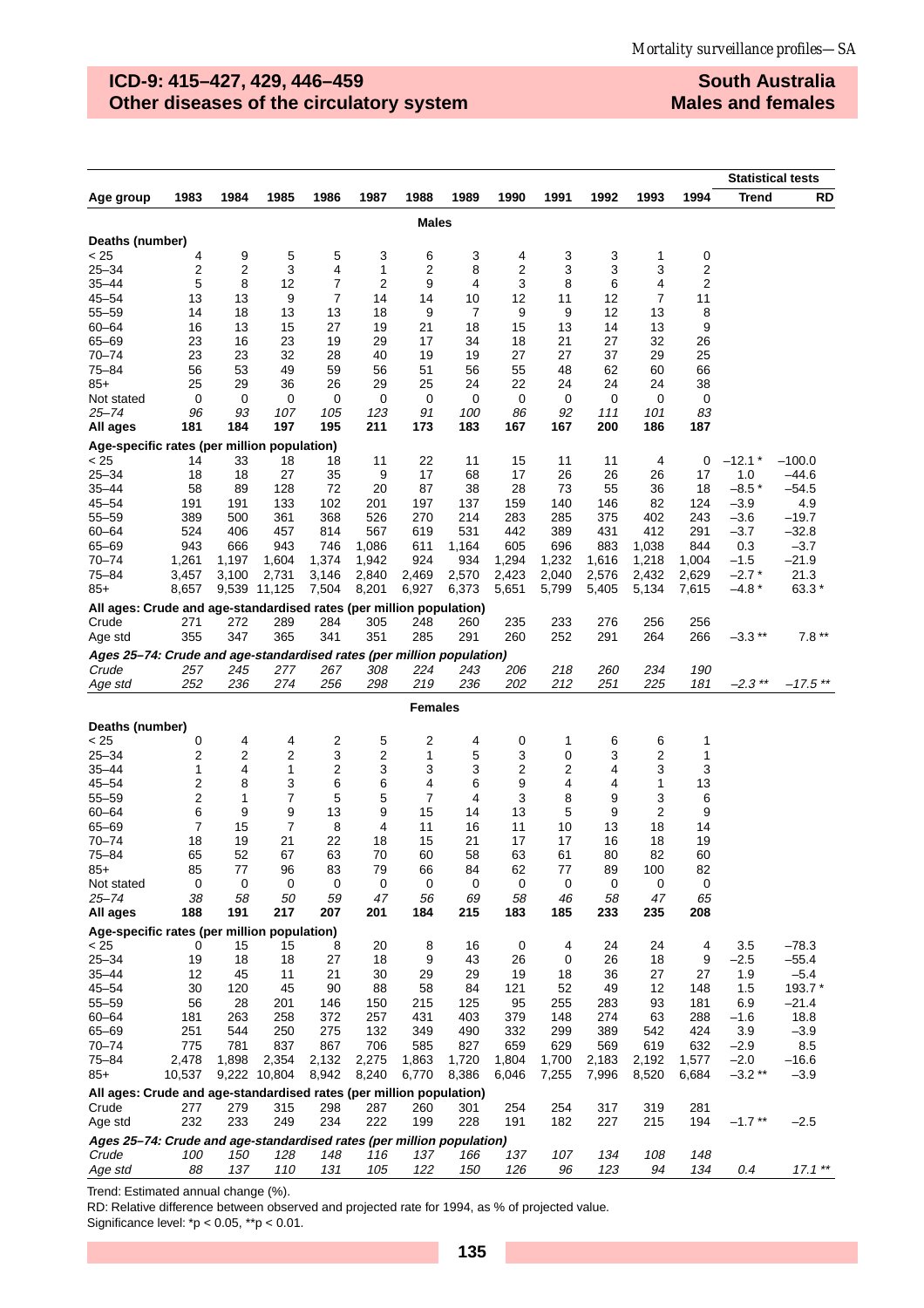# **ICD-9: 415–427, 429, 446–459 Other diseases of the circulatory system**

**South Australia Males and females**

|                                                                       |                         |                |                |                     |                |              |              |                |                |                |                |                |                   | <b>Statistical tests</b> |
|-----------------------------------------------------------------------|-------------------------|----------------|----------------|---------------------|----------------|--------------|--------------|----------------|----------------|----------------|----------------|----------------|-------------------|--------------------------|
| Age group                                                             | 1983                    | 1984           | 1985           | 1986                | 1987           | 1988         | 1989         | 1990           | 1991           | 1992           | 1993           | 1994           | Trend             | RD                       |
|                                                                       |                         |                |                |                     |                | <b>Males</b> |              |                |                |                |                |                |                   |                          |
|                                                                       |                         |                |                |                     |                |              |              |                |                |                |                |                |                   |                          |
| Deaths (number)                                                       |                         |                |                |                     |                |              |              |                |                |                |                |                |                   |                          |
| < 25<br>$25 - 34$                                                     | 4<br>$\overline{2}$     | 9              | 5<br>3         | 5                   | 3              | 6            | 3<br>8       | 4<br>2         | 3              | 3<br>3         | 1<br>3         | 0<br>2         |                   |                          |
| $35 - 44$                                                             | 5                       | 2<br>8         | 12             | 4<br>$\overline{7}$ | 1<br>2         | 2<br>9       | 4            | 3              | 3<br>8         | 6              | 4              | 2              |                   |                          |
| $45 - 54$                                                             | 13                      | 13             | 9              | $\overline{7}$      | 14             | 14           | 10           | 12             | 11             | 12             | 7              | 11             |                   |                          |
| $55 - 59$                                                             | 14                      | 18             | 13             | 13                  | 18             | 9            | 7            | 9              | 9              | 12             | 13             | 8              |                   |                          |
| $60 - 64$                                                             | 16                      | 13             | 15             | 27                  | 19             | 21           | 18           | 15             | 13             | 14             | 13             | 9              |                   |                          |
| 65-69                                                                 | 23                      | 16             | 23             | 19                  | 29             | 17           | 34           | 18             | 21             | 27             | 32             | 26             |                   |                          |
| $70 - 74$                                                             | 23                      | 23             | 32             | 28                  | 40             | 19           | 19           | 27             | 27             | 37             | 29             | 25             |                   |                          |
| 75-84                                                                 | 56                      | 53             | 49             | 59                  | 56             | 51           | 56           | 55             | 48             | 62             | 60             | 66             |                   |                          |
| $85+$                                                                 | 25                      | 29             | 36             | 26                  | 29             | 25           | 24           | 22             | 24             | 24             | 24             | 38             |                   |                          |
| Not stated                                                            | 0                       | 0              | 0              | 0                   | 0              | 0            | 0            | 0              | 0              | 0              | 0              | 0              |                   |                          |
| 25–74                                                                 | 96                      | 93             | 107            | 105                 | 123            | 91           | 100          | 86             | 92             | 111            | 101            | 83             |                   |                          |
| All ages                                                              | 181                     | 184            | 197            | 195                 | 211            | 173          | 183          | 167            | 167            | 200            | 186            | 187            |                   |                          |
| Age-specific rates (per million population)                           |                         |                |                |                     |                |              |              |                |                |                |                |                |                   |                          |
| < 25                                                                  | 14                      | 33             | 18             | 18                  | 11             | 22           | 11           | 15             | 11             | 11             | 4              | 0              | $-12.1*$          | $-100.0$                 |
| $25 - 34$                                                             | 18                      | 18             | 27             | 35                  | 9              | 17           | 68           | 17             | 26             | 26             | 26             | 17             | 1.0               | -44.6                    |
| $35 - 44$                                                             | 58                      | 89             | 128            | 72                  | 20             | 87           | 38           | 28             | 73             | 55             | 36             | 18             | $-8.5*$           | $-54.5$                  |
| $45 - 54$                                                             | 191                     | 191            | 133            | 102                 | 201            | 197          | 137          | 159            | 140            | 146            | 82             | 124            | $-3.9$            | 4.9                      |
| $55 - 59$                                                             | 389                     | 500            | 361            | 368                 | 526            | 270          | 214          | 283            | 285            | 375            | 402            | 243            | $-3.6$            | $-19.7$                  |
| $60 - 64$                                                             | 524                     | 406            | 457            | 814                 | 567            | 619          | 531          | 442            | 389            | 431            | 412            | 291            | $-3.7$            | $-32.8$                  |
| 65-69<br>$70 - 74$                                                    | 943                     | 666            | 943            | 746                 | 1,086          | 611          | 1,164        | 605            | 696            | 883            | 1,038          | 844            | 0.3               | $-3.7$                   |
| $75 - 84$                                                             | 1,261<br>3,457          | 1,197<br>3,100 | 1,604<br>2,731 | 1,374<br>3,146      | 1,942<br>2,840 | 924<br>2,469 | 934<br>2,570 | 1,294<br>2,423 | 1,232<br>2,040 | 1,616<br>2,576 | 1,218<br>2,432 | 1,004<br>2,629 | $-1.5$<br>$-2.7*$ | $-21.9$<br>21.3          |
| $85+$                                                                 | 8,657                   |                | 9,539 11,125   | 7,504               | 8,201          | 6,927        | 6,373        | 5,651          | 5,799          | 5,405          | 5,134          | 7,615          | $-4.8*$           | 63.3*                    |
|                                                                       |                         |                |                |                     |                |              |              |                |                |                |                |                |                   |                          |
| All ages: Crude and age-standardised rates (per million population)   |                         |                |                |                     |                |              |              |                |                |                |                | 256            |                   |                          |
| Crude                                                                 | 271<br>355              | 272<br>347     | 289<br>365     | 284<br>341          | 305<br>351     | 248<br>285   | 260<br>291   | 235<br>260     | 233<br>252     | 276<br>291     | 256<br>264     | 266            | $-3.3**$          | $7.8**$                  |
| Age std                                                               |                         |                |                |                     |                |              |              |                |                |                |                |                |                   |                          |
| Ages 25–74: Crude and age-standardised rates (per million population) |                         |                |                |                     |                |              |              |                |                |                |                |                |                   |                          |
| Crude<br>Age std                                                      | 257<br>252              | 245<br>236     | 277<br>274     | 267<br>256          | 308<br>298     | 224<br>219   | 243<br>236   | 206<br>202     | 218<br>212     | 260<br>251     | 234<br>225     | 190<br>181     | $-2.3$ **         | $-17.5$ **               |
|                                                                       |                         |                |                |                     |                |              |              |                |                |                |                |                |                   |                          |
|                                                                       |                         |                |                |                     |                | Females      |              |                |                |                |                |                |                   |                          |
| Deaths (number)                                                       |                         |                |                |                     |                |              |              |                |                |                |                |                |                   |                          |
| < 25                                                                  | 0                       | 4              | 4              | 2                   | 5              | 2            | 4            | 0              | 1              | 6              | 6              | 1              |                   |                          |
| $25 - 34$                                                             | 2                       | 2              | 2              | 3                   | 2              | 1            | 5            | 3              | 0              | 3              | 2              | 1              |                   |                          |
| 35–44                                                                 | 1                       | 4              | 1              | 2                   | 3              | 3            | 3            | 2              | 2              | 4              | 3              | 3              |                   |                          |
| $45 - 54$                                                             | $\overline{2}$          | 8              | 3              | 6                   | 6              | 4            | 6            | 9              | 4              | 4              | 1              | 13             |                   |                          |
| $55 - 59$                                                             | $\overline{\mathbf{c}}$ | 1              | 7              | 5                   | 5              | 7            | 4            | 3              | 8              | 9              | 3              | 6              |                   |                          |
| $60 - 64$                                                             | 6                       | 9              | 9              | 13                  | 9              | 15           | 14           | 13             | 5              | 9              | 2              | 9              |                   |                          |
| 65-69<br>$70 - 74$                                                    | 7                       | 15<br>19       | 7<br>21        | 8<br>22             | 4              | 11           | 16<br>21     | 11<br>17       | 10             | 13             | 18             | 14<br>19       |                   |                          |
| $75 - 84$                                                             | 18<br>65                | 52             | 67             | 63                  | 18<br>70       | 15<br>60     | 58           | 63             | 17<br>61       | 16<br>80       | 18<br>82       | 60             |                   |                          |
| $85+$                                                                 | 85                      | 77             | 96             | 83                  | 79             | 66           | 84           | 62             | 77             | 89             | 100            | 82             |                   |                          |
| Not stated                                                            | 0                       | 0              | 0              | 0                   | 0              | 0            | 0            | 0              | 0              | 0              | 0              | 0              |                   |                          |
| 25–74                                                                 | 38                      | 58             | 50             | 59                  | 47             | 56           | 69           | 58             | 46             | 58             | 47             | 65             |                   |                          |
| All ages                                                              | 188                     | 191            | 217            | 207                 | 201            | 184          | 215          | 183            | 185            | 233            | 235            | 208            |                   |                          |
| Age-specific rates (per million population)                           |                         |                |                |                     |                |              |              |                |                |                |                |                |                   |                          |
| < 25                                                                  | 0                       | 15             | 15             | 8                   | 20             | 8            | 16           | 0              | 4              | 24             | 24             | 4              | 3.5               | $-78.3$                  |
| $25 - 34$                                                             | 19                      | 18             | 18             | 27                  | 18             | 9            | 43           | 26             | 0              | 26             | 18             | 9              | $-2.5$            | $-55.4$                  |
| $35 - 44$                                                             | 12                      | 45             | 11             | 21                  | 30             | 29           | 29           | 19             | 18             | 36             | 27             | 27             | 1.9               | $-5.4$                   |
| $45 - 54$                                                             | 30                      | 120            | 45             | 90                  | 88             | 58           | 84           | 121            | 52             | 49             | 12             | 148            | 1.5               | 193.7 *                  |
| $55 - 59$                                                             | 56                      | 28             | 201            | 146                 | 150            | 215          | 125          | 95             | 255            | 283            | 93             | 181            | 6.9               | -21.4                    |
| $60 - 64$                                                             | 181                     | 263            | 258            | 372                 | 257            | 431          | 403          | 379            | 148            | 274            | 63             | 288            | $-1.6$            | 18.8                     |
| 65-69                                                                 | 251                     | 544            | 250            | 275                 | 132            | 349          | 490          | 332            | 299            | 389            | 542            | 424            | 3.9               | $-3.9$                   |
| 70-74                                                                 | 775                     | 781            | 837            | 867                 | 706            | 585          | 827          | 659            | 629            | 569            | 619            | 632            | $-2.9$            | 8.5                      |
| 75-84                                                                 | 2,478                   | 1,898          | 2,354          | 2,132               | 2,275          | 1,863        | 1,720        | 1,804          | 1,700          | 2,183          | 2,192          | 1,577          | $-2.0$            | $-16.6$                  |
| $85+$                                                                 | 10,537                  |                | 9,222 10,804   | 8,942               | 8,240          | 6,770        | 8,386        | 6,046          | 7,255          | 7,996          | 8,520          | 6,684          | $-3.2**$          | $-3.9$                   |
| All ages: Crude and age-standardised rates (per million population)   |                         |                |                |                     |                |              |              |                |                |                |                |                |                   |                          |
| Crude                                                                 | 277                     | 279            | 315            | 298                 | 287            | 260          | 301          | 254            | 254            | 317            | 319            | 281            |                   |                          |
| Age std                                                               | 232                     | 233            | 249            | 234                 | 222            | 199          | 228          | 191            | 182            | 227            | 215            | 194            | $-1.7$ **         | $-2.5$                   |
| Ages 25-74: Crude and age-standardised rates (per million population) |                         |                |                |                     |                |              |              |                |                |                |                |                |                   |                          |
| Crude                                                                 | 100                     | 150            | 128            | 148                 | 116            | 137          | 166          | 137            | 107            | 134            | 108            | 148            |                   |                          |
| Age std                                                               | 88                      | 137            | 110            | 131                 | 105            | 122          | 150          | 126            | 96             | 123            | 94             | 134            | 0.4               | $17.1**$                 |

Trend: Estimated annual change (%).

RD: Relative difference between observed and projected rate for 1994, as % of projected value.

Significance level: \*p < 0.05, \*\*p < 0.01.